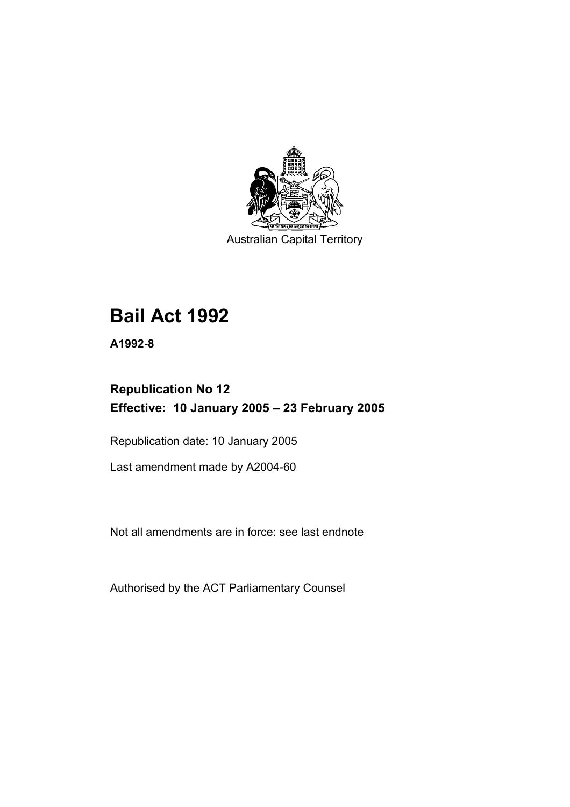

Australian Capital Territory

# **Bail Act 1992**

**A1992-8** 

# **Republication No 12 Effective: 10 January 2005 – 23 February 2005**

Republication date: 10 January 2005

Last amendment made by A2004-60

Not all amendments are in force: see last endnote

Authorised by the ACT Parliamentary Counsel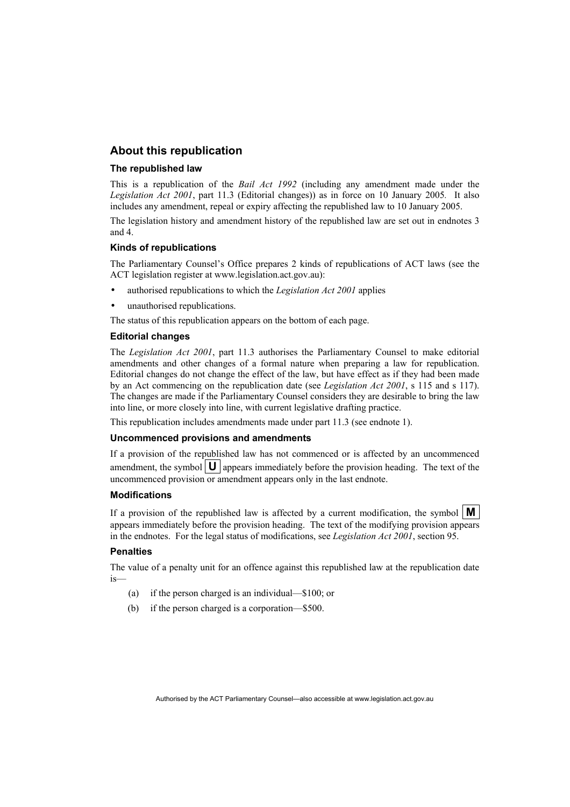# **About this republication**

#### **The republished law**

This is a republication of the *Bail Act 1992* (including any amendment made under the *Legislation Act 2001*, part 11.3 (Editorial changes)) as in force on 10 January 2005*.* It also includes any amendment, repeal or expiry affecting the republished law to 10 January 2005.

The legislation history and amendment history of the republished law are set out in endnotes 3 and 4.

#### **Kinds of republications**

The Parliamentary Counsel's Office prepares 2 kinds of republications of ACT laws (see the ACT legislation register at www.legislation.act.gov.au):

- authorised republications to which the *Legislation Act 2001* applies
- unauthorised republications.

The status of this republication appears on the bottom of each page.

#### **Editorial changes**

The *Legislation Act 2001*, part 11.3 authorises the Parliamentary Counsel to make editorial amendments and other changes of a formal nature when preparing a law for republication. Editorial changes do not change the effect of the law, but have effect as if they had been made by an Act commencing on the republication date (see *Legislation Act 2001*, s 115 and s 117). The changes are made if the Parliamentary Counsel considers they are desirable to bring the law into line, or more closely into line, with current legislative drafting practice.

This republication includes amendments made under part 11.3 (see endnote 1).

#### **Uncommenced provisions and amendments**

If a provision of the republished law has not commenced or is affected by an uncommenced amendment, the symbol  $\mathbf{U}$  appears immediately before the provision heading. The text of the uncommenced provision or amendment appears only in the last endnote.

#### **Modifications**

If a provision of the republished law is affected by a current modification, the symbol  $\mathbf{M}$ appears immediately before the provision heading. The text of the modifying provision appears in the endnotes. For the legal status of modifications, see *Legislation Act 2001*, section 95.

#### **Penalties**

The value of a penalty unit for an offence against this republished law at the republication date is—

- (a) if the person charged is an individual—\$100; or
- (b) if the person charged is a corporation—\$500.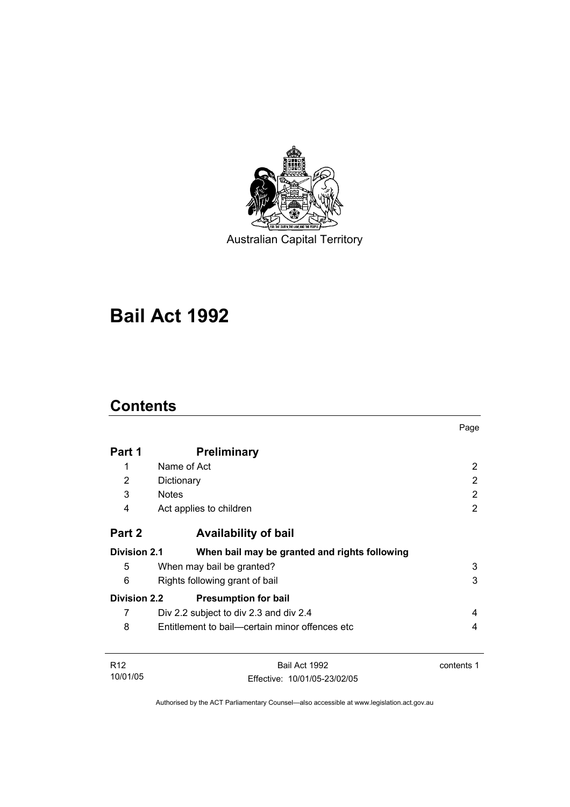

Australian Capital Territory

# **Bail Act 1992**

# **Contents**

|                     |                                                | Page       |
|---------------------|------------------------------------------------|------------|
| Part 1              | <b>Preliminary</b>                             |            |
| 1                   | Name of Act                                    | 2          |
| 2                   | Dictionary                                     | 2          |
| 3                   | <b>Notes</b>                                   | 2          |
| 4                   | Act applies to children                        | 2          |
| Part 2              | <b>Availability of bail</b>                    |            |
| <b>Division 2.1</b> | When bail may be granted and rights following  |            |
| 5                   | When may bail be granted?                      | 3          |
| 6                   | 3<br>Rights following grant of bail            |            |
| <b>Division 2.2</b> | <b>Presumption for bail</b>                    |            |
| 7                   | Div 2.2 subject to div 2.3 and div 2.4         | 4          |
| 8                   | Entitlement to bail—certain minor offences etc | 4          |
| R <sub>12</sub>     | Bail Act 1992                                  | contents 1 |
| 10/01/05            | Effective: 10/01/05-23/02/05                   |            |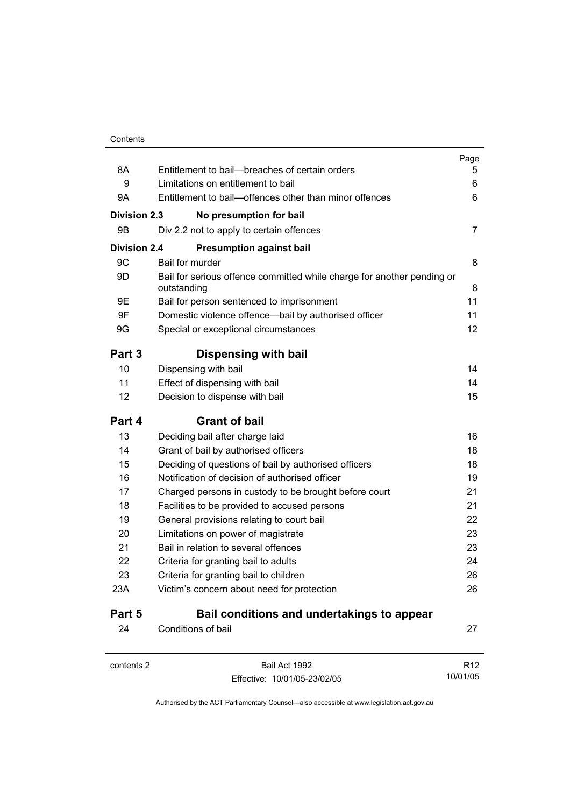|                     |                                                                                       | Page            |
|---------------------|---------------------------------------------------------------------------------------|-----------------|
| 8A                  | Entitlement to bail--breaches of certain orders                                       | ხ               |
| 9                   | Limitations on entitlement to bail                                                    | 6               |
| 9Α                  | Entitlement to bail-offences other than minor offences                                | 6               |
| <b>Division 2.3</b> | No presumption for bail                                                               |                 |
| 9Β                  | Div 2.2 not to apply to certain offences                                              | 7               |
| <b>Division 2.4</b> | <b>Presumption against bail</b>                                                       |                 |
| 9C                  | Bail for murder                                                                       | 8               |
| 9D                  | Bail for serious offence committed while charge for another pending or<br>outstanding | 8               |
| 9E                  | Bail for person sentenced to imprisonment                                             | 11              |
| 9F                  | Domestic violence offence-bail by authorised officer                                  | 11              |
| 9G                  | Special or exceptional circumstances                                                  | 12              |
| Part 3              | Dispensing with bail                                                                  |                 |
| 10                  | Dispensing with bail                                                                  | 14              |
| 11                  | Effect of dispensing with bail                                                        | 14              |
| 12                  | Decision to dispense with bail                                                        | 15              |
| Part 4              | <b>Grant of bail</b>                                                                  |                 |
| 13                  | Deciding bail after charge laid                                                       | 16              |
| 14                  | Grant of bail by authorised officers                                                  | 18              |
| 15                  | Deciding of questions of bail by authorised officers                                  | 18              |
| 16                  | Notification of decision of authorised officer                                        | 19              |
| 17                  | Charged persons in custody to be brought before court                                 | 21              |
| 18                  | Facilities to be provided to accused persons                                          | 21              |
| 19                  | General provisions relating to court bail                                             | 22              |
| 20                  | Limitations on power of magistrate                                                    | 23              |
| 21                  | Bail in relation to several offences                                                  | 23              |
| 22                  | Criteria for granting bail to adults                                                  | 24              |
| 23                  | Criteria for granting bail to children                                                | 26              |
| 23A                 | Victim's concern about need for protection                                            | 26              |
| Part 5              | Bail conditions and undertakings to appear                                            |                 |
| 24                  | Conditions of bail                                                                    | 27              |
| contents 2          | Bail Act 1992                                                                         | R <sub>12</sub> |

Effective: 10/01/05-23/02/05

10/01/05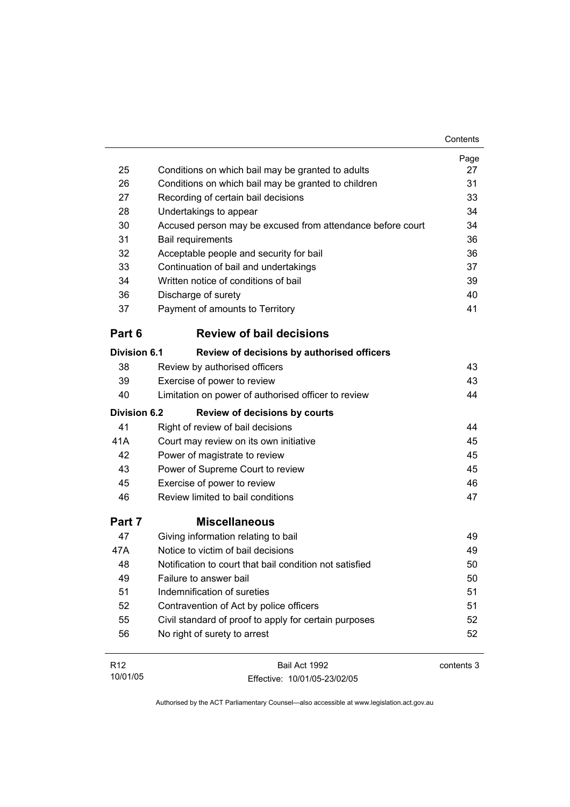|                     |                                                            | Contents   |
|---------------------|------------------------------------------------------------|------------|
|                     |                                                            | Page       |
| 25                  | Conditions on which bail may be granted to adults          | 27         |
| 26                  | Conditions on which bail may be granted to children        | 31         |
| 27                  | Recording of certain bail decisions                        | 33         |
| 28                  | Undertakings to appear                                     | 34         |
| 30                  | Accused person may be excused from attendance before court | 34         |
| 31                  | <b>Bail requirements</b>                                   | 36         |
| 32                  | Acceptable people and security for bail                    | 36         |
| 33                  | Continuation of bail and undertakings                      | 37         |
| 34                  | Written notice of conditions of bail                       | 39         |
| 36                  | Discharge of surety                                        | 40         |
| 37                  | Payment of amounts to Territory                            | 41         |
| Part 6              | <b>Review of bail decisions</b>                            |            |
| <b>Division 6.1</b> | Review of decisions by authorised officers                 |            |
| 38                  | Review by authorised officers                              | 43         |
| 39                  | Exercise of power to review                                | 43         |
| 40                  | Limitation on power of authorised officer to review        | 44         |
| <b>Division 6.2</b> | <b>Review of decisions by courts</b>                       |            |
| 41                  | Right of review of bail decisions                          | 44         |
| 41A                 | Court may review on its own initiative                     | 45         |
| 42                  | Power of magistrate to review                              | 45         |
| 43                  | Power of Supreme Court to review                           | 45         |
| 45                  | Exercise of power to review                                | 46         |
| 46                  | Review limited to bail conditions                          | 47         |
| Part 7              | <b>Miscellaneous</b>                                       |            |
| 47                  | Giving information relating to bail                        | 49         |
| 47A                 | Notice to victim of bail decisions                         | 49         |
| 48                  | Notification to court that bail condition not satisfied    | 50         |
| 49                  | Failure to answer bail                                     | 50         |
| 51                  | Indemnification of sureties                                | 51         |
| 52                  | Contravention of Act by police officers                    | 51         |
| 55                  | Civil standard of proof to apply for certain purposes      | 52         |
| 56                  | No right of surety to arrest                               | 52         |
| R <sub>12</sub>     | Bail Act 1992                                              | contents 3 |

Authorised by the ACT Parliamentary Counsel—also accessible at www.legislation.act.gov.au

Effective: 10/01/05-23/02/05

10/01/05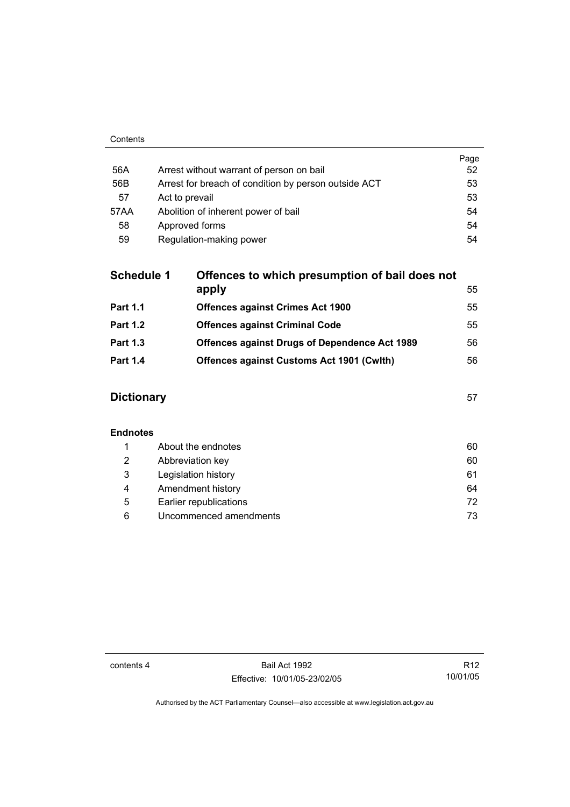| 56A  | Arrest without warrant of person on bail             | Page<br>52 |
|------|------------------------------------------------------|------------|
| 56B  | Arrest for breach of condition by person outside ACT | 53         |
| 57   | Act to prevail                                       | 53         |
| 57AA | Abolition of inherent power of bail                  | 54         |
| 58   | Approved forms                                       | 54         |
| 59   | Regulation-making power                              | 54         |

| <b>Schedule 1</b> | Offences to which presumption of bail does not<br>apply | 55 |
|-------------------|---------------------------------------------------------|----|
| <b>Part 1.1</b>   | <b>Offences against Crimes Act 1900</b>                 | 55 |
| <b>Part 1.2</b>   | <b>Offences against Criminal Code</b>                   | 55 |
| <b>Part 1.3</b>   | <b>Offences against Drugs of Dependence Act 1989</b>    | 56 |
| <b>Part 1.4</b>   | <b>Offences against Customs Act 1901 (Cwith)</b>        | 56 |
|                   |                                                         |    |

# **Dictionary** 57

### **Endnotes**

|   | About the endnotes     | 60  |
|---|------------------------|-----|
| 2 | Abbreviation key       | 60  |
| 3 | Legislation history    | 61  |
| 4 | Amendment history      | 64  |
| 5 | Earlier republications | 72  |
| 6 | Uncommenced amendments | 73. |

contents 4 Bail Act 1992 Effective: 10/01/05-23/02/05

R12 10/01/05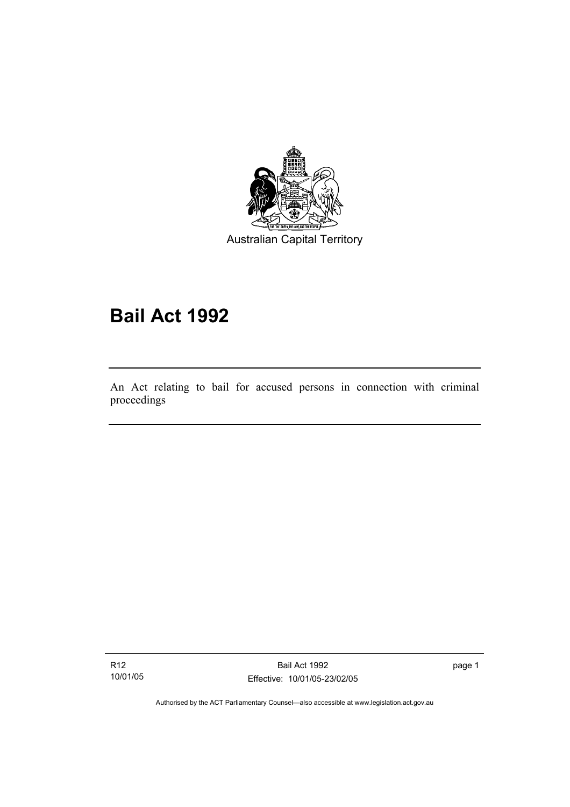

Australian Capital Territory

# **Bail Act 1992**

An Act relating to bail for accused persons in connection with criminal proceedings

R12 10/01/05

I

Bail Act 1992 Effective: 10/01/05-23/02/05 page 1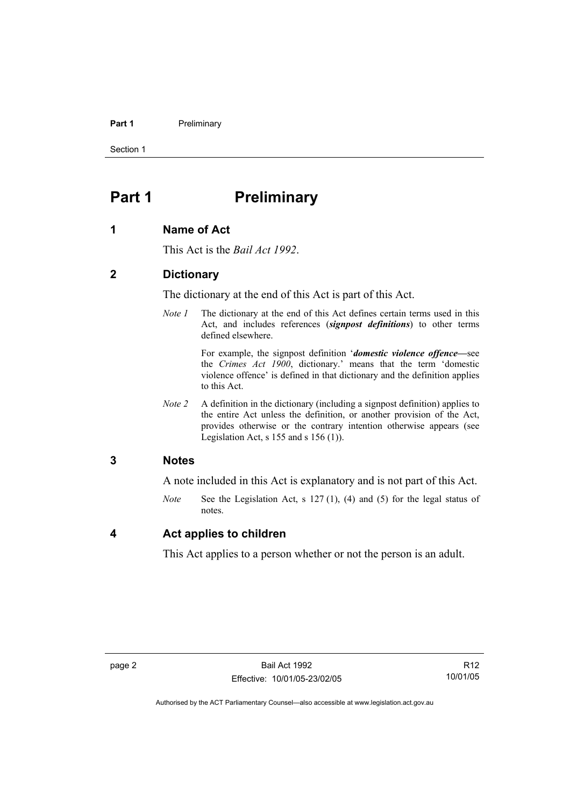#### **Part 1** Preliminary

Section 1

# **Part 1** Preliminary

### **1 Name of Act**

This Act is the *Bail Act 1992*.

### **2 Dictionary**

The dictionary at the end of this Act is part of this Act.

*Note 1* The dictionary at the end of this Act defines certain terms used in this Act, and includes references (*signpost definitions*) to other terms defined elsewhere.

> For example, the signpost definition '*domestic violence offence—*see the *Crimes Act 1900*, dictionary.' means that the term 'domestic violence offence' is defined in that dictionary and the definition applies to this Act.

*Note 2* A definition in the dictionary (including a signpost definition) applies to the entire Act unless the definition, or another provision of the Act, provides otherwise or the contrary intention otherwise appears (see Legislation Act, s  $155$  and s  $156$  (1)).

### **3 Notes**

A note included in this Act is explanatory and is not part of this Act.

*Note* See the Legislation Act, s 127 (1), (4) and (5) for the legal status of notes.

### **4 Act applies to children**

This Act applies to a person whether or not the person is an adult.

R12 10/01/05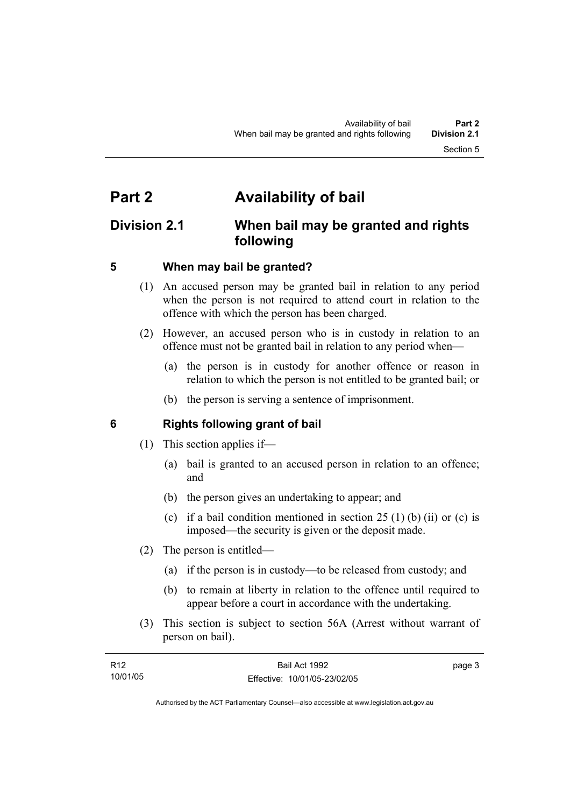# **Part 2 Availability of bail**

# **Division 2.1 When bail may be granted and rights following**

# **5 When may bail be granted?**

- (1) An accused person may be granted bail in relation to any period when the person is not required to attend court in relation to the offence with which the person has been charged.
- (2) However, an accused person who is in custody in relation to an offence must not be granted bail in relation to any period when—
	- (a) the person is in custody for another offence or reason in relation to which the person is not entitled to be granted bail; or
	- (b) the person is serving a sentence of imprisonment.

# **6 Rights following grant of bail**

- (1) This section applies if—
	- (a) bail is granted to an accused person in relation to an offence; and
	- (b) the person gives an undertaking to appear; and
	- (c) if a bail condition mentioned in section  $25(1)$  (b) (ii) or (c) is imposed—the security is given or the deposit made.
- (2) The person is entitled—
	- (a) if the person is in custody—to be released from custody; and
	- (b) to remain at liberty in relation to the offence until required to appear before a court in accordance with the undertaking.
- (3) This section is subject to section 56A (Arrest without warrant of person on bail).

| R <sub>12</sub> | Bail Act 1992                | page 3 |
|-----------------|------------------------------|--------|
| 10/01/05        | Effective: 10/01/05-23/02/05 |        |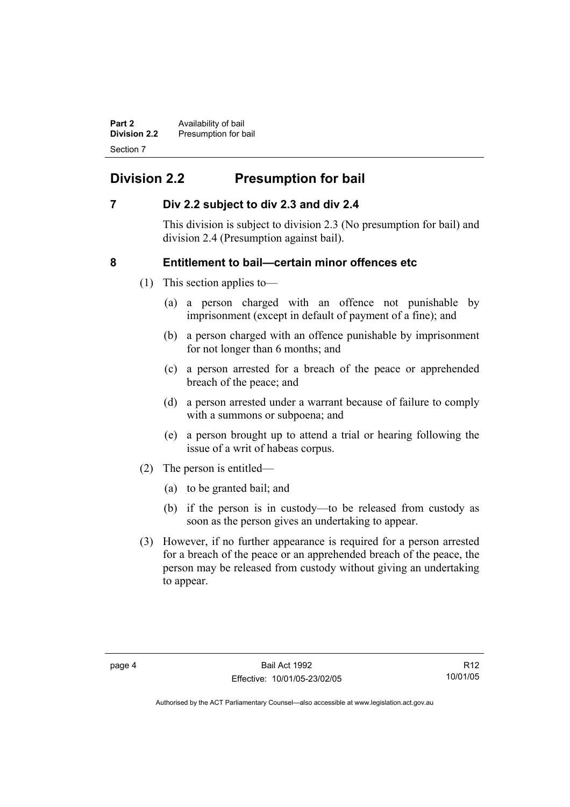**Part 2 Availability of bail Division 2.2** Presumption for bail Section 7

# **Division 2.2 Presumption for bail**

# **7 Div 2.2 subject to div 2.3 and div 2.4**

This division is subject to division 2.3 (No presumption for bail) and division 2.4 (Presumption against bail).

# **8 Entitlement to bail—certain minor offences etc**

- (1) This section applies to—
	- (a) a person charged with an offence not punishable by imprisonment (except in default of payment of a fine); and
	- (b) a person charged with an offence punishable by imprisonment for not longer than 6 months; and
	- (c) a person arrested for a breach of the peace or apprehended breach of the peace; and
	- (d) a person arrested under a warrant because of failure to comply with a summons or subpoena; and
	- (e) a person brought up to attend a trial or hearing following the issue of a writ of habeas corpus.
- (2) The person is entitled—
	- (a) to be granted bail; and
	- (b) if the person is in custody—to be released from custody as soon as the person gives an undertaking to appear.
- (3) However, if no further appearance is required for a person arrested for a breach of the peace or an apprehended breach of the peace, the person may be released from custody without giving an undertaking to appear.

R12 10/01/05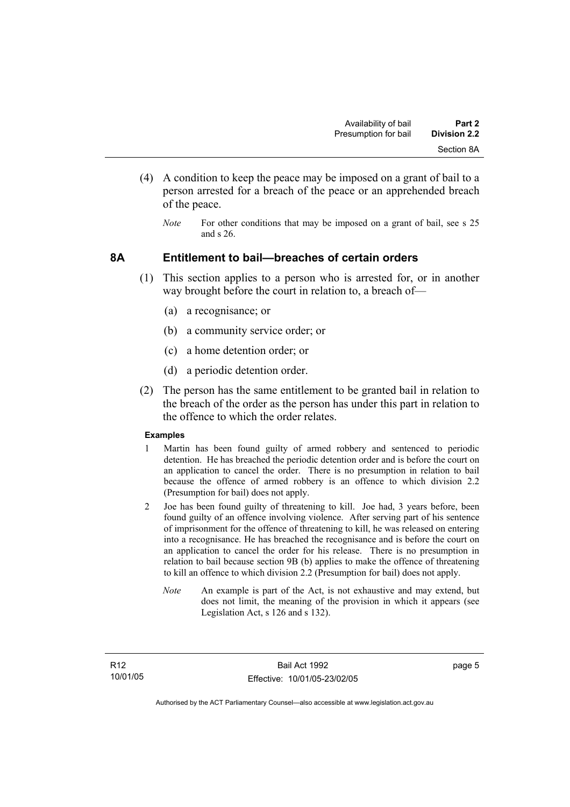- (4) A condition to keep the peace may be imposed on a grant of bail to a person arrested for a breach of the peace or an apprehended breach of the peace.
	- *Note* For other conditions that may be imposed on a grant of bail, see s 25 and s 26.

### **8A Entitlement to bail—breaches of certain orders**

- (1) This section applies to a person who is arrested for, or in another way brought before the court in relation to, a breach of—
	- (a) a recognisance; or
	- (b) a community service order; or
	- (c) a home detention order; or
	- (d) a periodic detention order.
- (2) The person has the same entitlement to be granted bail in relation to the breach of the order as the person has under this part in relation to the offence to which the order relates.

#### **Examples**

- 1 Martin has been found guilty of armed robbery and sentenced to periodic detention. He has breached the periodic detention order and is before the court on an application to cancel the order. There is no presumption in relation to bail because the offence of armed robbery is an offence to which division 2.2 (Presumption for bail) does not apply.
- 2 Joe has been found guilty of threatening to kill. Joe had, 3 years before, been found guilty of an offence involving violence. After serving part of his sentence of imprisonment for the offence of threatening to kill, he was released on entering into a recognisance. He has breached the recognisance and is before the court on an application to cancel the order for his release. There is no presumption in relation to bail because section 9B (b) applies to make the offence of threatening to kill an offence to which division 2.2 (Presumption for bail) does not apply.
	- *Note* An example is part of the Act, is not exhaustive and may extend, but does not limit, the meaning of the provision in which it appears (see Legislation Act, s 126 and s 132).

page 5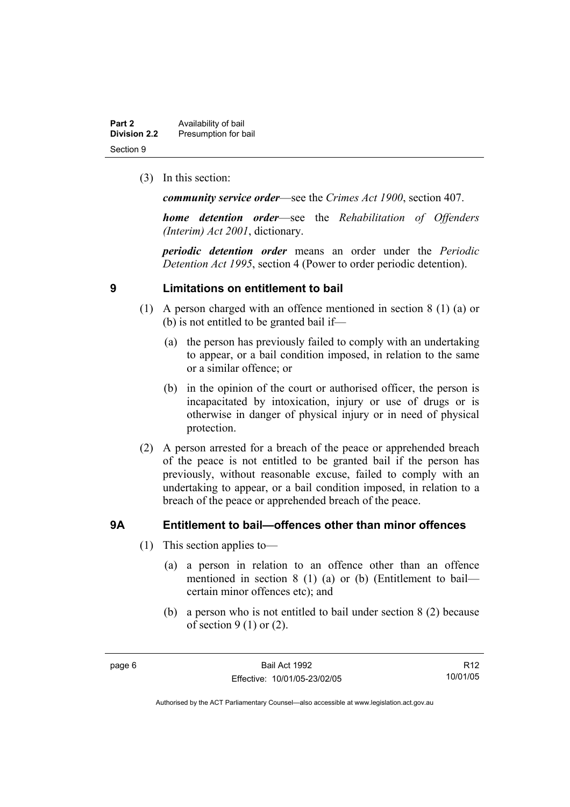| Part 2              | Availability of bail |
|---------------------|----------------------|
| <b>Division 2.2</b> | Presumption for bail |
| Section 9           |                      |

(3) In this section:

*community service order*—see the *Crimes Act 1900*, section 407.

*home detention order*—see the *Rehabilitation of Offenders (Interim) Act 2001*, dictionary.

*periodic detention order* means an order under the *Periodic Detention Act 1995*, section 4 (Power to order periodic detention).

### **9 Limitations on entitlement to bail**

- (1) A person charged with an offence mentioned in section 8 (1) (a) or (b) is not entitled to be granted bail if—
	- (a) the person has previously failed to comply with an undertaking to appear, or a bail condition imposed, in relation to the same or a similar offence; or
	- (b) in the opinion of the court or authorised officer, the person is incapacitated by intoxication, injury or use of drugs or is otherwise in danger of physical injury or in need of physical protection.
- (2) A person arrested for a breach of the peace or apprehended breach of the peace is not entitled to be granted bail if the person has previously, without reasonable excuse, failed to comply with an undertaking to appear, or a bail condition imposed, in relation to a breach of the peace or apprehended breach of the peace.

# **9A Entitlement to bail—offences other than minor offences**

- (1) This section applies to—
	- (a) a person in relation to an offence other than an offence mentioned in section 8 (1) (a) or (b) (Entitlement to bail certain minor offences etc); and
	- (b) a person who is not entitled to bail under section 8 (2) because of section  $9(1)$  or  $(2)$ .

R12 10/01/05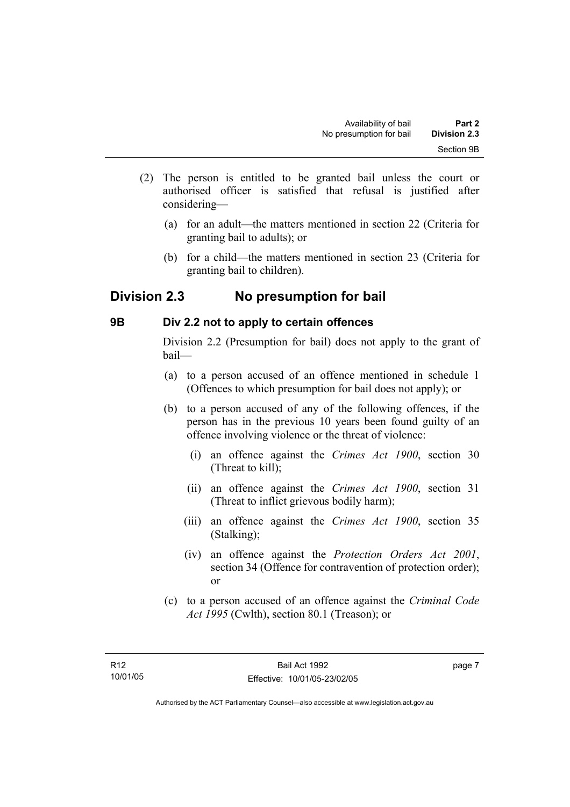- (2) The person is entitled to be granted bail unless the court or authorised officer is satisfied that refusal is justified after considering—
	- (a) for an adult—the matters mentioned in section 22 (Criteria for granting bail to adults); or
	- (b) for a child—the matters mentioned in section 23 (Criteria for granting bail to children).

# **Division 2.3 No presumption for bail**

# **9B Div 2.2 not to apply to certain offences**

Division 2.2 (Presumption for bail) does not apply to the grant of bail—

- (a) to a person accused of an offence mentioned in schedule 1 (Offences to which presumption for bail does not apply); or
- (b) to a person accused of any of the following offences, if the person has in the previous 10 years been found guilty of an offence involving violence or the threat of violence:
	- (i) an offence against the *Crimes Act 1900*, section 30 (Threat to kill);
	- (ii) an offence against the *Crimes Act 1900*, section 31 (Threat to inflict grievous bodily harm);
	- (iii) an offence against the *Crimes Act 1900*, section 35 (Stalking);
	- (iv) an offence against the *Protection Orders Act 2001*, section 34 (Offence for contravention of protection order); or
- (c) to a person accused of an offence against the *Criminal Code Act 1995* (Cwlth), section 80.1 (Treason); or

page 7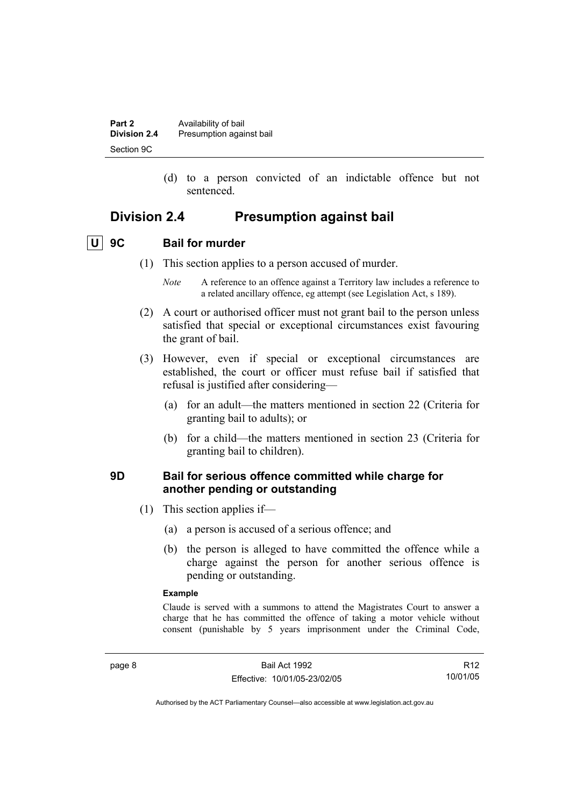| Part 2              | Availability of bail     |
|---------------------|--------------------------|
| <b>Division 2.4</b> | Presumption against bail |
| Section 9C          |                          |

 (d) to a person convicted of an indictable offence but not sentenced.

# **Division 2.4 Presumption against bail**

 **U 9C Bail for murder** 

- (1) This section applies to a person accused of murder.
	- *Note* A reference to an offence against a Territory law includes a reference to a related ancillary offence, eg attempt (see Legislation Act, s 189).
- (2) A court or authorised officer must not grant bail to the person unless satisfied that special or exceptional circumstances exist favouring the grant of bail.
- (3) However, even if special or exceptional circumstances are established, the court or officer must refuse bail if satisfied that refusal is justified after considering—
	- (a) for an adult—the matters mentioned in section 22 (Criteria for granting bail to adults); or
	- (b) for a child—the matters mentioned in section 23 (Criteria for granting bail to children).

# **9D Bail for serious offence committed while charge for another pending or outstanding**

- (1) This section applies if—
	- (a) a person is accused of a serious offence; and
	- (b) the person is alleged to have committed the offence while a charge against the person for another serious offence is pending or outstanding.

#### **Example**

Claude is served with a summons to attend the Magistrates Court to answer a charge that he has committed the offence of taking a motor vehicle without consent (punishable by 5 years imprisonment under the Criminal Code,

R12 10/01/05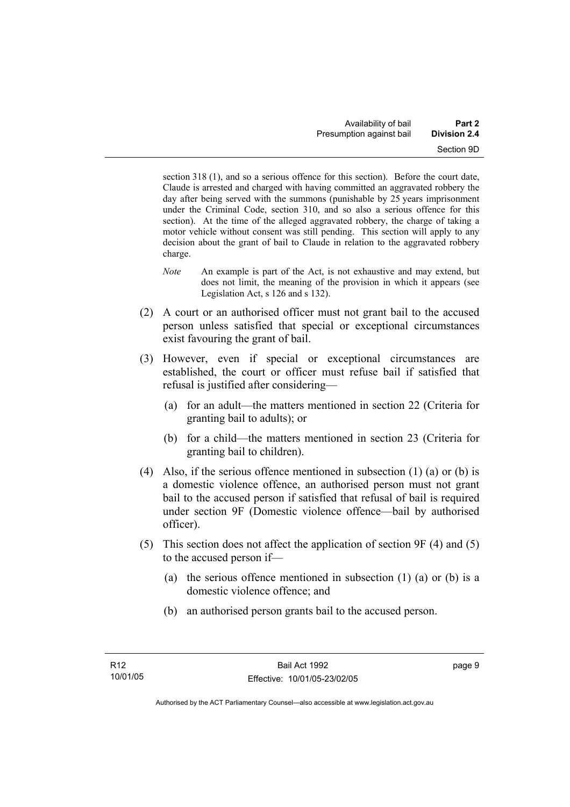section 318 (1), and so a serious offence for this section). Before the court date, Claude is arrested and charged with having committed an aggravated robbery the day after being served with the summons (punishable by 25 years imprisonment under the Criminal Code, section 310, and so also a serious offence for this section). At the time of the alleged aggravated robbery, the charge of taking a motor vehicle without consent was still pending. This section will apply to any decision about the grant of bail to Claude in relation to the aggravated robbery charge.

- *Note* An example is part of the Act, is not exhaustive and may extend, but does not limit, the meaning of the provision in which it appears (see Legislation Act, s 126 and s 132).
- (2) A court or an authorised officer must not grant bail to the accused person unless satisfied that special or exceptional circumstances exist favouring the grant of bail.
- (3) However, even if special or exceptional circumstances are established, the court or officer must refuse bail if satisfied that refusal is justified after considering—
	- (a) for an adult—the matters mentioned in section 22 (Criteria for granting bail to adults); or
	- (b) for a child—the matters mentioned in section 23 (Criteria for granting bail to children).
- (4) Also, if the serious offence mentioned in subsection (1) (a) or (b) is a domestic violence offence, an authorised person must not grant bail to the accused person if satisfied that refusal of bail is required under section 9F (Domestic violence offence—bail by authorised officer).
- (5) This section does not affect the application of section 9F (4) and (5) to the accused person if—
	- (a) the serious offence mentioned in subsection (1) (a) or (b) is a domestic violence offence; and
	- (b) an authorised person grants bail to the accused person.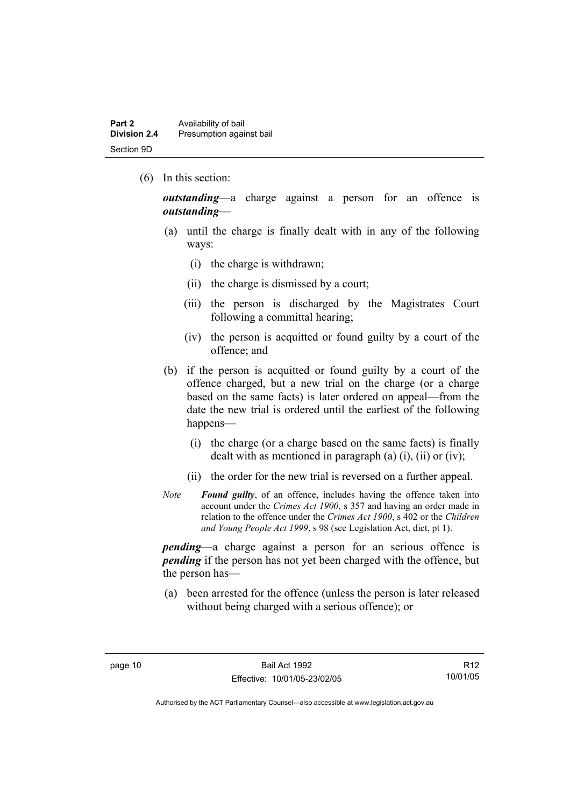(6) In this section:

*outstanding*—a charge against a person for an offence is *outstanding*—

- (a) until the charge is finally dealt with in any of the following ways:
	- (i) the charge is withdrawn;
	- (ii) the charge is dismissed by a court;
	- (iii) the person is discharged by the Magistrates Court following a committal hearing;
	- (iv) the person is acquitted or found guilty by a court of the offence; and
- (b) if the person is acquitted or found guilty by a court of the offence charged, but a new trial on the charge (or a charge based on the same facts) is later ordered on appeal—from the date the new trial is ordered until the earliest of the following happens—
	- (i) the charge (or a charge based on the same facts) is finally dealt with as mentioned in paragraph (a)  $(i)$ ,  $(ii)$  or  $(iv)$ ;
	- (ii) the order for the new trial is reversed on a further appeal.
- *Note Found guilty*, of an offence, includes having the offence taken into account under the *Crimes Act 1900*, s 357 and having an order made in relation to the offence under the *Crimes Act 1900*, s 402 or the *Children and Young People Act 1999*, s 98 (see Legislation Act, dict, pt 1).

*pending*—a charge against a person for an serious offence is *pending* if the person has not yet been charged with the offence, but the person has—

 (a) been arrested for the offence (unless the person is later released without being charged with a serious offence); or

R12 10/01/05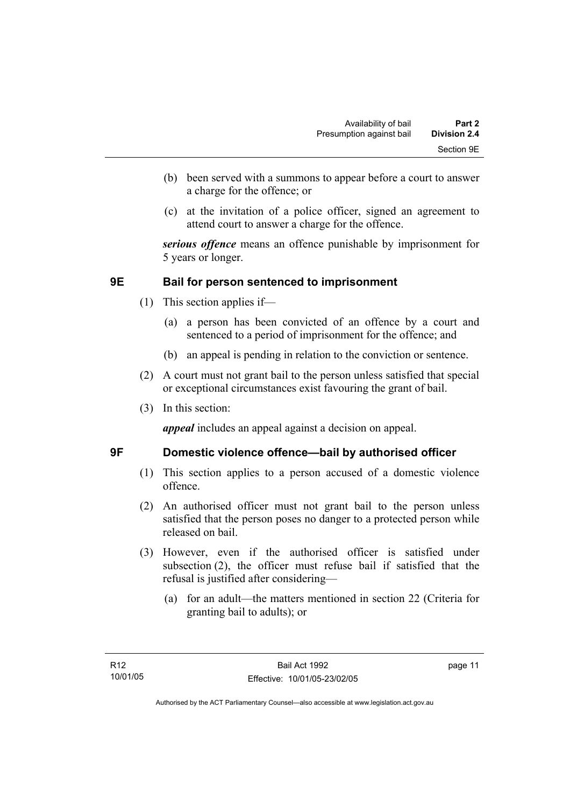- (b) been served with a summons to appear before a court to answer a charge for the offence; or
- (c) at the invitation of a police officer, signed an agreement to attend court to answer a charge for the offence.

*serious offence* means an offence punishable by imprisonment for 5 years or longer.

# **9E Bail for person sentenced to imprisonment**

- (1) This section applies if—
	- (a) a person has been convicted of an offence by a court and sentenced to a period of imprisonment for the offence; and
	- (b) an appeal is pending in relation to the conviction or sentence.
- (2) A court must not grant bail to the person unless satisfied that special or exceptional circumstances exist favouring the grant of bail.
- (3) In this section:

*appeal* includes an appeal against a decision on appeal.

# **9F Domestic violence offence—bail by authorised officer**

- (1) This section applies to a person accused of a domestic violence offence.
- (2) An authorised officer must not grant bail to the person unless satisfied that the person poses no danger to a protected person while released on bail.
- (3) However, even if the authorised officer is satisfied under subsection (2), the officer must refuse bail if satisfied that the refusal is justified after considering—
	- (a) for an adult—the matters mentioned in section 22 (Criteria for granting bail to adults); or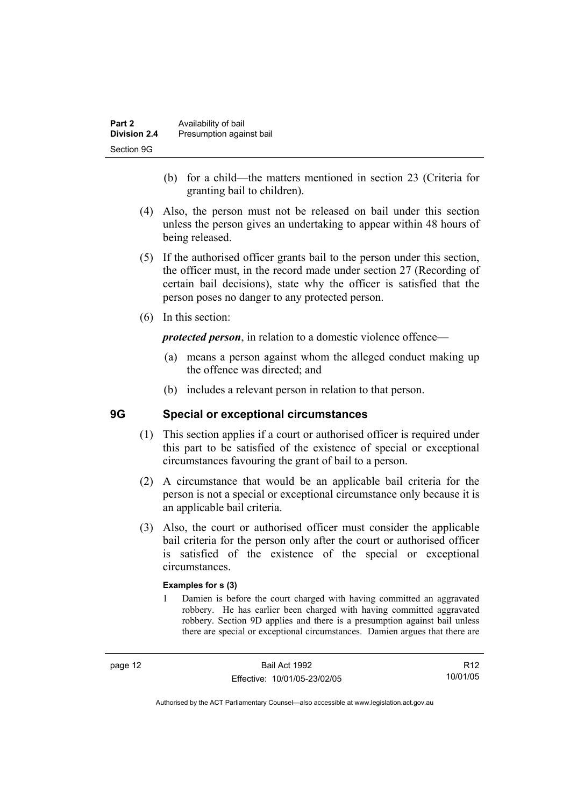| Part 2<br><b>Division 2.4</b> | Availability of bail     |
|-------------------------------|--------------------------|
|                               | Presumption against bail |
| Section 9G                    |                          |

- (b) for a child—the matters mentioned in section 23 (Criteria for granting bail to children).
- (4) Also, the person must not be released on bail under this section unless the person gives an undertaking to appear within 48 hours of being released.
- (5) If the authorised officer grants bail to the person under this section, the officer must, in the record made under section 27 (Recording of certain bail decisions), state why the officer is satisfied that the person poses no danger to any protected person.
- (6) In this section:

*protected person*, in relation to a domestic violence offence—

- (a) means a person against whom the alleged conduct making up the offence was directed; and
- (b) includes a relevant person in relation to that person.

# **9G Special or exceptional circumstances**

- (1) This section applies if a court or authorised officer is required under this part to be satisfied of the existence of special or exceptional circumstances favouring the grant of bail to a person.
- (2) A circumstance that would be an applicable bail criteria for the person is not a special or exceptional circumstance only because it is an applicable bail criteria.
- (3) Also, the court or authorised officer must consider the applicable bail criteria for the person only after the court or authorised officer is satisfied of the existence of the special or exceptional circumstances.

#### **Examples for s (3)**

1 Damien is before the court charged with having committed an aggravated robbery. He has earlier been charged with having committed aggravated robbery. Section 9D applies and there is a presumption against bail unless there are special or exceptional circumstances. Damien argues that there are

R12 10/01/05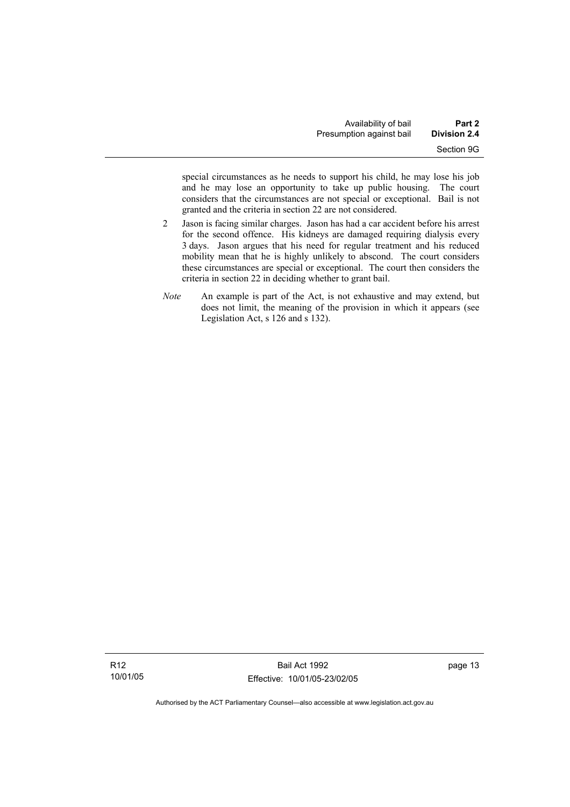special circumstances as he needs to support his child, he may lose his job and he may lose an opportunity to take up public housing. The court considers that the circumstances are not special or exceptional. Bail is not granted and the criteria in section 22 are not considered.

- 2 Jason is facing similar charges. Jason has had a car accident before his arrest for the second offence. His kidneys are damaged requiring dialysis every 3 days. Jason argues that his need for regular treatment and his reduced mobility mean that he is highly unlikely to abscond. The court considers these circumstances are special or exceptional. The court then considers the criteria in section 22 in deciding whether to grant bail.
- *Note* An example is part of the Act, is not exhaustive and may extend, but does not limit, the meaning of the provision in which it appears (see Legislation Act, s 126 and s 132).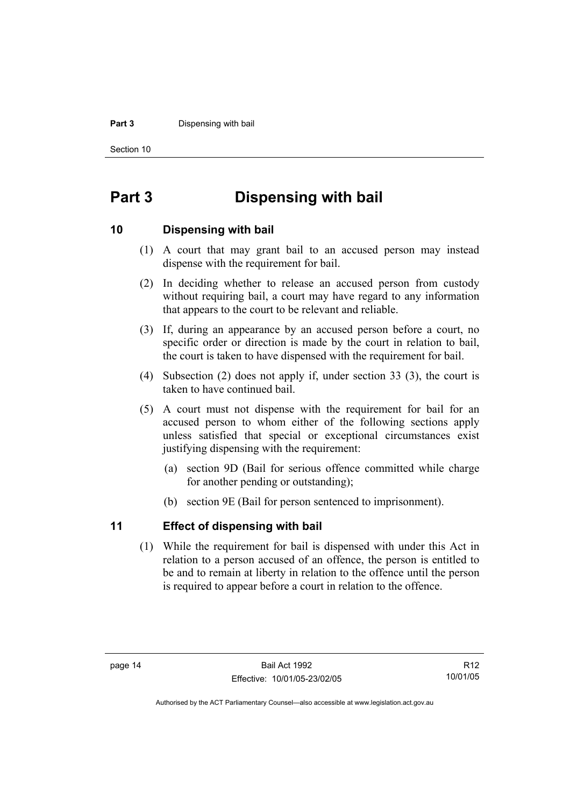#### **Part 3** Dispensing with bail

Section 10

# **Part 3 Dispensing with bail**

### **10 Dispensing with bail**

- (1) A court that may grant bail to an accused person may instead dispense with the requirement for bail.
- (2) In deciding whether to release an accused person from custody without requiring bail, a court may have regard to any information that appears to the court to be relevant and reliable.
- (3) If, during an appearance by an accused person before a court, no specific order or direction is made by the court in relation to bail, the court is taken to have dispensed with the requirement for bail.
- (4) Subsection (2) does not apply if, under section 33 (3), the court is taken to have continued bail.
- (5) A court must not dispense with the requirement for bail for an accused person to whom either of the following sections apply unless satisfied that special or exceptional circumstances exist justifying dispensing with the requirement:
	- (a) section 9D (Bail for serious offence committed while charge for another pending or outstanding);
	- (b) section 9E (Bail for person sentenced to imprisonment).

# **11 Effect of dispensing with bail**

 (1) While the requirement for bail is dispensed with under this Act in relation to a person accused of an offence, the person is entitled to be and to remain at liberty in relation to the offence until the person is required to appear before a court in relation to the offence.

R12 10/01/05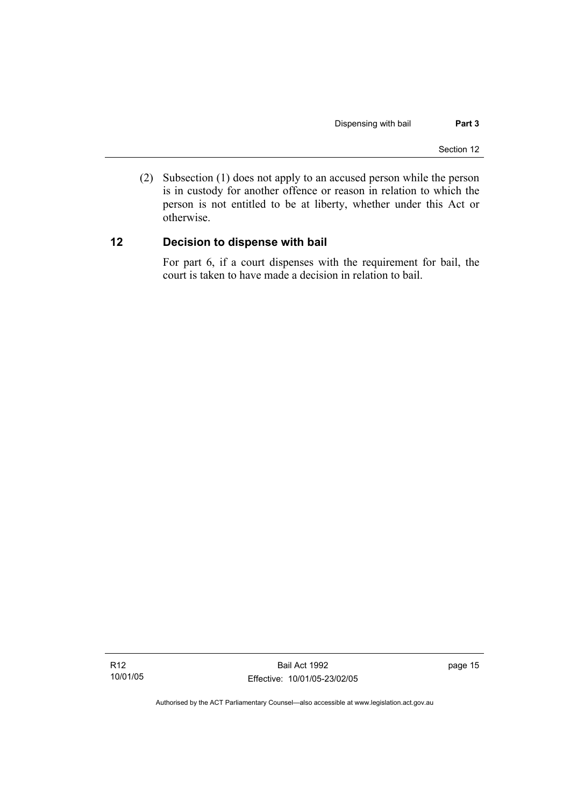(2) Subsection (1) does not apply to an accused person while the person is in custody for another offence or reason in relation to which the person is not entitled to be at liberty, whether under this Act or otherwise.

# **12 Decision to dispense with bail**

For part 6, if a court dispenses with the requirement for bail, the court is taken to have made a decision in relation to bail.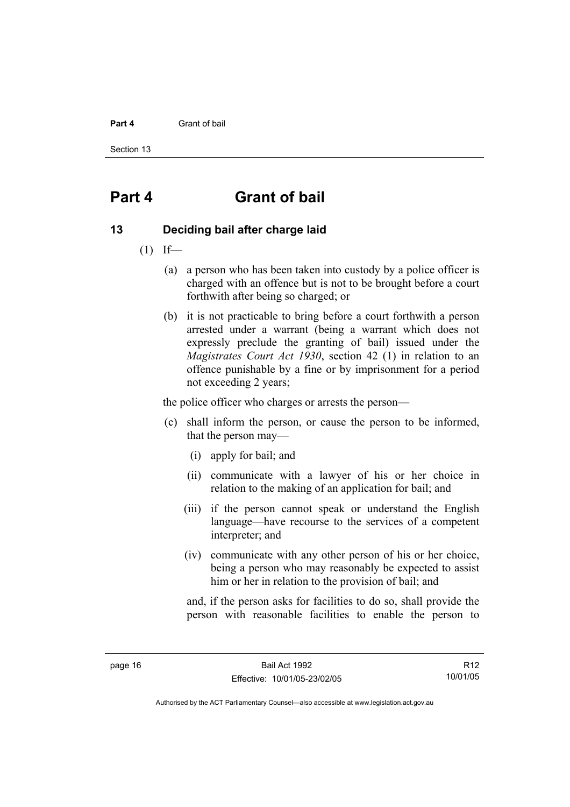#### **Part 4** Grant of bail

Section 13

# **Part 4 Grant of bail**

### **13 Deciding bail after charge laid**

- $(1)$  If—
	- (a) a person who has been taken into custody by a police officer is charged with an offence but is not to be brought before a court forthwith after being so charged; or
	- (b) it is not practicable to bring before a court forthwith a person arrested under a warrant (being a warrant which does not expressly preclude the granting of bail) issued under the *Magistrates Court Act 1930*, section 42 (1) in relation to an offence punishable by a fine or by imprisonment for a period not exceeding 2 years;

the police officer who charges or arrests the person—

- (c) shall inform the person, or cause the person to be informed, that the person may—
	- (i) apply for bail; and
	- (ii) communicate with a lawyer of his or her choice in relation to the making of an application for bail; and
	- (iii) if the person cannot speak or understand the English language—have recourse to the services of a competent interpreter; and
	- (iv) communicate with any other person of his or her choice, being a person who may reasonably be expected to assist him or her in relation to the provision of bail; and

and, if the person asks for facilities to do so, shall provide the person with reasonable facilities to enable the person to

R12 10/01/05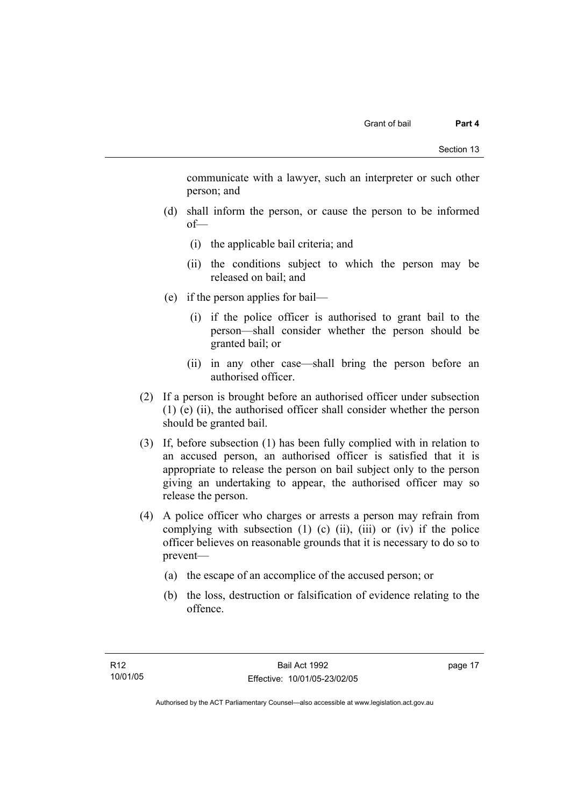communicate with a lawyer, such an interpreter or such other person; and

- (d) shall inform the person, or cause the person to be informed of—
	- (i) the applicable bail criteria; and
	- (ii) the conditions subject to which the person may be released on bail; and
- (e) if the person applies for bail—
	- (i) if the police officer is authorised to grant bail to the person—shall consider whether the person should be granted bail; or
	- (ii) in any other case—shall bring the person before an authorised officer.
- (2) If a person is brought before an authorised officer under subsection (1) (e) (ii), the authorised officer shall consider whether the person should be granted bail.
- (3) If, before subsection (1) has been fully complied with in relation to an accused person, an authorised officer is satisfied that it is appropriate to release the person on bail subject only to the person giving an undertaking to appear, the authorised officer may so release the person.
- (4) A police officer who charges or arrests a person may refrain from complying with subsection  $(1)$   $(c)$   $(ii)$ ,  $(iii)$  or  $(iv)$  if the police officer believes on reasonable grounds that it is necessary to do so to prevent—
	- (a) the escape of an accomplice of the accused person; or
	- (b) the loss, destruction or falsification of evidence relating to the offence.

page 17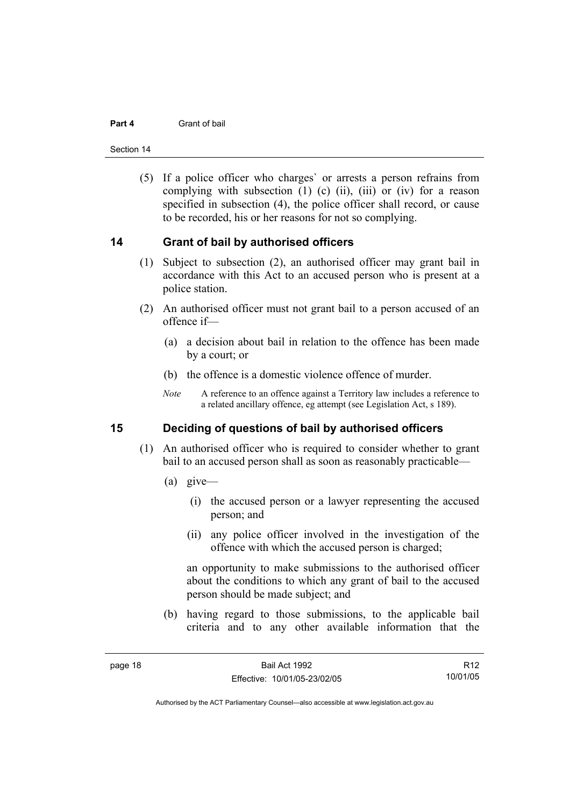#### **Part 4** Grant of bail

Section 14

 (5) If a police officer who charges` or arrests a person refrains from complying with subsection  $(1)$   $(c)$   $(ii)$ ,  $(iii)$  or  $(iv)$  for a reason specified in subsection (4), the police officer shall record, or cause to be recorded, his or her reasons for not so complying.

### **14 Grant of bail by authorised officers**

- (1) Subject to subsection (2), an authorised officer may grant bail in accordance with this Act to an accused person who is present at a police station.
- (2) An authorised officer must not grant bail to a person accused of an offence if—
	- (a) a decision about bail in relation to the offence has been made by a court; or
	- (b) the offence is a domestic violence offence of murder.
	- *Note* A reference to an offence against a Territory law includes a reference to a related ancillary offence, eg attempt (see Legislation Act, s 189).

# **15 Deciding of questions of bail by authorised officers**

- (1) An authorised officer who is required to consider whether to grant bail to an accused person shall as soon as reasonably practicable—
	- (a) give—
		- (i) the accused person or a lawyer representing the accused person; and
		- (ii) any police officer involved in the investigation of the offence with which the accused person is charged;

an opportunity to make submissions to the authorised officer about the conditions to which any grant of bail to the accused person should be made subject; and

 (b) having regard to those submissions, to the applicable bail criteria and to any other available information that the

R12 10/01/05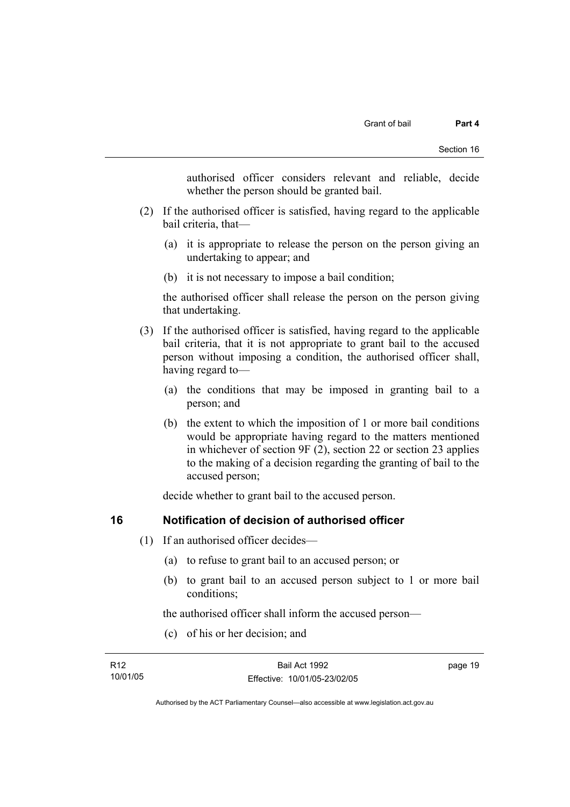authorised officer considers relevant and reliable, decide whether the person should be granted bail.

- (2) If the authorised officer is satisfied, having regard to the applicable bail criteria, that—
	- (a) it is appropriate to release the person on the person giving an undertaking to appear; and
	- (b) it is not necessary to impose a bail condition;

the authorised officer shall release the person on the person giving that undertaking.

- (3) If the authorised officer is satisfied, having regard to the applicable bail criteria, that it is not appropriate to grant bail to the accused person without imposing a condition, the authorised officer shall, having regard to—
	- (a) the conditions that may be imposed in granting bail to a person; and
	- (b) the extent to which the imposition of 1 or more bail conditions would be appropriate having regard to the matters mentioned in whichever of section 9F (2), section 22 or section 23 applies to the making of a decision regarding the granting of bail to the accused person;

decide whether to grant bail to the accused person.

# **16 Notification of decision of authorised officer**

- (1) If an authorised officer decides—
	- (a) to refuse to grant bail to an accused person; or
	- (b) to grant bail to an accused person subject to 1 or more bail conditions;

the authorised officer shall inform the accused person—

(c) of his or her decision; and

| R12      | Bail Act 1992                | page 19 |
|----------|------------------------------|---------|
| 10/01/05 | Effective: 10/01/05-23/02/05 |         |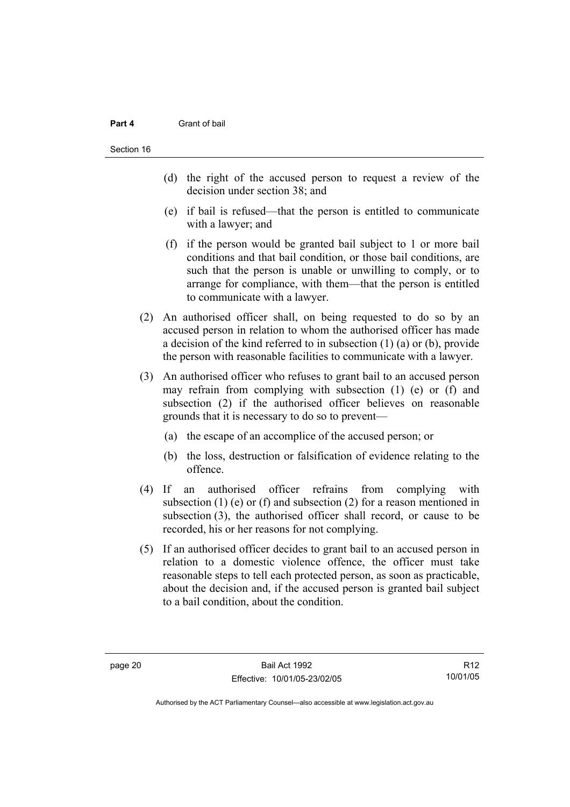#### **Part 4** Grant of bail

- (d) the right of the accused person to request a review of the decision under section 38; and
- (e) if bail is refused—that the person is entitled to communicate with a lawyer; and
- (f) if the person would be granted bail subject to 1 or more bail conditions and that bail condition, or those bail conditions, are such that the person is unable or unwilling to comply, or to arrange for compliance, with them—that the person is entitled to communicate with a lawyer.
- (2) An authorised officer shall, on being requested to do so by an accused person in relation to whom the authorised officer has made a decision of the kind referred to in subsection (1) (a) or (b), provide the person with reasonable facilities to communicate with a lawyer.
- (3) An authorised officer who refuses to grant bail to an accused person may refrain from complying with subsection (1) (e) or (f) and subsection (2) if the authorised officer believes on reasonable grounds that it is necessary to do so to prevent—
	- (a) the escape of an accomplice of the accused person; or
	- (b) the loss, destruction or falsification of evidence relating to the offence.
- (4) If an authorised officer refrains from complying with subsection (1) (e) or (f) and subsection (2) for a reason mentioned in subsection (3), the authorised officer shall record, or cause to be recorded, his or her reasons for not complying.
- (5) If an authorised officer decides to grant bail to an accused person in relation to a domestic violence offence, the officer must take reasonable steps to tell each protected person, as soon as practicable, about the decision and, if the accused person is granted bail subject to a bail condition, about the condition.

R12 10/01/05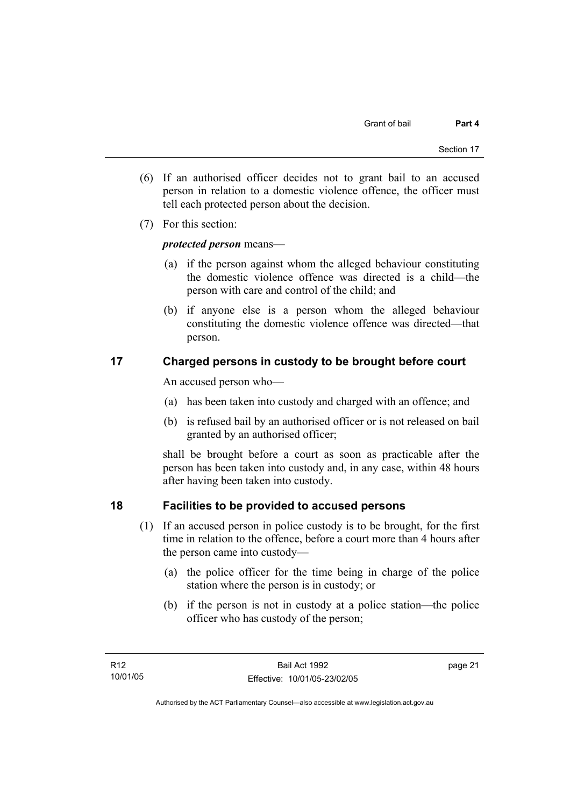- (6) If an authorised officer decides not to grant bail to an accused person in relation to a domestic violence offence, the officer must tell each protected person about the decision.
- (7) For this section:

# *protected person* means—

- (a) if the person against whom the alleged behaviour constituting the domestic violence offence was directed is a child—the person with care and control of the child; and
- (b) if anyone else is a person whom the alleged behaviour constituting the domestic violence offence was directed—that person.

# **17 Charged persons in custody to be brought before court**

An accused person who—

- (a) has been taken into custody and charged with an offence; and
- (b) is refused bail by an authorised officer or is not released on bail granted by an authorised officer;

shall be brought before a court as soon as practicable after the person has been taken into custody and, in any case, within 48 hours after having been taken into custody.

# **18 Facilities to be provided to accused persons**

- (1) If an accused person in police custody is to be brought, for the first time in relation to the offence, before a court more than 4 hours after the person came into custody—
	- (a) the police officer for the time being in charge of the police station where the person is in custody; or
	- (b) if the person is not in custody at a police station—the police officer who has custody of the person;

page 21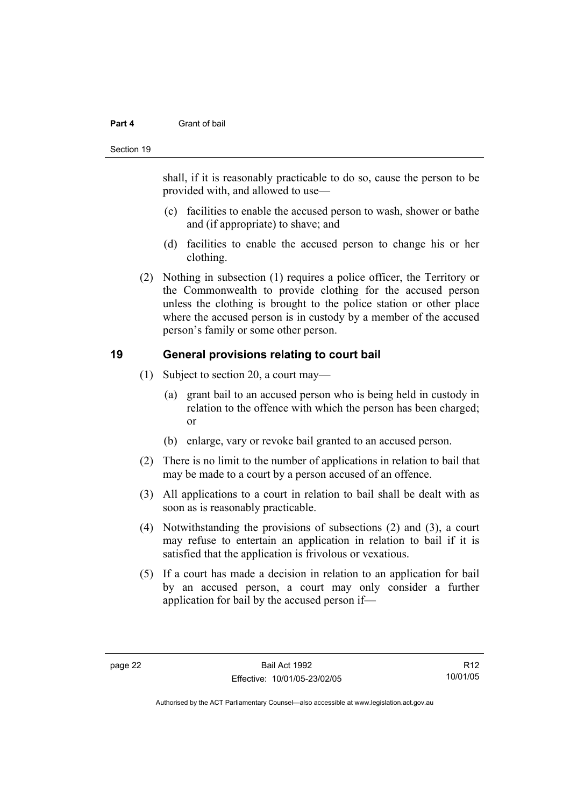#### **Part 4** Grant of bail

#### Section 19

shall, if it is reasonably practicable to do so, cause the person to be provided with, and allowed to use—

- (c) facilities to enable the accused person to wash, shower or bathe and (if appropriate) to shave; and
- (d) facilities to enable the accused person to change his or her clothing.
- (2) Nothing in subsection (1) requires a police officer, the Territory or the Commonwealth to provide clothing for the accused person unless the clothing is brought to the police station or other place where the accused person is in custody by a member of the accused person's family or some other person.

# **19 General provisions relating to court bail**

- (1) Subject to section 20, a court may—
	- (a) grant bail to an accused person who is being held in custody in relation to the offence with which the person has been charged; or
	- (b) enlarge, vary or revoke bail granted to an accused person.
- (2) There is no limit to the number of applications in relation to bail that may be made to a court by a person accused of an offence.
- (3) All applications to a court in relation to bail shall be dealt with as soon as is reasonably practicable.
- (4) Notwithstanding the provisions of subsections (2) and (3), a court may refuse to entertain an application in relation to bail if it is satisfied that the application is frivolous or vexatious.
- (5) If a court has made a decision in relation to an application for bail by an accused person, a court may only consider a further application for bail by the accused person if—

R12 10/01/05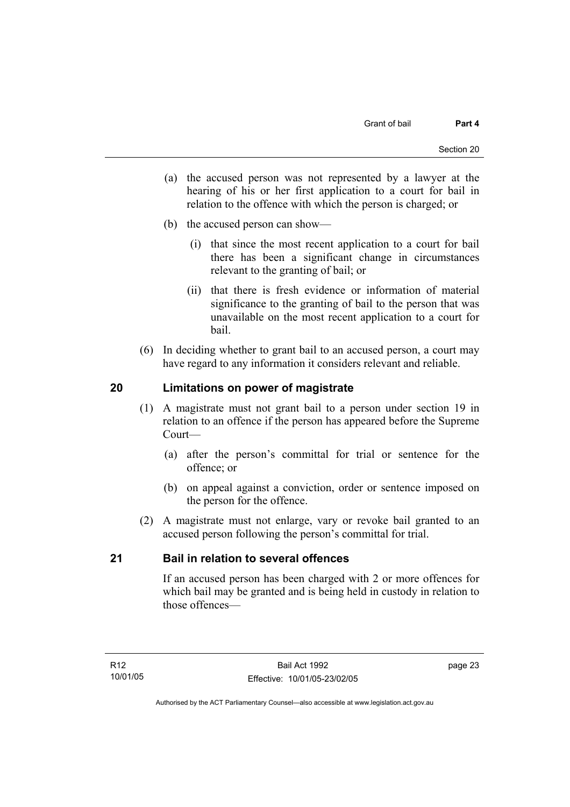- (a) the accused person was not represented by a lawyer at the hearing of his or her first application to a court for bail in relation to the offence with which the person is charged; or
- (b) the accused person can show—
	- (i) that since the most recent application to a court for bail there has been a significant change in circumstances relevant to the granting of bail; or
	- (ii) that there is fresh evidence or information of material significance to the granting of bail to the person that was unavailable on the most recent application to a court for bail.
- (6) In deciding whether to grant bail to an accused person, a court may have regard to any information it considers relevant and reliable.

# **20 Limitations on power of magistrate**

- (1) A magistrate must not grant bail to a person under section 19 in relation to an offence if the person has appeared before the Supreme Court—
	- (a) after the person's committal for trial or sentence for the offence; or
	- (b) on appeal against a conviction, order or sentence imposed on the person for the offence.
- (2) A magistrate must not enlarge, vary or revoke bail granted to an accused person following the person's committal for trial.

# **21 Bail in relation to several offences**

If an accused person has been charged with 2 or more offences for which bail may be granted and is being held in custody in relation to those offences—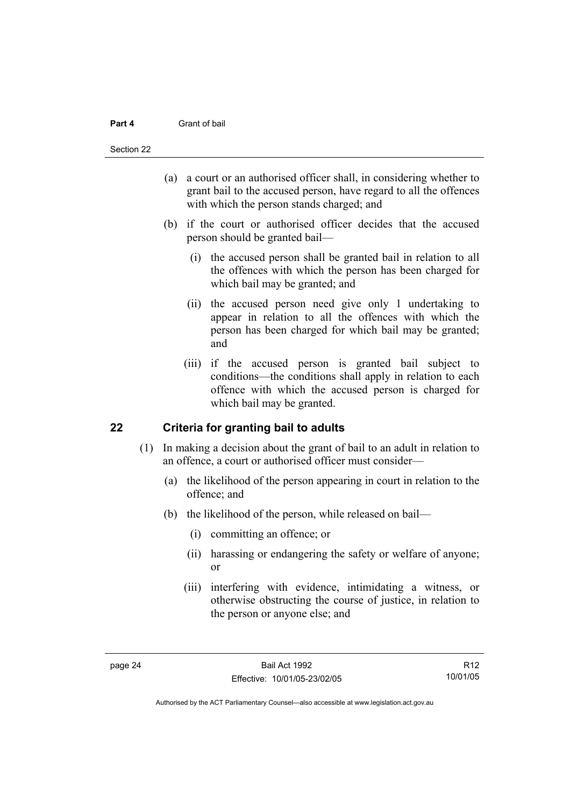#### **Part 4** Grant of bail

#### Section 22

- (a) a court or an authorised officer shall, in considering whether to grant bail to the accused person, have regard to all the offences with which the person stands charged; and
- (b) if the court or authorised officer decides that the accused person should be granted bail—
	- (i) the accused person shall be granted bail in relation to all the offences with which the person has been charged for which bail may be granted; and
	- (ii) the accused person need give only 1 undertaking to appear in relation to all the offences with which the person has been charged for which bail may be granted; and
	- (iii) if the accused person is granted bail subject to conditions—the conditions shall apply in relation to each offence with which the accused person is charged for which bail may be granted.

# **22 Criteria for granting bail to adults**

- (1) In making a decision about the grant of bail to an adult in relation to an offence, a court or authorised officer must consider—
	- (a) the likelihood of the person appearing in court in relation to the offence; and
	- (b) the likelihood of the person, while released on bail—
		- (i) committing an offence; or
		- (ii) harassing or endangering the safety or welfare of anyone; or
		- (iii) interfering with evidence, intimidating a witness, or otherwise obstructing the course of justice, in relation to the person or anyone else; and

R12 10/01/05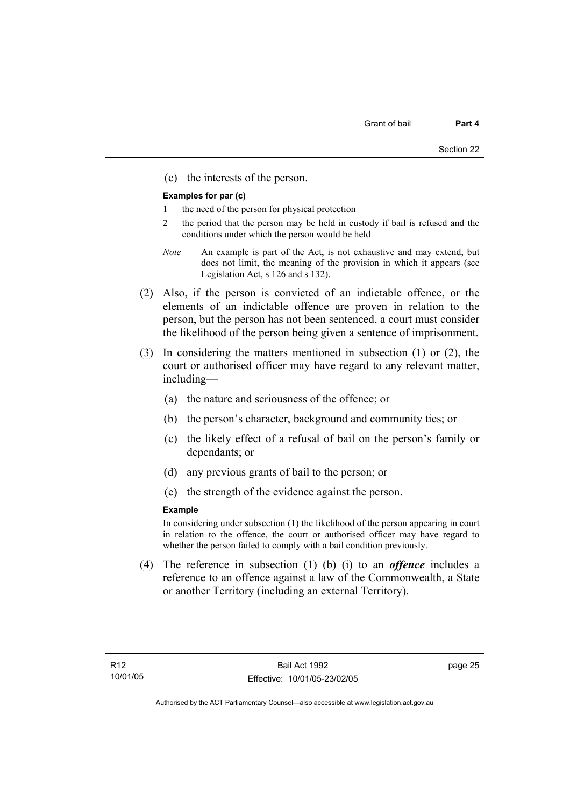(c) the interests of the person.

#### **Examples for par (c)**

- 1 the need of the person for physical protection
- 2 the period that the person may be held in custody if bail is refused and the conditions under which the person would be held
- *Note* An example is part of the Act, is not exhaustive and may extend, but does not limit, the meaning of the provision in which it appears (see Legislation Act, s 126 and s 132).
- (2) Also, if the person is convicted of an indictable offence, or the elements of an indictable offence are proven in relation to the person, but the person has not been sentenced, a court must consider the likelihood of the person being given a sentence of imprisonment.
- (3) In considering the matters mentioned in subsection (1) or (2), the court or authorised officer may have regard to any relevant matter, including—
	- (a) the nature and seriousness of the offence; or
	- (b) the person's character, background and community ties; or
	- (c) the likely effect of a refusal of bail on the person's family or dependants; or
	- (d) any previous grants of bail to the person; or
	- (e) the strength of the evidence against the person.

#### **Example**

In considering under subsection (1) the likelihood of the person appearing in court in relation to the offence, the court or authorised officer may have regard to whether the person failed to comply with a bail condition previously.

 (4) The reference in subsection (1) (b) (i) to an *offence* includes a reference to an offence against a law of the Commonwealth, a State or another Territory (including an external Territory).

page 25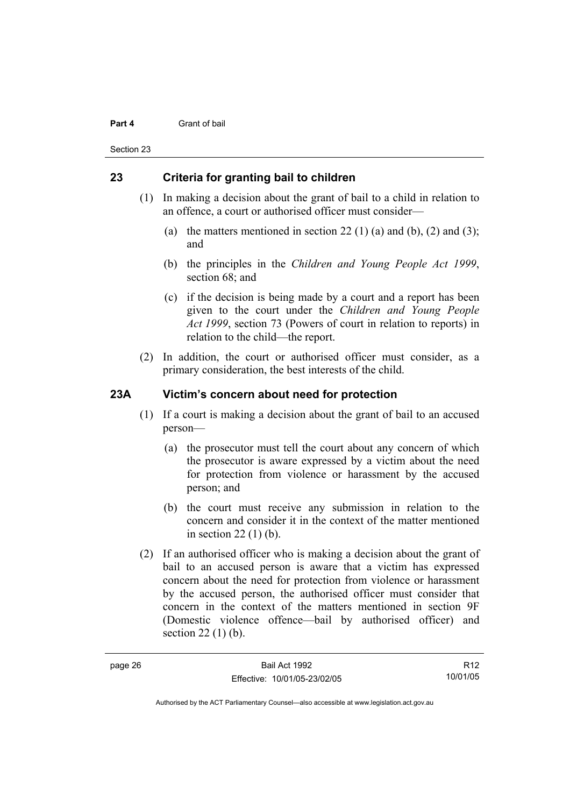#### **Part 4** Grant of bail

Section 23

# **23 Criteria for granting bail to children**

- (1) In making a decision about the grant of bail to a child in relation to an offence, a court or authorised officer must consider—
	- (a) the matters mentioned in section 22 (1) (a) and (b), (2) and (3); and
	- (b) the principles in the *Children and Young People Act 1999*, section 68; and
	- (c) if the decision is being made by a court and a report has been given to the court under the *Children and Young People Act 1999*, section 73 (Powers of court in relation to reports) in relation to the child—the report.
- (2) In addition, the court or authorised officer must consider, as a primary consideration, the best interests of the child.

# **23A Victim's concern about need for protection**

- (1) If a court is making a decision about the grant of bail to an accused person—
	- (a) the prosecutor must tell the court about any concern of which the prosecutor is aware expressed by a victim about the need for protection from violence or harassment by the accused person; and
	- (b) the court must receive any submission in relation to the concern and consider it in the context of the matter mentioned in section 22 (1) (b).
- (2) If an authorised officer who is making a decision about the grant of bail to an accused person is aware that a victim has expressed concern about the need for protection from violence or harassment by the accused person, the authorised officer must consider that concern in the context of the matters mentioned in section 9F (Domestic violence offence—bail by authorised officer) and section 22 (1) (b).

R12 10/01/05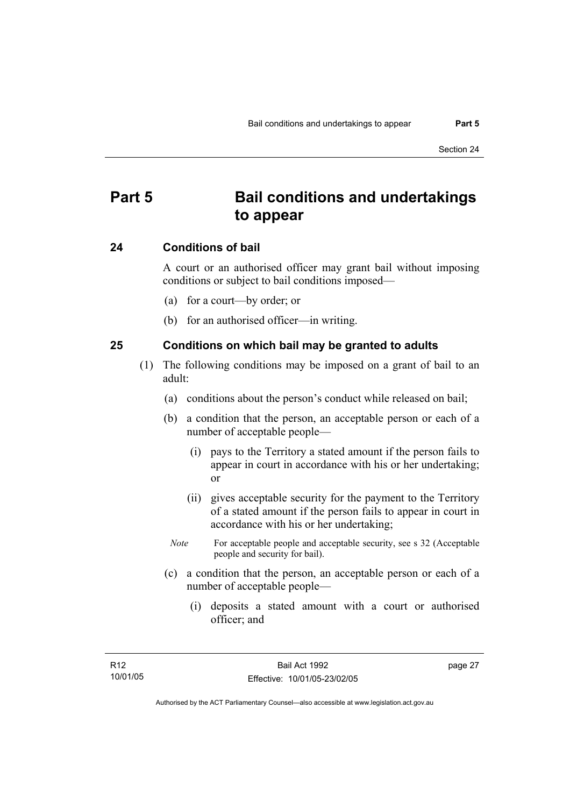# **Part 5 Bail conditions and undertakings to appear**

### **24 Conditions of bail**

A court or an authorised officer may grant bail without imposing conditions or subject to bail conditions imposed—

- (a) for a court—by order; or
- (b) for an authorised officer—in writing.

### **25 Conditions on which bail may be granted to adults**

- (1) The following conditions may be imposed on a grant of bail to an adult:
	- (a) conditions about the person's conduct while released on bail;
	- (b) a condition that the person, an acceptable person or each of a number of acceptable people—
		- (i) pays to the Territory a stated amount if the person fails to appear in court in accordance with his or her undertaking; or
		- (ii) gives acceptable security for the payment to the Territory of a stated amount if the person fails to appear in court in accordance with his or her undertaking;
		- *Note* For acceptable people and acceptable security, see s 32 (Acceptable people and security for bail).
	- (c) a condition that the person, an acceptable person or each of a number of acceptable people—
		- (i) deposits a stated amount with a court or authorised officer; and

page 27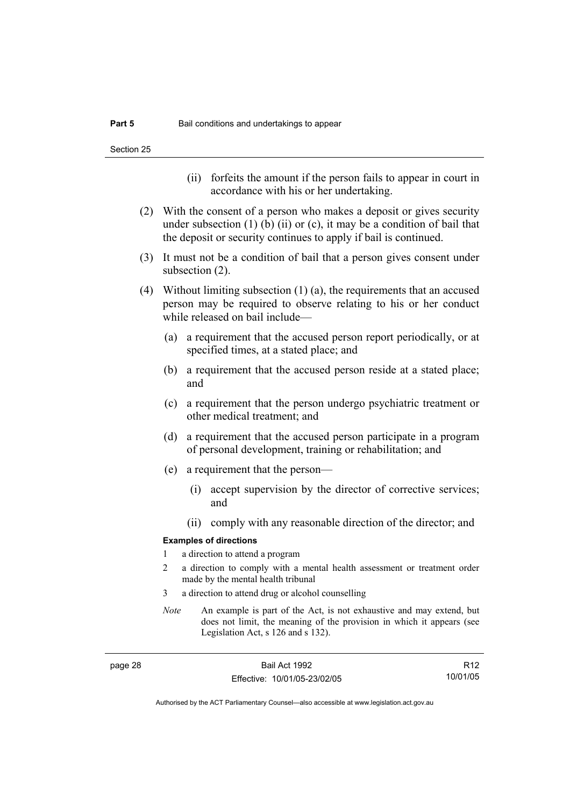- (ii) forfeits the amount if the person fails to appear in court in accordance with his or her undertaking.
- (2) With the consent of a person who makes a deposit or gives security under subsection  $(1)$  (b)  $(ii)$  or  $(c)$ , it may be a condition of bail that the deposit or security continues to apply if bail is continued.
- (3) It must not be a condition of bail that a person gives consent under subsection (2).
- (4) Without limiting subsection (1) (a), the requirements that an accused person may be required to observe relating to his or her conduct while released on bail include—
	- (a) a requirement that the accused person report periodically, or at specified times, at a stated place; and
	- (b) a requirement that the accused person reside at a stated place; and
	- (c) a requirement that the person undergo psychiatric treatment or other medical treatment; and
	- (d) a requirement that the accused person participate in a program of personal development, training or rehabilitation; and
	- (e) a requirement that the person—
		- (i) accept supervision by the director of corrective services; and
		- (ii) comply with any reasonable direction of the director; and

#### **Examples of directions**

- 1 a direction to attend a program
- 2 a direction to comply with a mental health assessment or treatment order made by the mental health tribunal
- 3 a direction to attend drug or alcohol counselling
- *Note* An example is part of the Act, is not exhaustive and may extend, but does not limit, the meaning of the provision in which it appears (see Legislation Act, s 126 and s 132).

page 28 Bail Act 1992 Effective: 10/01/05-23/02/05

R12 10/01/05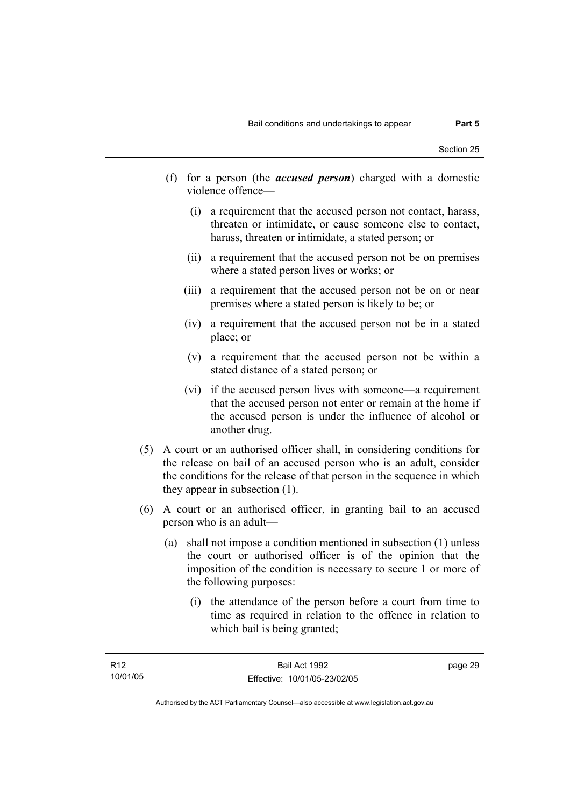- (f) for a person (the *accused person*) charged with a domestic violence offence—
	- (i) a requirement that the accused person not contact, harass, threaten or intimidate, or cause someone else to contact, harass, threaten or intimidate, a stated person; or
	- (ii) a requirement that the accused person not be on premises where a stated person lives or works; or
	- (iii) a requirement that the accused person not be on or near premises where a stated person is likely to be; or
	- (iv) a requirement that the accused person not be in a stated place; or
	- (v) a requirement that the accused person not be within a stated distance of a stated person; or
	- (vi) if the accused person lives with someone—a requirement that the accused person not enter or remain at the home if the accused person is under the influence of alcohol or another drug.
- (5) A court or an authorised officer shall, in considering conditions for the release on bail of an accused person who is an adult, consider the conditions for the release of that person in the sequence in which they appear in subsection (1).
- (6) A court or an authorised officer, in granting bail to an accused person who is an adult—
	- (a) shall not impose a condition mentioned in subsection (1) unless the court or authorised officer is of the opinion that the imposition of the condition is necessary to secure 1 or more of the following purposes:
		- (i) the attendance of the person before a court from time to time as required in relation to the offence in relation to which bail is being granted;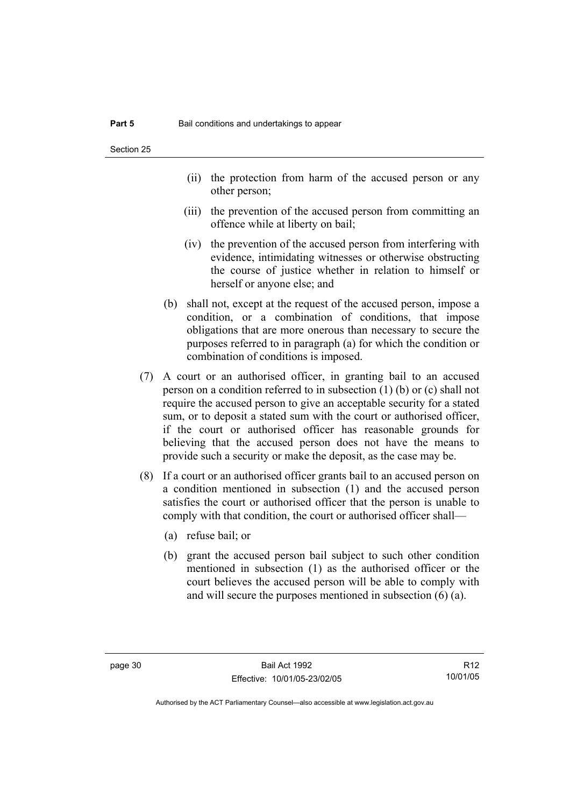- (ii) the protection from harm of the accused person or any other person;
- (iii) the prevention of the accused person from committing an offence while at liberty on bail;
- (iv) the prevention of the accused person from interfering with evidence, intimidating witnesses or otherwise obstructing the course of justice whether in relation to himself or herself or anyone else; and
- (b) shall not, except at the request of the accused person, impose a condition, or a combination of conditions, that impose obligations that are more onerous than necessary to secure the purposes referred to in paragraph (a) for which the condition or combination of conditions is imposed.
- (7) A court or an authorised officer, in granting bail to an accused person on a condition referred to in subsection (1) (b) or (c) shall not require the accused person to give an acceptable security for a stated sum, or to deposit a stated sum with the court or authorised officer, if the court or authorised officer has reasonable grounds for believing that the accused person does not have the means to provide such a security or make the deposit, as the case may be.
- (8) If a court or an authorised officer grants bail to an accused person on a condition mentioned in subsection (1) and the accused person satisfies the court or authorised officer that the person is unable to comply with that condition, the court or authorised officer shall—
	- (a) refuse bail; or
	- (b) grant the accused person bail subject to such other condition mentioned in subsection (1) as the authorised officer or the court believes the accused person will be able to comply with and will secure the purposes mentioned in subsection (6) (a).

R12 10/01/05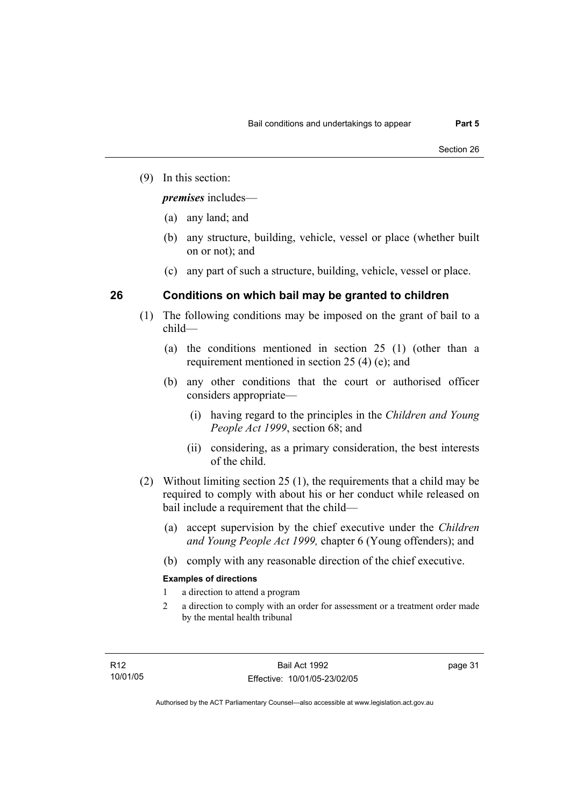(9) In this section:

*premises* includes—

- (a) any land; and
- (b) any structure, building, vehicle, vessel or place (whether built on or not); and
- (c) any part of such a structure, building, vehicle, vessel or place.

# **26 Conditions on which bail may be granted to children**

- (1) The following conditions may be imposed on the grant of bail to a child—
	- (a) the conditions mentioned in section 25 (1) (other than a requirement mentioned in section 25 (4) (e); and
	- (b) any other conditions that the court or authorised officer considers appropriate—
		- (i) having regard to the principles in the *Children and Young People Act 1999*, section 68; and
		- (ii) considering, as a primary consideration, the best interests of the child.
- (2) Without limiting section 25 (1), the requirements that a child may be required to comply with about his or her conduct while released on bail include a requirement that the child—
	- (a) accept supervision by the chief executive under the *Children and Young People Act 1999,* chapter 6 (Young offenders); and
	- (b) comply with any reasonable direction of the chief executive.

# **Examples of directions**

- 1 a direction to attend a program
- 2 a direction to comply with an order for assessment or a treatment order made by the mental health tribunal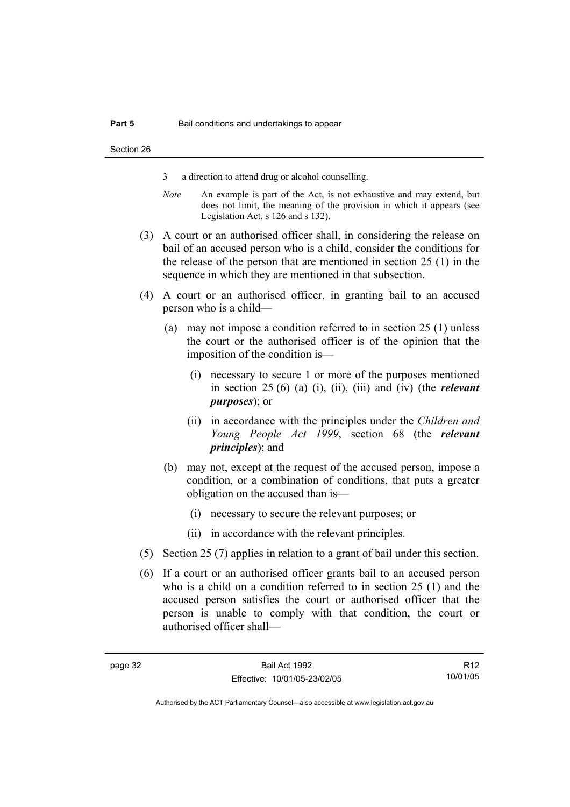- 3 a direction to attend drug or alcohol counselling.
- *Note* An example is part of the Act, is not exhaustive and may extend, but does not limit, the meaning of the provision in which it appears (see Legislation Act, s 126 and s 132).
- (3) A court or an authorised officer shall, in considering the release on bail of an accused person who is a child, consider the conditions for the release of the person that are mentioned in section 25 (1) in the sequence in which they are mentioned in that subsection.
- (4) A court or an authorised officer, in granting bail to an accused person who is a child—
	- (a) may not impose a condition referred to in section 25 (1) unless the court or the authorised officer is of the opinion that the imposition of the condition is—
		- (i) necessary to secure 1 or more of the purposes mentioned in section 25 (6) (a) (i), (ii), (iii) and (iv) (the *relevant purposes*); or
		- (ii) in accordance with the principles under the *Children and Young People Act 1999*, section 68 (the *relevant principles*); and
	- (b) may not, except at the request of the accused person, impose a condition, or a combination of conditions, that puts a greater obligation on the accused than is—
		- (i) necessary to secure the relevant purposes; or
		- (ii) in accordance with the relevant principles.
- (5) Section 25 (7) applies in relation to a grant of bail under this section.
- (6) If a court or an authorised officer grants bail to an accused person who is a child on a condition referred to in section 25 (1) and the accused person satisfies the court or authorised officer that the person is unable to comply with that condition, the court or authorised officer shall—

R12 10/01/05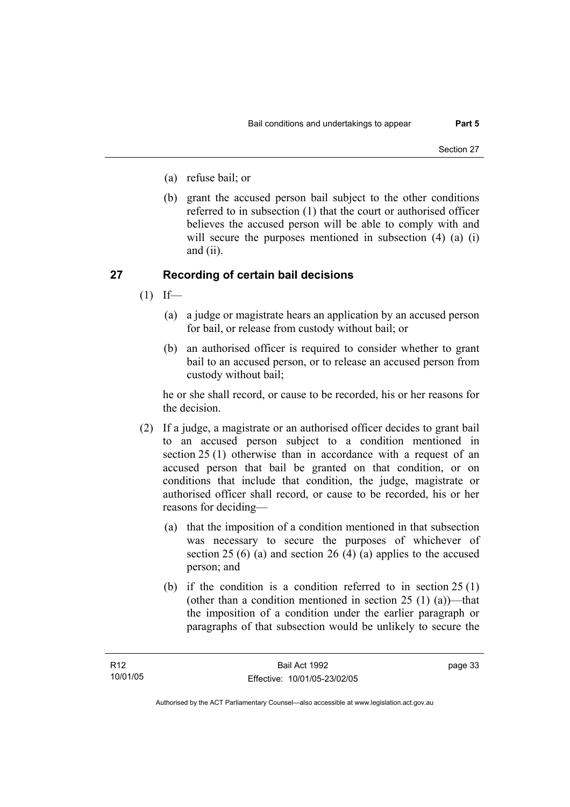- (a) refuse bail; or
- (b) grant the accused person bail subject to the other conditions referred to in subsection (1) that the court or authorised officer believes the accused person will be able to comply with and will secure the purposes mentioned in subsection (4) (a) (i) and (ii).

# **27 Recording of certain bail decisions**

- $(1)$  If—
	- (a) a judge or magistrate hears an application by an accused person for bail, or release from custody without bail; or
	- (b) an authorised officer is required to consider whether to grant bail to an accused person, or to release an accused person from custody without bail;

he or she shall record, or cause to be recorded, his or her reasons for the decision.

- (2) If a judge, a magistrate or an authorised officer decides to grant bail to an accused person subject to a condition mentioned in section 25 (1) otherwise than in accordance with a request of an accused person that bail be granted on that condition, or on conditions that include that condition, the judge, magistrate or authorised officer shall record, or cause to be recorded, his or her reasons for deciding—
	- (a) that the imposition of a condition mentioned in that subsection was necessary to secure the purposes of whichever of section 25 (6) (a) and section 26 (4) (a) applies to the accused person; and
	- (b) if the condition is a condition referred to in section 25 (1) (other than a condition mentioned in section  $25(1)(a)$ )—that the imposition of a condition under the earlier paragraph or paragraphs of that subsection would be unlikely to secure the

page 33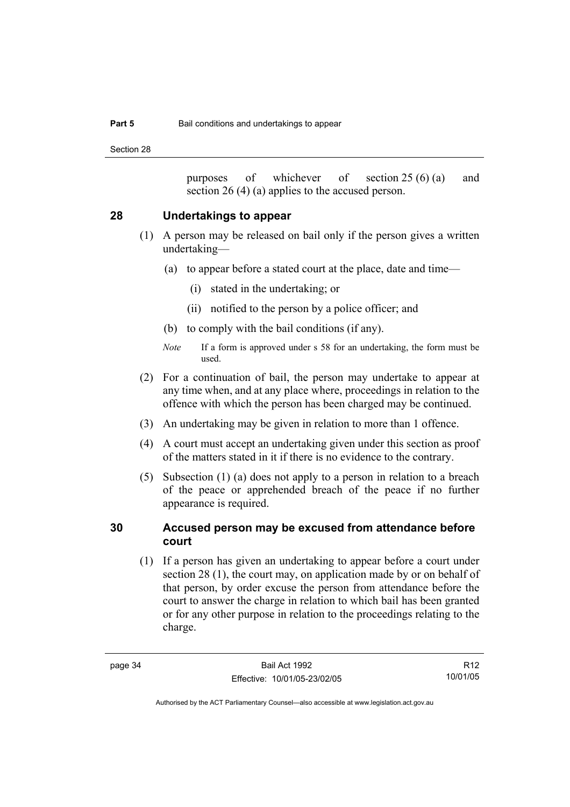Section 28

purposes of whichever of section 25 (6) (a) and section 26 (4) (a) applies to the accused person.

# **28 Undertakings to appear**

- (1) A person may be released on bail only if the person gives a written undertaking—
	- (a) to appear before a stated court at the place, date and time—
		- (i) stated in the undertaking; or
		- (ii) notified to the person by a police officer; and
	- (b) to comply with the bail conditions (if any).
	- *Note* If a form is approved under s 58 for an undertaking, the form must be used.
- (2) For a continuation of bail, the person may undertake to appear at any time when, and at any place where, proceedings in relation to the offence with which the person has been charged may be continued.
- (3) An undertaking may be given in relation to more than 1 offence.
- (4) A court must accept an undertaking given under this section as proof of the matters stated in it if there is no evidence to the contrary.
- (5) Subsection (1) (a) does not apply to a person in relation to a breach of the peace or apprehended breach of the peace if no further appearance is required.

# **30 Accused person may be excused from attendance before court**

 (1) If a person has given an undertaking to appear before a court under section 28 (1), the court may, on application made by or on behalf of that person, by order excuse the person from attendance before the court to answer the charge in relation to which bail has been granted or for any other purpose in relation to the proceedings relating to the charge.

R12 10/01/05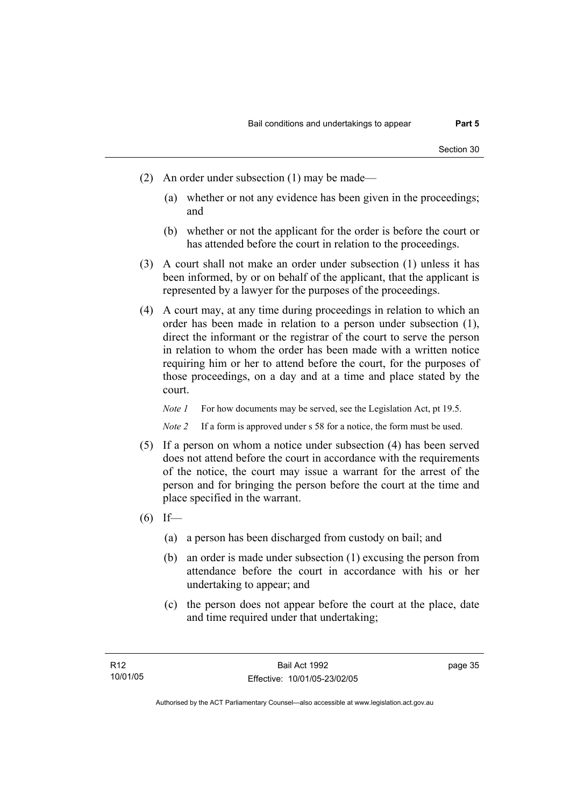- (2) An order under subsection (1) may be made—
	- (a) whether or not any evidence has been given in the proceedings; and
	- (b) whether or not the applicant for the order is before the court or has attended before the court in relation to the proceedings.
- (3) A court shall not make an order under subsection (1) unless it has been informed, by or on behalf of the applicant, that the applicant is represented by a lawyer for the purposes of the proceedings.
- (4) A court may, at any time during proceedings in relation to which an order has been made in relation to a person under subsection (1), direct the informant or the registrar of the court to serve the person in relation to whom the order has been made with a written notice requiring him or her to attend before the court, for the purposes of those proceedings, on a day and at a time and place stated by the court.

*Note 1* For how documents may be served, see the Legislation Act, pt 19.5.

*Note 2* If a form is approved under s 58 for a notice, the form must be used.

- (5) If a person on whom a notice under subsection (4) has been served does not attend before the court in accordance with the requirements of the notice, the court may issue a warrant for the arrest of the person and for bringing the person before the court at the time and place specified in the warrant.
- $(6)$  If—
	- (a) a person has been discharged from custody on bail; and
	- (b) an order is made under subsection (1) excusing the person from attendance before the court in accordance with his or her undertaking to appear; and
	- (c) the person does not appear before the court at the place, date and time required under that undertaking;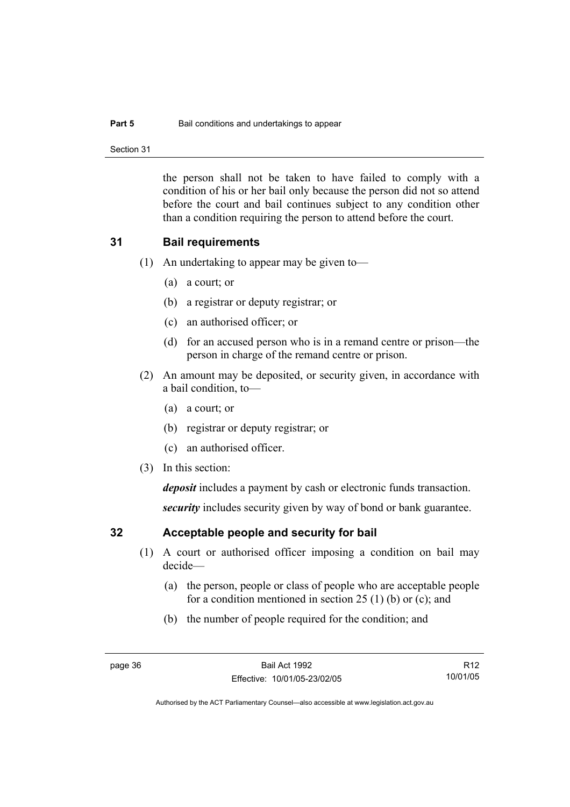#### **Part 5 Bail conditions and undertakings to appear**

Section 31

the person shall not be taken to have failed to comply with a condition of his or her bail only because the person did not so attend before the court and bail continues subject to any condition other than a condition requiring the person to attend before the court.

# **31 Bail requirements**

- (1) An undertaking to appear may be given to—
	- (a) a court; or
	- (b) a registrar or deputy registrar; or
	- (c) an authorised officer; or
	- (d) for an accused person who is in a remand centre or prison—the person in charge of the remand centre or prison.
- (2) An amount may be deposited, or security given, in accordance with a bail condition, to—
	- (a) a court; or
	- (b) registrar or deputy registrar; or
	- (c) an authorised officer.
- (3) In this section:

*deposit* includes a payment by cash or electronic funds transaction.

*security* includes security given by way of bond or bank guarantee.

# **32 Acceptable people and security for bail**

- (1) A court or authorised officer imposing a condition on bail may decide—
	- (a) the person, people or class of people who are acceptable people for a condition mentioned in section 25 (1) (b) or (c); and
	- (b) the number of people required for the condition; and

R12 10/01/05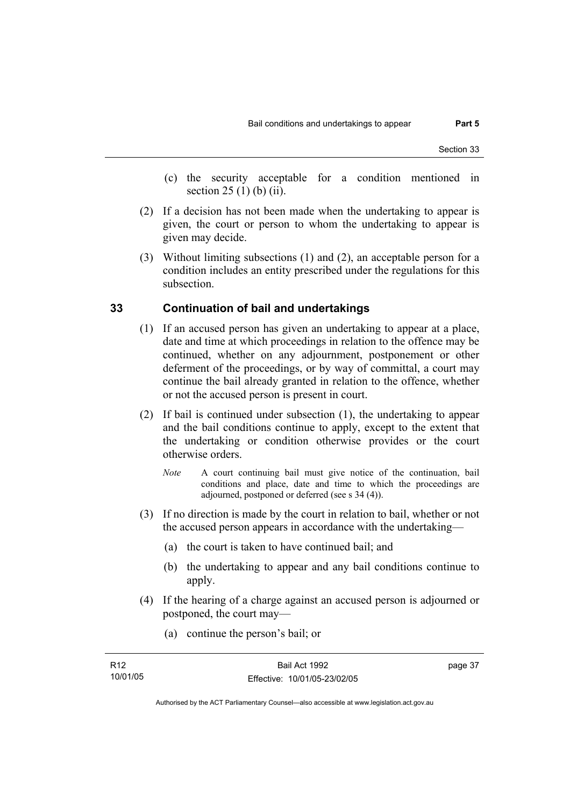- (c) the security acceptable for a condition mentioned in section 25 (1) (b) (ii).
- (2) If a decision has not been made when the undertaking to appear is given, the court or person to whom the undertaking to appear is given may decide.
- (3) Without limiting subsections (1) and (2), an acceptable person for a condition includes an entity prescribed under the regulations for this subsection.

# **33 Continuation of bail and undertakings**

- (1) If an accused person has given an undertaking to appear at a place, date and time at which proceedings in relation to the offence may be continued, whether on any adjournment, postponement or other deferment of the proceedings, or by way of committal, a court may continue the bail already granted in relation to the offence, whether or not the accused person is present in court.
- (2) If bail is continued under subsection (1), the undertaking to appear and the bail conditions continue to apply, except to the extent that the undertaking or condition otherwise provides or the court otherwise orders.
	- *Note* A court continuing bail must give notice of the continuation, bail conditions and place, date and time to which the proceedings are adjourned, postponed or deferred (see s 34 (4)).
- (3) If no direction is made by the court in relation to bail, whether or not the accused person appears in accordance with the undertaking—
	- (a) the court is taken to have continued bail; and
	- (b) the undertaking to appear and any bail conditions continue to apply.
- (4) If the hearing of a charge against an accused person is adjourned or postponed, the court may—
	- (a) continue the person's bail; or

| R12      | Bail Act 1992                | page 37 |
|----------|------------------------------|---------|
| 10/01/05 | Effective: 10/01/05-23/02/05 |         |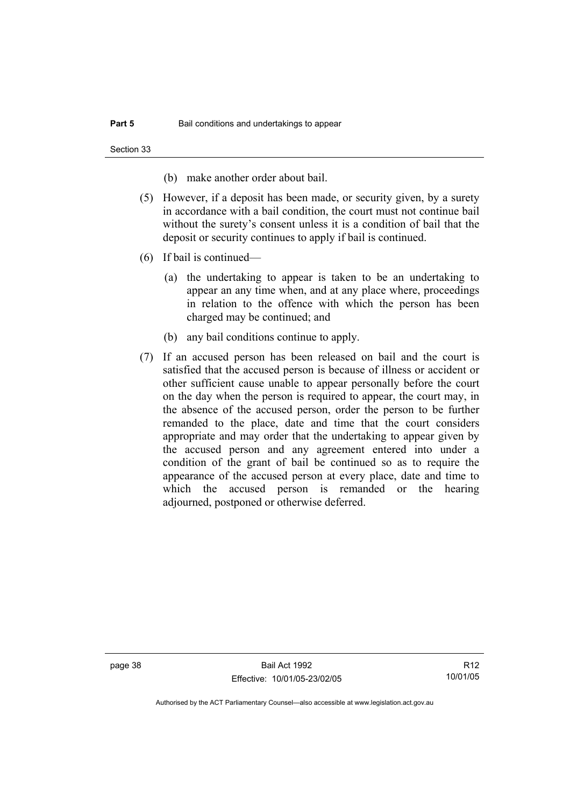Section 33

(b) make another order about bail.

- (5) However, if a deposit has been made, or security given, by a surety in accordance with a bail condition, the court must not continue bail without the surety's consent unless it is a condition of bail that the deposit or security continues to apply if bail is continued.
- (6) If bail is continued—
	- (a) the undertaking to appear is taken to be an undertaking to appear an any time when, and at any place where, proceedings in relation to the offence with which the person has been charged may be continued; and
	- (b) any bail conditions continue to apply.
- (7) If an accused person has been released on bail and the court is satisfied that the accused person is because of illness or accident or other sufficient cause unable to appear personally before the court on the day when the person is required to appear, the court may, in the absence of the accused person, order the person to be further remanded to the place, date and time that the court considers appropriate and may order that the undertaking to appear given by the accused person and any agreement entered into under a condition of the grant of bail be continued so as to require the appearance of the accused person at every place, date and time to which the accused person is remanded or the hearing adjourned, postponed or otherwise deferred.

page 38 Bail Act 1992 Effective: 10/01/05-23/02/05

R12 10/01/05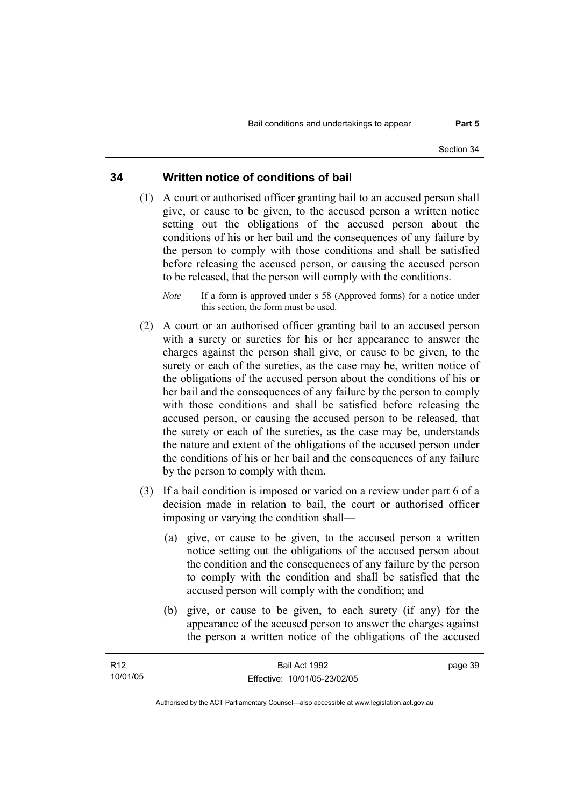# **34 Written notice of conditions of bail**

- (1) A court or authorised officer granting bail to an accused person shall give, or cause to be given, to the accused person a written notice setting out the obligations of the accused person about the conditions of his or her bail and the consequences of any failure by the person to comply with those conditions and shall be satisfied before releasing the accused person, or causing the accused person to be released, that the person will comply with the conditions.
	- *Note* If a form is approved under s 58 (Approved forms) for a notice under this section, the form must be used.
- (2) A court or an authorised officer granting bail to an accused person with a surety or sureties for his or her appearance to answer the charges against the person shall give, or cause to be given, to the surety or each of the sureties, as the case may be, written notice of the obligations of the accused person about the conditions of his or her bail and the consequences of any failure by the person to comply with those conditions and shall be satisfied before releasing the accused person, or causing the accused person to be released, that the surety or each of the sureties, as the case may be, understands the nature and extent of the obligations of the accused person under the conditions of his or her bail and the consequences of any failure by the person to comply with them.
- (3) If a bail condition is imposed or varied on a review under part 6 of a decision made in relation to bail, the court or authorised officer imposing or varying the condition shall—
	- (a) give, or cause to be given, to the accused person a written notice setting out the obligations of the accused person about the condition and the consequences of any failure by the person to comply with the condition and shall be satisfied that the accused person will comply with the condition; and
	- (b) give, or cause to be given, to each surety (if any) for the appearance of the accused person to answer the charges against the person a written notice of the obligations of the accused

| R <sub>12</sub> | Bail Act 1992                | page 39 |
|-----------------|------------------------------|---------|
| 10/01/05        | Effective: 10/01/05-23/02/05 |         |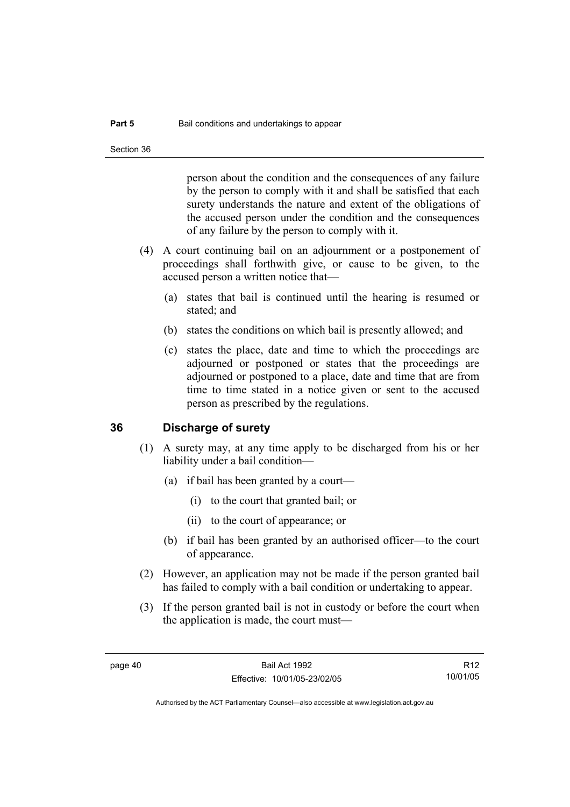person about the condition and the consequences of any failure by the person to comply with it and shall be satisfied that each surety understands the nature and extent of the obligations of the accused person under the condition and the consequences of any failure by the person to comply with it.

- (4) A court continuing bail on an adjournment or a postponement of proceedings shall forthwith give, or cause to be given, to the accused person a written notice that—
	- (a) states that bail is continued until the hearing is resumed or stated; and
	- (b) states the conditions on which bail is presently allowed; and
	- (c) states the place, date and time to which the proceedings are adjourned or postponed or states that the proceedings are adjourned or postponed to a place, date and time that are from time to time stated in a notice given or sent to the accused person as prescribed by the regulations.

### **36 Discharge of surety**

- (1) A surety may, at any time apply to be discharged from his or her liability under a bail condition—
	- (a) if bail has been granted by a court—
		- (i) to the court that granted bail; or
		- (ii) to the court of appearance; or
	- (b) if bail has been granted by an authorised officer—to the court of appearance.
- (2) However, an application may not be made if the person granted bail has failed to comply with a bail condition or undertaking to appear.
- (3) If the person granted bail is not in custody or before the court when the application is made, the court must—

R12 10/01/05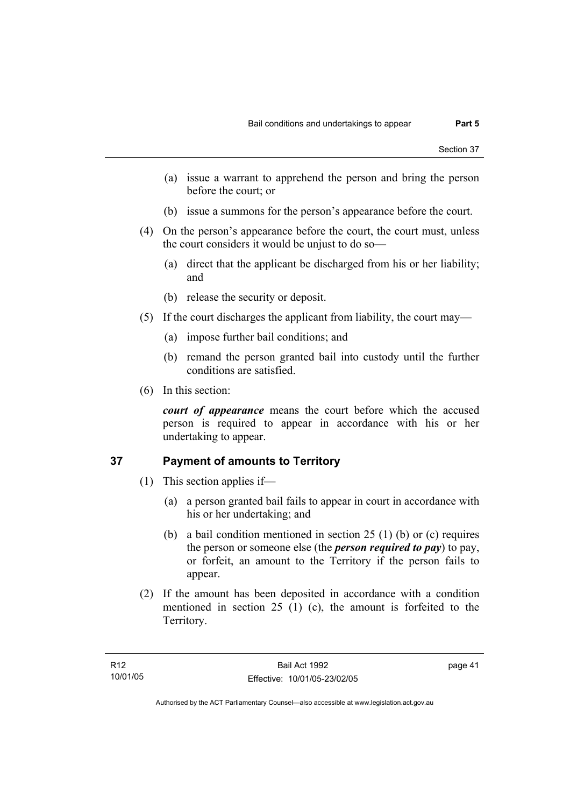- (a) issue a warrant to apprehend the person and bring the person before the court; or
- (b) issue a summons for the person's appearance before the court.
- (4) On the person's appearance before the court, the court must, unless the court considers it would be unjust to do so—
	- (a) direct that the applicant be discharged from his or her liability; and
	- (b) release the security or deposit.
- (5) If the court discharges the applicant from liability, the court may—
	- (a) impose further bail conditions; and
	- (b) remand the person granted bail into custody until the further conditions are satisfied.
- (6) In this section:

*court of appearance* means the court before which the accused person is required to appear in accordance with his or her undertaking to appear.

# **37 Payment of amounts to Territory**

- (1) This section applies if—
	- (a) a person granted bail fails to appear in court in accordance with his or her undertaking; and
	- (b) a bail condition mentioned in section 25 (1) (b) or (c) requires the person or someone else (the *person required to pay*) to pay, or forfeit, an amount to the Territory if the person fails to appear.
- (2) If the amount has been deposited in accordance with a condition mentioned in section 25 (1) (c), the amount is forfeited to the Territory.

page 41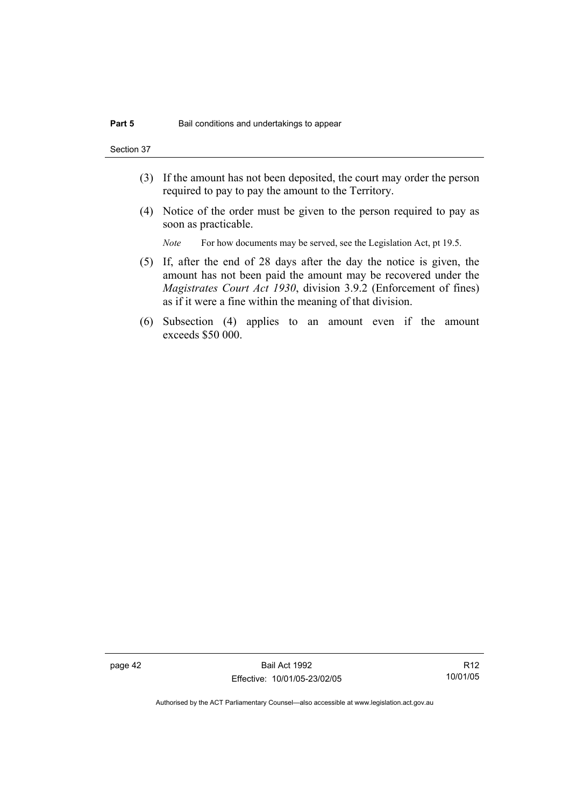Section 37

- (3) If the amount has not been deposited, the court may order the person required to pay to pay the amount to the Territory.
- (4) Notice of the order must be given to the person required to pay as soon as practicable.

*Note* For how documents may be served, see the Legislation Act, pt 19.5.

- (5) If, after the end of 28 days after the day the notice is given, the amount has not been paid the amount may be recovered under the *Magistrates Court Act 1930*, division 3.9.2 (Enforcement of fines) as if it were a fine within the meaning of that division.
- (6) Subsection (4) applies to an amount even if the amount exceeds \$50 000.

page 42 Bail Act 1992 Effective: 10/01/05-23/02/05

R12 10/01/05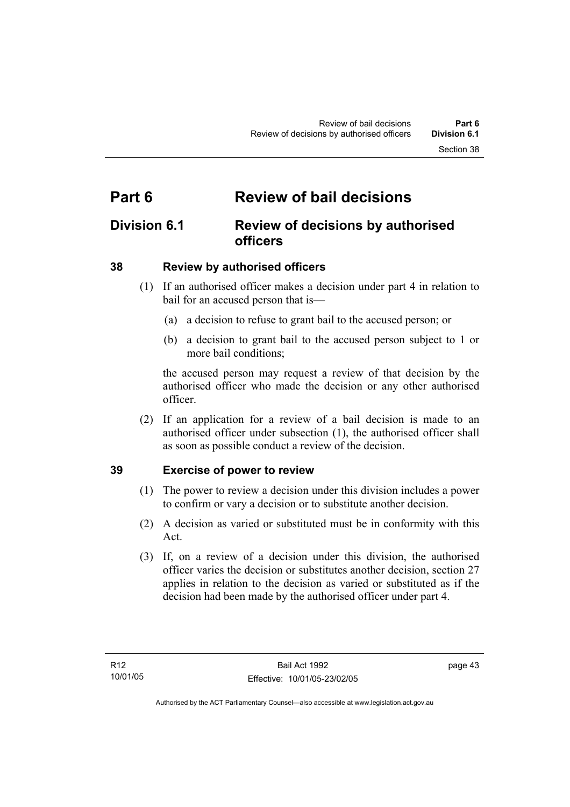# **Part 6 Review of bail decisions**

# **Division 6.1 Review of decisions by authorised officers**

# **38 Review by authorised officers**

- (1) If an authorised officer makes a decision under part 4 in relation to bail for an accused person that is—
	- (a) a decision to refuse to grant bail to the accused person; or
	- (b) a decision to grant bail to the accused person subject to 1 or more bail conditions;

the accused person may request a review of that decision by the authorised officer who made the decision or any other authorised officer.

 (2) If an application for a review of a bail decision is made to an authorised officer under subsection (1), the authorised officer shall as soon as possible conduct a review of the decision.

# **39 Exercise of power to review**

- (1) The power to review a decision under this division includes a power to confirm or vary a decision or to substitute another decision.
- (2) A decision as varied or substituted must be in conformity with this Act.
- (3) If, on a review of a decision under this division, the authorised officer varies the decision or substitutes another decision, section 27 applies in relation to the decision as varied or substituted as if the decision had been made by the authorised officer under part 4.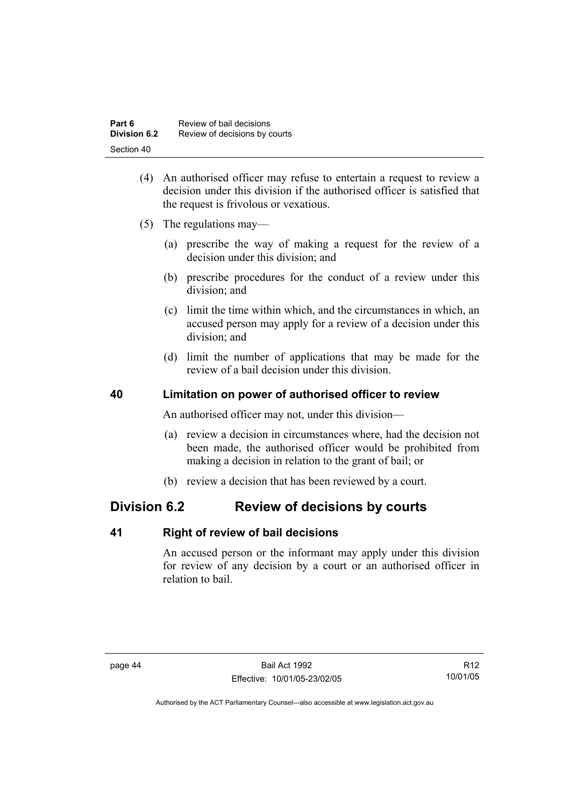| Part 6              | Review of bail decisions      |
|---------------------|-------------------------------|
| <b>Division 6.2</b> | Review of decisions by courts |
| Section 40          |                               |

- (4) An authorised officer may refuse to entertain a request to review a decision under this division if the authorised officer is satisfied that the request is frivolous or vexatious.
- (5) The regulations may—
	- (a) prescribe the way of making a request for the review of a decision under this division; and
	- (b) prescribe procedures for the conduct of a review under this division; and
	- (c) limit the time within which, and the circumstances in which, an accused person may apply for a review of a decision under this division; and
	- (d) limit the number of applications that may be made for the review of a bail decision under this division.

# **40 Limitation on power of authorised officer to review**

An authorised officer may not, under this division—

- (a) review a decision in circumstances where, had the decision not been made, the authorised officer would be prohibited from making a decision in relation to the grant of bail; or
- (b) review a decision that has been reviewed by a court.

# **Division 6.2 Review of decisions by courts**

# **41 Right of review of bail decisions**

An accused person or the informant may apply under this division for review of any decision by a court or an authorised officer in relation to bail.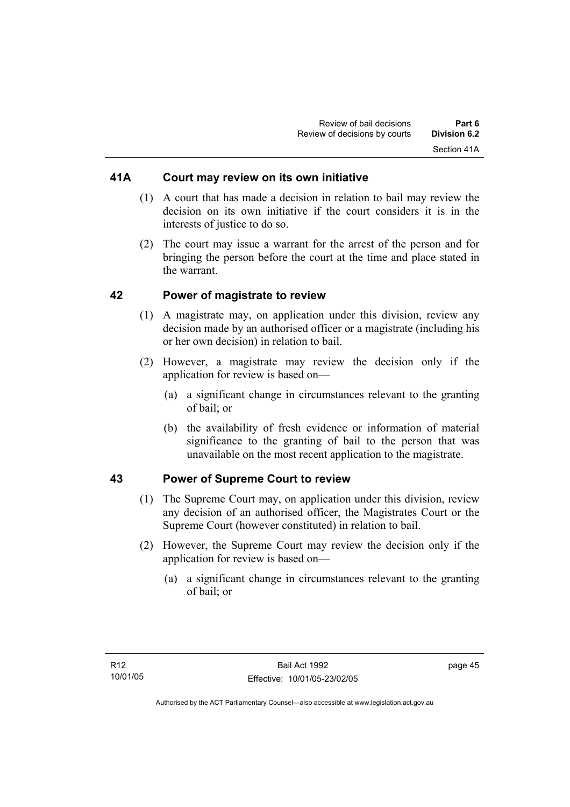# **41A Court may review on its own initiative**

- (1) A court that has made a decision in relation to bail may review the decision on its own initiative if the court considers it is in the interests of justice to do so.
- (2) The court may issue a warrant for the arrest of the person and for bringing the person before the court at the time and place stated in the warrant.

# **42 Power of magistrate to review**

- (1) A magistrate may, on application under this division, review any decision made by an authorised officer or a magistrate (including his or her own decision) in relation to bail.
- (2) However, a magistrate may review the decision only if the application for review is based on—
	- (a) a significant change in circumstances relevant to the granting of bail; or
	- (b) the availability of fresh evidence or information of material significance to the granting of bail to the person that was unavailable on the most recent application to the magistrate.

# **43 Power of Supreme Court to review**

- (1) The Supreme Court may, on application under this division, review any decision of an authorised officer, the Magistrates Court or the Supreme Court (however constituted) in relation to bail.
- (2) However, the Supreme Court may review the decision only if the application for review is based on—
	- (a) a significant change in circumstances relevant to the granting of bail; or

page 45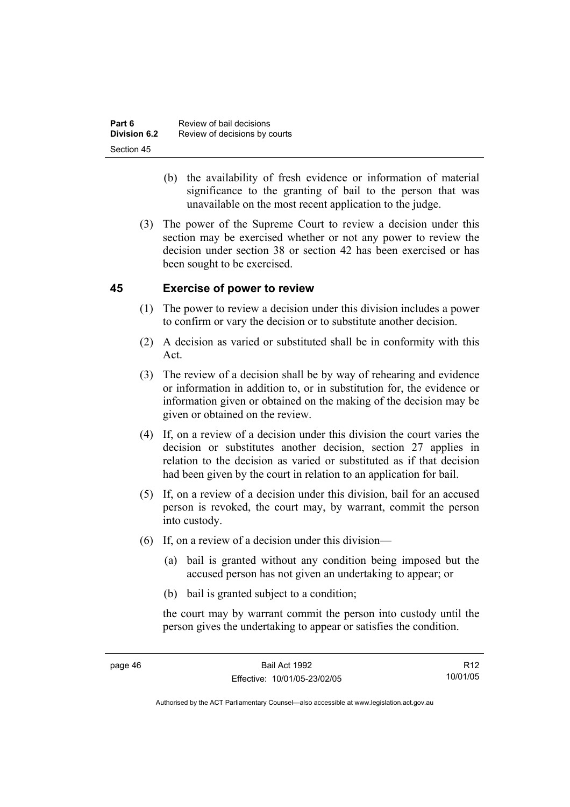| Part 6       | Review of bail decisions      |
|--------------|-------------------------------|
| Division 6.2 | Review of decisions by courts |
| Section 45   |                               |

- (b) the availability of fresh evidence or information of material significance to the granting of bail to the person that was unavailable on the most recent application to the judge.
- (3) The power of the Supreme Court to review a decision under this section may be exercised whether or not any power to review the decision under section 38 or section 42 has been exercised or has been sought to be exercised.

# **45 Exercise of power to review**

- (1) The power to review a decision under this division includes a power to confirm or vary the decision or to substitute another decision.
- (2) A decision as varied or substituted shall be in conformity with this Act.
- (3) The review of a decision shall be by way of rehearing and evidence or information in addition to, or in substitution for, the evidence or information given or obtained on the making of the decision may be given or obtained on the review.
- (4) If, on a review of a decision under this division the court varies the decision or substitutes another decision, section 27 applies in relation to the decision as varied or substituted as if that decision had been given by the court in relation to an application for bail.
- (5) If, on a review of a decision under this division, bail for an accused person is revoked, the court may, by warrant, commit the person into custody.
- (6) If, on a review of a decision under this division—
	- (a) bail is granted without any condition being imposed but the accused person has not given an undertaking to appear; or
	- (b) bail is granted subject to a condition;

the court may by warrant commit the person into custody until the person gives the undertaking to appear or satisfies the condition.

R12 10/01/05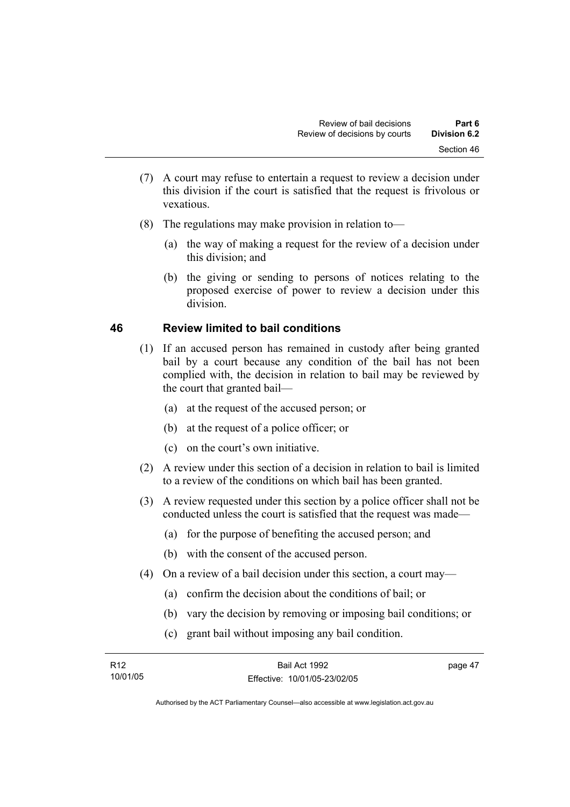- (7) A court may refuse to entertain a request to review a decision under this division if the court is satisfied that the request is frivolous or vexatious.
- (8) The regulations may make provision in relation to—
	- (a) the way of making a request for the review of a decision under this division; and
	- (b) the giving or sending to persons of notices relating to the proposed exercise of power to review a decision under this division.

# **46 Review limited to bail conditions**

- (1) If an accused person has remained in custody after being granted bail by a court because any condition of the bail has not been complied with, the decision in relation to bail may be reviewed by the court that granted bail—
	- (a) at the request of the accused person; or
	- (b) at the request of a police officer; or
	- (c) on the court's own initiative.
- (2) A review under this section of a decision in relation to bail is limited to a review of the conditions on which bail has been granted.
- (3) A review requested under this section by a police officer shall not be conducted unless the court is satisfied that the request was made—
	- (a) for the purpose of benefiting the accused person; and
	- (b) with the consent of the accused person.
- (4) On a review of a bail decision under this section, a court may—
	- (a) confirm the decision about the conditions of bail; or
	- (b) vary the decision by removing or imposing bail conditions; or
	- (c) grant bail without imposing any bail condition.

| R <sub>12</sub> | Bail Act 1992                | page 47 |
|-----------------|------------------------------|---------|
| 10/01/05        | Effective: 10/01/05-23/02/05 |         |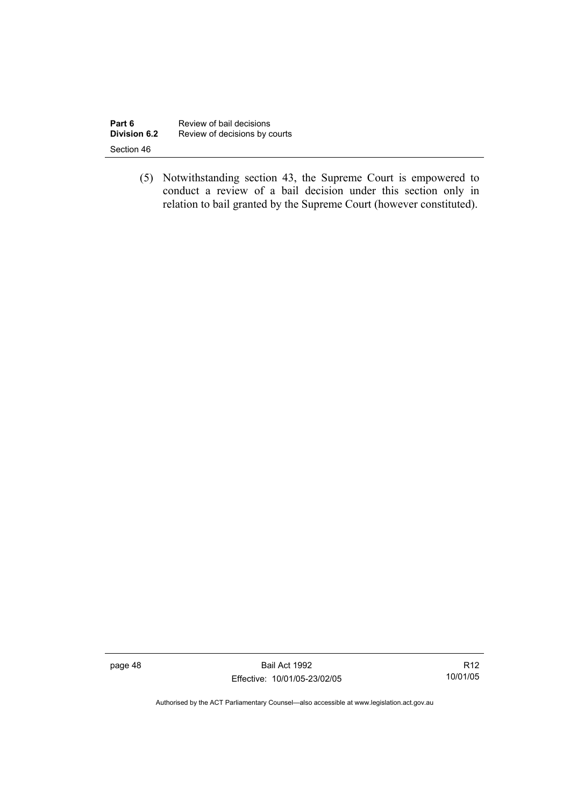| Part 6       | Review of bail decisions      |
|--------------|-------------------------------|
| Division 6.2 | Review of decisions by courts |
| Section 46   |                               |

 (5) Notwithstanding section 43, the Supreme Court is empowered to conduct a review of a bail decision under this section only in relation to bail granted by the Supreme Court (however constituted).

page 48 Bail Act 1992 Effective: 10/01/05-23/02/05

R12 10/01/05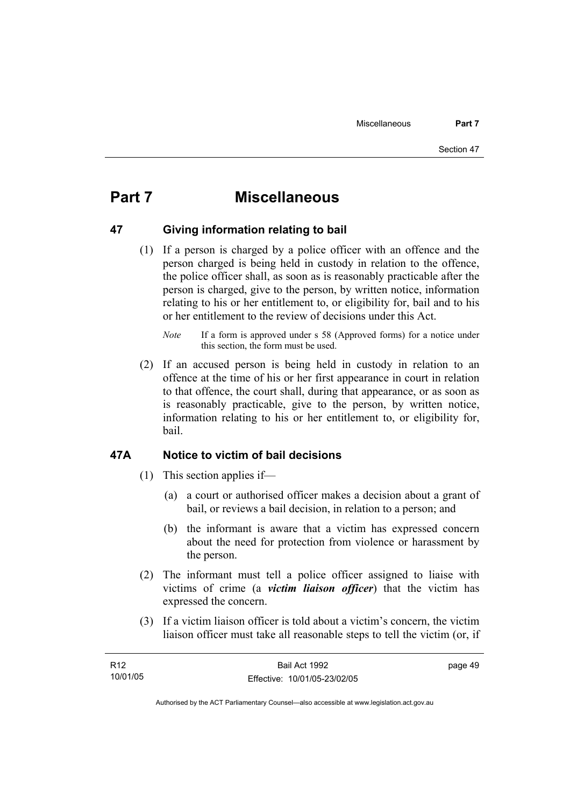# **Part 7 Miscellaneous**

# **47 Giving information relating to bail**

 (1) If a person is charged by a police officer with an offence and the person charged is being held in custody in relation to the offence, the police officer shall, as soon as is reasonably practicable after the person is charged, give to the person, by written notice, information relating to his or her entitlement to, or eligibility for, bail and to his or her entitlement to the review of decisions under this Act.

 (2) If an accused person is being held in custody in relation to an offence at the time of his or her first appearance in court in relation to that offence, the court shall, during that appearance, or as soon as is reasonably practicable, give to the person, by written notice, information relating to his or her entitlement to, or eligibility for, bail.

# **47A Notice to victim of bail decisions**

- (1) This section applies if—
	- (a) a court or authorised officer makes a decision about a grant of bail, or reviews a bail decision, in relation to a person; and
	- (b) the informant is aware that a victim has expressed concern about the need for protection from violence or harassment by the person.
- (2) The informant must tell a police officer assigned to liaise with victims of crime (a *victim liaison officer*) that the victim has expressed the concern.
- (3) If a victim liaison officer is told about a victim's concern, the victim liaison officer must take all reasonable steps to tell the victim (or, if

| R12      | Bail Act 1992                | page 49 |
|----------|------------------------------|---------|
| 10/01/05 | Effective: 10/01/05-23/02/05 |         |

*Note* If a form is approved under s 58 (Approved forms) for a notice under this section, the form must be used.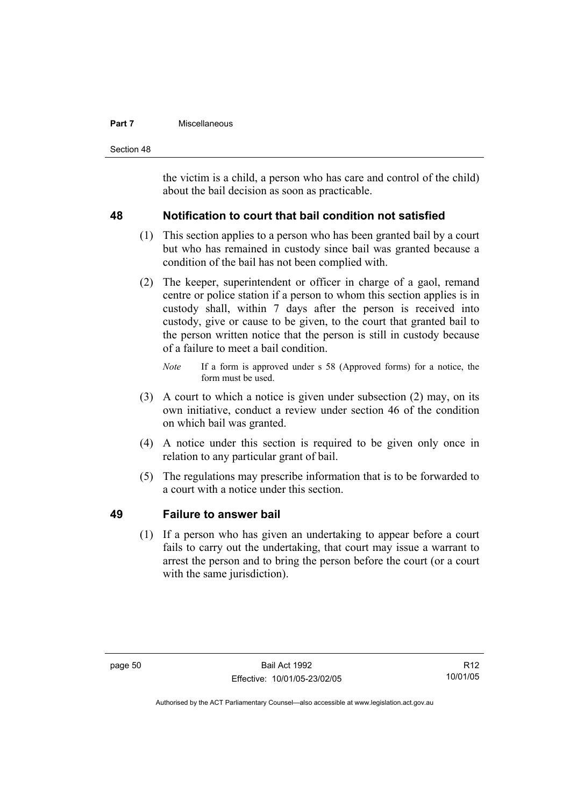#### **Part 7 Miscellaneous**

Section 48

the victim is a child, a person who has care and control of the child) about the bail decision as soon as practicable.

# **48 Notification to court that bail condition not satisfied**

- (1) This section applies to a person who has been granted bail by a court but who has remained in custody since bail was granted because a condition of the bail has not been complied with.
- (2) The keeper, superintendent or officer in charge of a gaol, remand centre or police station if a person to whom this section applies is in custody shall, within 7 days after the person is received into custody, give or cause to be given, to the court that granted bail to the person written notice that the person is still in custody because of a failure to meet a bail condition.
	- *Note* If a form is approved under s 58 (Approved forms) for a notice, the form must be used.
- (3) A court to which a notice is given under subsection (2) may, on its own initiative, conduct a review under section 46 of the condition on which bail was granted.
- (4) A notice under this section is required to be given only once in relation to any particular grant of bail.
- (5) The regulations may prescribe information that is to be forwarded to a court with a notice under this section.

# **49 Failure to answer bail**

 (1) If a person who has given an undertaking to appear before a court fails to carry out the undertaking, that court may issue a warrant to arrest the person and to bring the person before the court (or a court with the same jurisdiction).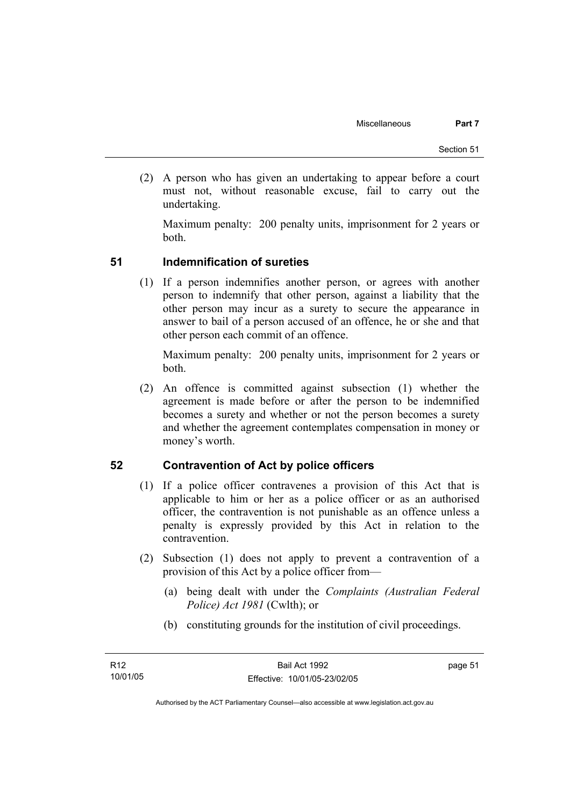(2) A person who has given an undertaking to appear before a court must not, without reasonable excuse, fail to carry out the undertaking.

Maximum penalty: 200 penalty units, imprisonment for 2 years or both.

# **51 Indemnification of sureties**

 (1) If a person indemnifies another person, or agrees with another person to indemnify that other person, against a liability that the other person may incur as a surety to secure the appearance in answer to bail of a person accused of an offence, he or she and that other person each commit of an offence.

Maximum penalty: 200 penalty units, imprisonment for 2 years or both.

 (2) An offence is committed against subsection (1) whether the agreement is made before or after the person to be indemnified becomes a surety and whether or not the person becomes a surety and whether the agreement contemplates compensation in money or money's worth.

# **52 Contravention of Act by police officers**

- (1) If a police officer contravenes a provision of this Act that is applicable to him or her as a police officer or as an authorised officer, the contravention is not punishable as an offence unless a penalty is expressly provided by this Act in relation to the contravention.
- (2) Subsection (1) does not apply to prevent a contravention of a provision of this Act by a police officer from—
	- (a) being dealt with under the *Complaints (Australian Federal Police) Act 1981* (Cwlth); or
	- (b) constituting grounds for the institution of civil proceedings.

page 51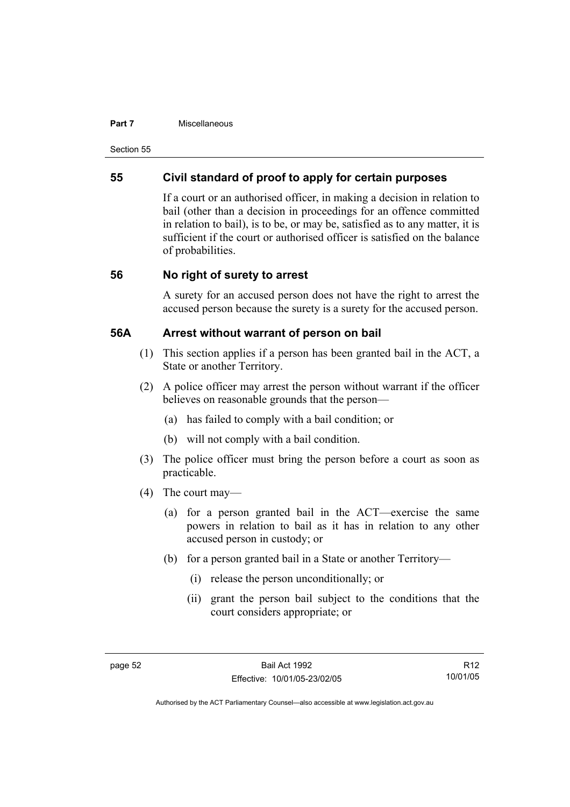#### **Part 7 Miscellaneous**

Section 55

# **55 Civil standard of proof to apply for certain purposes**

If a court or an authorised officer, in making a decision in relation to bail (other than a decision in proceedings for an offence committed in relation to bail), is to be, or may be, satisfied as to any matter, it is sufficient if the court or authorised officer is satisfied on the balance of probabilities.

# **56 No right of surety to arrest**

A surety for an accused person does not have the right to arrest the accused person because the surety is a surety for the accused person.

# **56A Arrest without warrant of person on bail**

- (1) This section applies if a person has been granted bail in the ACT, a State or another Territory.
- (2) A police officer may arrest the person without warrant if the officer believes on reasonable grounds that the person—
	- (a) has failed to comply with a bail condition; or
	- (b) will not comply with a bail condition.
- (3) The police officer must bring the person before a court as soon as practicable.
- (4) The court may—
	- (a) for a person granted bail in the ACT—exercise the same powers in relation to bail as it has in relation to any other accused person in custody; or
	- (b) for a person granted bail in a State or another Territory—
		- (i) release the person unconditionally; or
		- (ii) grant the person bail subject to the conditions that the court considers appropriate; or

R12 10/01/05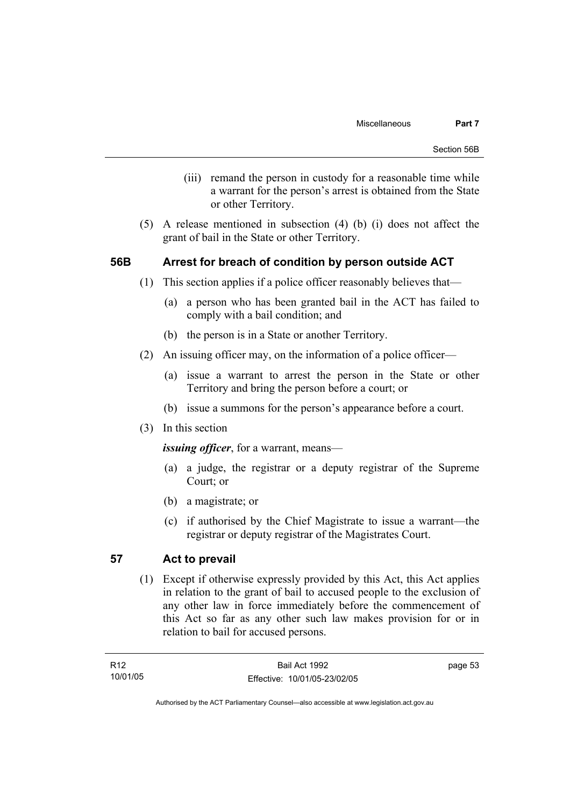- (iii) remand the person in custody for a reasonable time while a warrant for the person's arrest is obtained from the State or other Territory.
- (5) A release mentioned in subsection (4) (b) (i) does not affect the grant of bail in the State or other Territory.

# **56B Arrest for breach of condition by person outside ACT**

- (1) This section applies if a police officer reasonably believes that—
	- (a) a person who has been granted bail in the ACT has failed to comply with a bail condition; and
	- (b) the person is in a State or another Territory.
- (2) An issuing officer may, on the information of a police officer—
	- (a) issue a warrant to arrest the person in the State or other Territory and bring the person before a court; or
	- (b) issue a summons for the person's appearance before a court.
- (3) In this section

*issuing officer*, for a warrant, means—

- (a) a judge, the registrar or a deputy registrar of the Supreme Court; or
- (b) a magistrate; or
- (c) if authorised by the Chief Magistrate to issue a warrant—the registrar or deputy registrar of the Magistrates Court.

# **57 Act to prevail**

 (1) Except if otherwise expressly provided by this Act, this Act applies in relation to the grant of bail to accused people to the exclusion of any other law in force immediately before the commencement of this Act so far as any other such law makes provision for or in relation to bail for accused persons.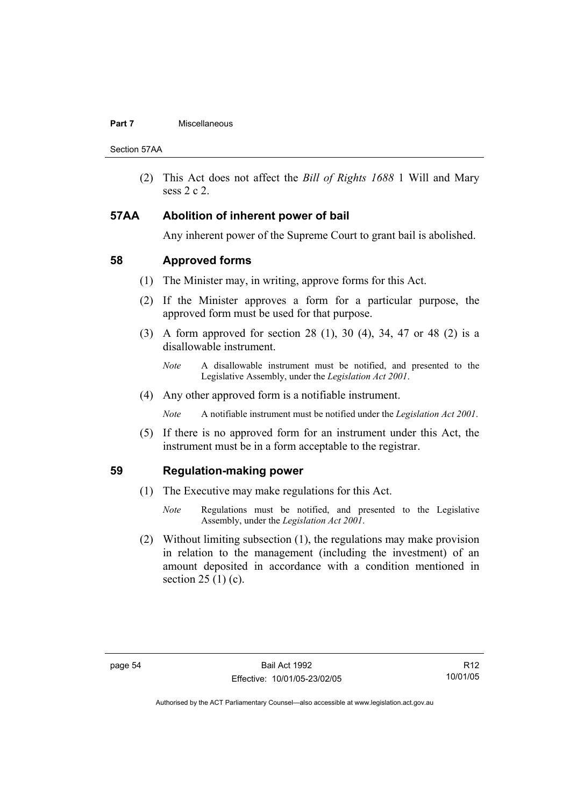#### **Part 7 Miscellaneous**

Section 57AA

 (2) This Act does not affect the *Bill of Rights 1688* 1 Will and Mary sess 2 c 2.

# **57AA Abolition of inherent power of bail**

Any inherent power of the Supreme Court to grant bail is abolished.

# **58 Approved forms**

- (1) The Minister may, in writing, approve forms for this Act.
- (2) If the Minister approves a form for a particular purpose, the approved form must be used for that purpose.
- (3) A form approved for section 28 (1), 30 (4), 34, 47 or 48 (2) is a disallowable instrument.
	- *Note* A disallowable instrument must be notified, and presented to the Legislative Assembly, under the *Legislation Act 2001*.
- (4) Any other approved form is a notifiable instrument.

*Note* A notifiable instrument must be notified under the *Legislation Act 2001*.

 (5) If there is no approved form for an instrument under this Act, the instrument must be in a form acceptable to the registrar.

# **59 Regulation-making power**

- (1) The Executive may make regulations for this Act.
	- *Note* Regulations must be notified, and presented to the Legislative Assembly, under the *Legislation Act 2001*.
- (2) Without limiting subsection (1), the regulations may make provision in relation to the management (including the investment) of an amount deposited in accordance with a condition mentioned in section  $25(1)(c)$ .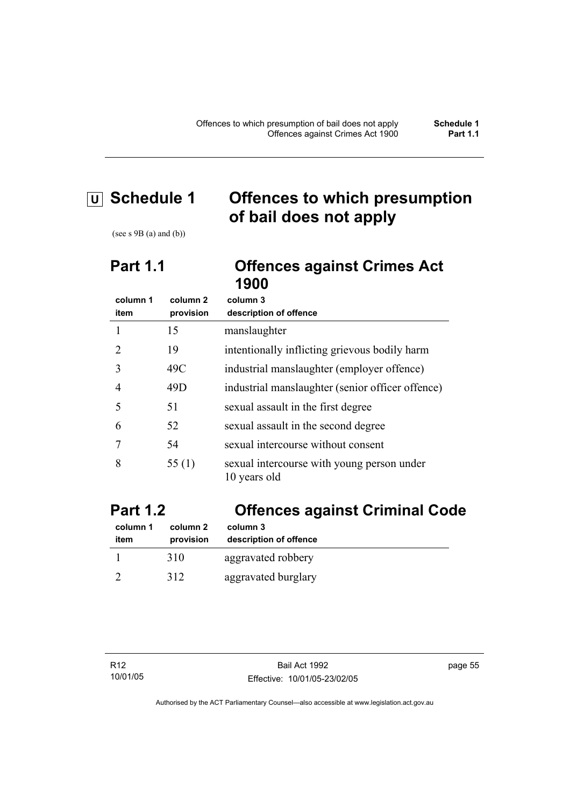# **U Schedule 1 Offences to which presumption of bail does not apply**

(see s 9B (a) and (b))

# **Part 1.1 Offences against Crimes Act 1900**

| column 1 | column <sub>2</sub> | column 3                                                   |
|----------|---------------------|------------------------------------------------------------|
| item     | provision           | description of offence                                     |
|          | 15                  | manslaughter                                               |
|          | 19                  | intentionally inflicting grievous bodily harm              |
| 3        | 49C                 | industrial manslaughter (employer offence)                 |
| 4        | 49D                 | industrial manslaughter (senior officer offence)           |
| 5        | 51                  | sexual assault in the first degree                         |
| 6        | 52                  | sexual assault in the second degree                        |
|          | 54                  | sexual intercourse without consent                         |
| 8        | 55 $(1)$            | sexual intercourse with young person under<br>10 years old |

# **Part 1.2 Offences against Criminal Code**

| column 1 | column 2  | column 3               |
|----------|-----------|------------------------|
| item     | provision | description of offence |
|          | 310       | aggravated robbery     |
|          | 312       | aggravated burglary    |

page 55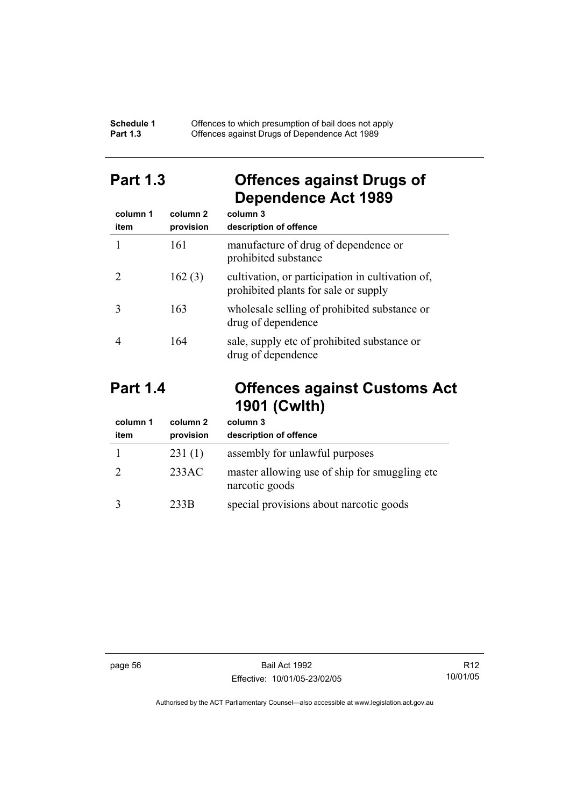#### **Schedule 1** Offences to which presumption of bail does not apply **Part 1.3 C** Offences against Drugs of Dependence Act 1989

# **Part 1.3 Offences against Drugs of Dependence Act 1989**

| column 1<br>item | column 2<br>provision | column 3<br>description of offence                                                       |
|------------------|-----------------------|------------------------------------------------------------------------------------------|
|                  | 161                   | manufacture of drug of dependence or<br>prohibited substance                             |
|                  | 162(3)                | cultivation, or participation in cultivation of,<br>prohibited plants for sale or supply |
|                  | 163                   | wholesale selling of prohibited substance or<br>drug of dependence                       |
|                  | 164                   | sale, supply etc of prohibited substance or<br>drug of dependence                        |

# **Part 1.4 Offences against Customs Act 1901 (Cwlth)**

| column 1<br>item | column 2<br>provision | column 3<br>description of offence                               |
|------------------|-----------------------|------------------------------------------------------------------|
|                  | 231(1)                | assembly for unlawful purposes                                   |
|                  | 233AC                 | master allowing use of ship for smuggling etc.<br>narcotic goods |
|                  | 233B                  | special provisions about narcotic goods                          |

page 56 Bail Act 1992 Effective: 10/01/05-23/02/05

R12 10/01/05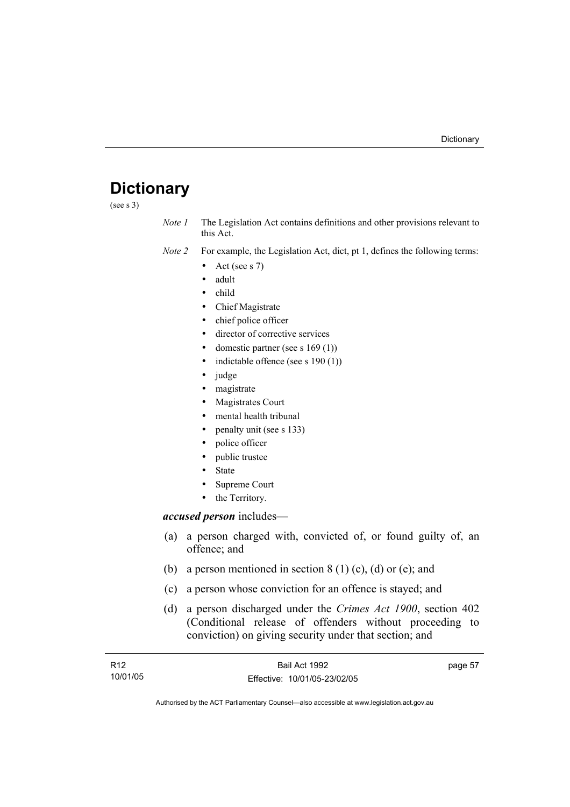# **Dictionary**

(see s 3)

*Note 1* The Legislation Act contains definitions and other provisions relevant to this Act.

*Note 2* For example, the Legislation Act, dict, pt 1, defines the following terms:

- Act (see s  $7$ )
- adult
- child
- Chief Magistrate
- chief police officer
- director of corrective services
- domestic partner (see s  $169(1)$ )
- indictable offence (see s  $190(1)$ )
- judge
- magistrate
- Magistrates Court
- mental health tribunal
- penalty unit (see s 133)
- police officer
- public trustee
- **State**
- Supreme Court
- the Territory.

### *accused person* includes—

- (a) a person charged with, convicted of, or found guilty of, an offence; and
- (b) a person mentioned in section  $8(1)(c)$ , (d) or (e); and
- (c) a person whose conviction for an offence is stayed; and
- (d) a person discharged under the *Crimes Act 1900*, section 402 (Conditional release of offenders without proceeding to conviction) on giving security under that section; and

| R12      | Bail Act 1992                | page 57 |
|----------|------------------------------|---------|
| 10/01/05 | Effective: 10/01/05-23/02/05 |         |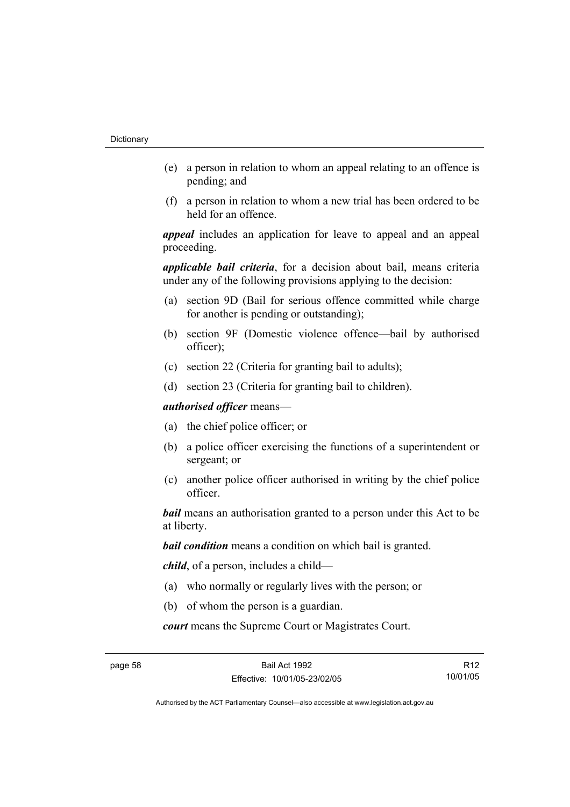- (e) a person in relation to whom an appeal relating to an offence is pending; and
- (f) a person in relation to whom a new trial has been ordered to be held for an offence.

*appeal* includes an application for leave to appeal and an appeal proceeding.

*applicable bail criteria*, for a decision about bail, means criteria under any of the following provisions applying to the decision:

- (a) section 9D (Bail for serious offence committed while charge for another is pending or outstanding);
- (b) section 9F (Domestic violence offence—bail by authorised officer);
- (c) section 22 (Criteria for granting bail to adults);
- (d) section 23 (Criteria for granting bail to children).

*authorised officer* means—

- (a) the chief police officer; or
- (b) a police officer exercising the functions of a superintendent or sergeant; or
- (c) another police officer authorised in writing by the chief police officer.

*bail* means an authorisation granted to a person under this Act to be at liberty.

*bail condition* means a condition on which bail is granted.

*child*, of a person, includes a child—

- (a) who normally or regularly lives with the person; or
- (b) of whom the person is a guardian.

*court* means the Supreme Court or Magistrates Court.

R12 10/01/05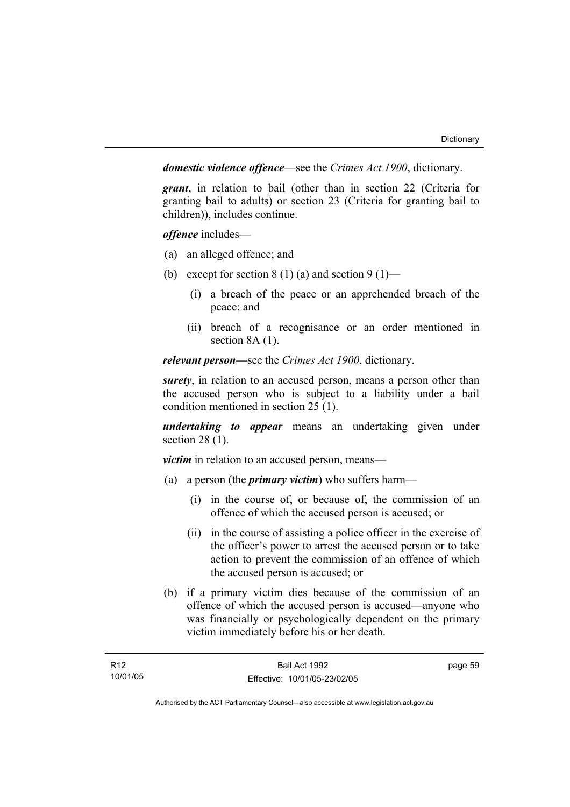*domestic violence offence*—see the *Crimes Act 1900*, dictionary.

*grant*, in relation to bail (other than in section 22 (Criteria for granting bail to adults) or section 23 (Criteria for granting bail to children)), includes continue.

*offence* includes—

- (a) an alleged offence; and
- (b) except for section  $8(1)(a)$  and section  $9(1)$ 
	- (i) a breach of the peace or an apprehended breach of the peace; and
	- (ii) breach of a recognisance or an order mentioned in section 8A (1).

*relevant person—*see the *Crimes Act 1900*, dictionary.

*surety*, in relation to an accused person, means a person other than the accused person who is subject to a liability under a bail condition mentioned in section 25 (1).

*undertaking to appear* means an undertaking given under section 28 (1).

*victim* in relation to an accused person, means—

- (a) a person (the *primary victim*) who suffers harm—
	- (i) in the course of, or because of, the commission of an offence of which the accused person is accused; or
	- (ii) in the course of assisting a police officer in the exercise of the officer's power to arrest the accused person or to take action to prevent the commission of an offence of which the accused person is accused; or
- (b) if a primary victim dies because of the commission of an offence of which the accused person is accused—anyone who was financially or psychologically dependent on the primary victim immediately before his or her death.

page 59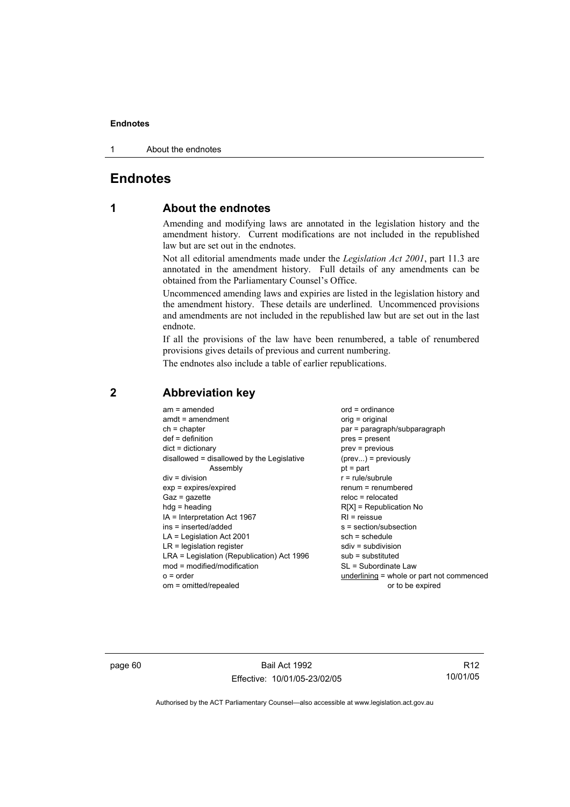1 About the endnotes

# **Endnotes**

# **1 About the endnotes**

Amending and modifying laws are annotated in the legislation history and the amendment history. Current modifications are not included in the republished law but are set out in the endnotes.

Not all editorial amendments made under the *Legislation Act 2001*, part 11.3 are annotated in the amendment history. Full details of any amendments can be obtained from the Parliamentary Counsel's Office.

Uncommenced amending laws and expiries are listed in the legislation history and the amendment history. These details are underlined. Uncommenced provisions and amendments are not included in the republished law but are set out in the last endnote.

If all the provisions of the law have been renumbered, a table of renumbered provisions gives details of previous and current numbering.

The endnotes also include a table of earlier republications.

| $am = amended$<br>$amdt = amendment$       | $ord = ordinance$<br>$orig = original$    |
|--------------------------------------------|-------------------------------------------|
| $ch = chapter$                             | par = paragraph/subparagraph              |
| $def = definition$                         | pres = present                            |
| $dict = dictionary$                        | prev = previous                           |
| disallowed = disallowed by the Legislative | $(\text{prev}) = \text{previously}$       |
| Assembly                                   | $pt = part$                               |
| $div = division$                           | $r = rule/subrule$                        |
| $exp = expires/expired$                    | renum = renumbered                        |
| $Gaz = gazette$                            | $reloc = relocated$                       |
| $hdg =$ heading                            | $R[X]$ = Republication No                 |
| IA = Interpretation Act 1967               | $RI = reissue$                            |
| ins = inserted/added                       | $s = section/subsection$                  |
| $LA =$ Legislation Act 2001                | $sch = schedule$                          |
| $LR =$ legislation register                | $sdiv = subdivision$                      |
| LRA = Legislation (Republication) Act 1996 | $sub =$ substituted                       |
| $mod = modified/modification$              | SL = Subordinate Law                      |
| $o = order$                                | underlining = whole or part not commenced |
| om = omitted/repealed                      | or to be expired                          |
|                                            |                                           |

# **2 Abbreviation key**

page 60 Bail Act 1992 Effective: 10/01/05-23/02/05

R12 10/01/05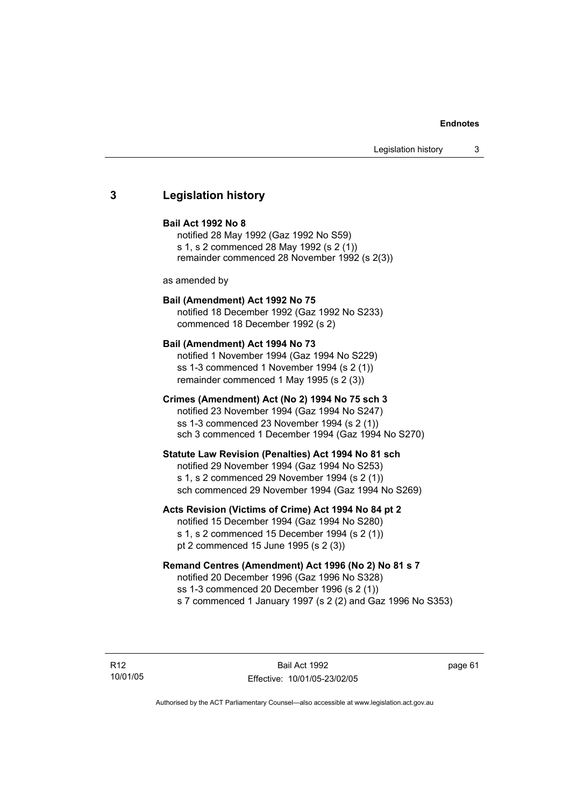## **3 Legislation history**

#### **Bail Act 1992 No 8**

notified 28 May 1992 (Gaz 1992 No S59) s 1, s 2 commenced 28 May 1992 (s 2 (1)) remainder commenced 28 November 1992 (s 2(3))

as amended by

## **Bail (Amendment) Act 1992 No 75**

notified 18 December 1992 (Gaz 1992 No S233) commenced 18 December 1992 (s 2)

#### **Bail (Amendment) Act 1994 No 73**

notified 1 November 1994 (Gaz 1994 No S229) ss 1-3 commenced 1 November 1994 (s 2 (1)) remainder commenced 1 May 1995 (s 2 (3))

#### **Crimes (Amendment) Act (No 2) 1994 No 75 sch 3**

notified 23 November 1994 (Gaz 1994 No S247) ss 1-3 commenced 23 November 1994 (s 2 (1)) sch 3 commenced 1 December 1994 (Gaz 1994 No S270)

#### **Statute Law Revision (Penalties) Act 1994 No 81 sch**

notified 29 November 1994 (Gaz 1994 No S253) s 1, s 2 commenced 29 November 1994 (s 2 (1)) sch commenced 29 November 1994 (Gaz 1994 No S269)

#### **Acts Revision (Victims of Crime) Act 1994 No 84 pt 2**

notified 15 December 1994 (Gaz 1994 No S280) s 1, s 2 commenced 15 December 1994 (s 2 (1)) pt 2 commenced 15 June 1995 (s 2 (3))

#### **Remand Centres (Amendment) Act 1996 (No 2) No 81 s 7**

notified 20 December 1996 (Gaz 1996 No S328) ss 1-3 commenced 20 December 1996 (s 2 (1)) s 7 commenced 1 January 1997 (s 2 (2) and Gaz 1996 No S353)

R12 10/01/05 page 61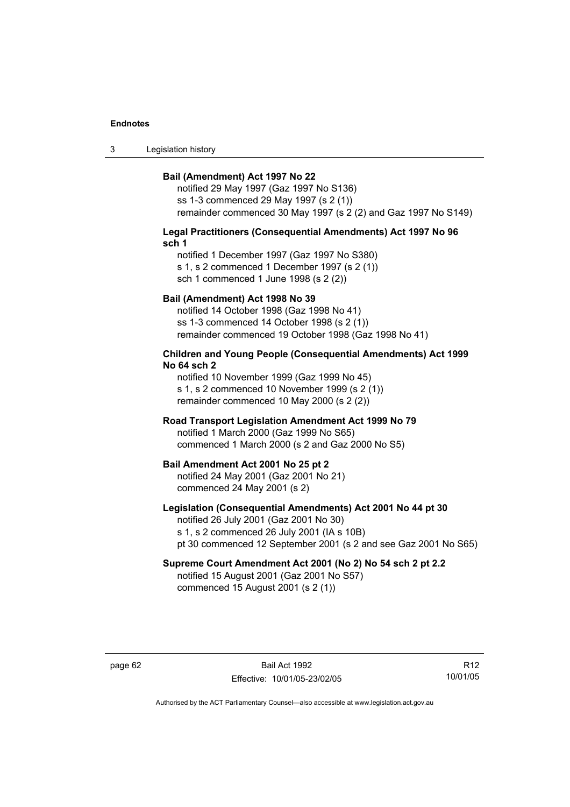3 Legislation history

#### **Bail (Amendment) Act 1997 No 22**

notified 29 May 1997 (Gaz 1997 No S136) ss 1-3 commenced 29 May 1997 (s 2 (1)) remainder commenced 30 May 1997 (s 2 (2) and Gaz 1997 No S149)

#### **Legal Practitioners (Consequential Amendments) Act 1997 No 96 sch 1**

notified 1 December 1997 (Gaz 1997 No S380) s 1, s 2 commenced 1 December 1997 (s 2 (1)) sch 1 commenced 1 June 1998 (s 2 (2))

#### **Bail (Amendment) Act 1998 No 39**

notified 14 October 1998 (Gaz 1998 No 41) ss 1-3 commenced 14 October 1998 (s 2 (1)) remainder commenced 19 October 1998 (Gaz 1998 No 41)

#### **Children and Young People (Consequential Amendments) Act 1999 No 64 sch 2**

notified 10 November 1999 (Gaz 1999 No 45) s 1, s 2 commenced 10 November 1999 (s 2 (1)) remainder commenced 10 May 2000 (s 2 (2))

#### **Road Transport Legislation Amendment Act 1999 No 79**

notified 1 March 2000 (Gaz 1999 No S65) commenced 1 March 2000 (s 2 and Gaz 2000 No S5)

#### **Bail Amendment Act 2001 No 25 pt 2**

notified 24 May 2001 (Gaz 2001 No 21) commenced 24 May 2001 (s 2)

#### **Legislation (Consequential Amendments) Act 2001 No 44 pt 30**

notified 26 July 2001 (Gaz 2001 No 30) s 1, s 2 commenced 26 July 2001 (IA s 10B) pt 30 commenced 12 September 2001 (s 2 and see Gaz 2001 No S65)

# **Supreme Court Amendment Act 2001 (No 2) No 54 sch 2 pt 2.2**

notified 15 August 2001 (Gaz 2001 No S57) commenced 15 August 2001 (s 2 (1))

page 62 Bail Act 1992 Effective: 10/01/05-23/02/05

R12 10/01/05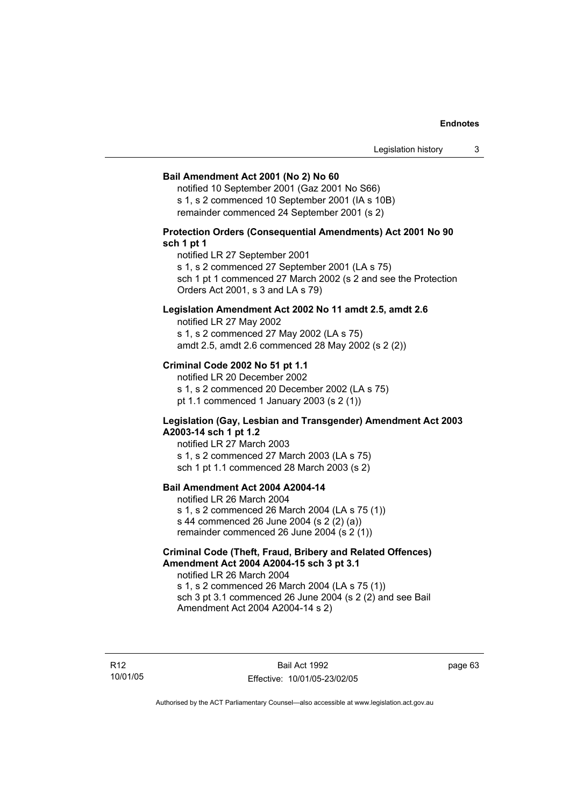#### **Bail Amendment Act 2001 (No 2) No 60**

notified 10 September 2001 (Gaz 2001 No S66) s 1, s 2 commenced 10 September 2001 (IA s 10B) remainder commenced 24 September 2001 (s 2)

#### **Protection Orders (Consequential Amendments) Act 2001 No 90 sch 1 pt 1**

notified LR 27 September 2001

s 1, s 2 commenced 27 September 2001 (LA s 75)

sch 1 pt 1 commenced 27 March 2002 (s 2 and see the Protection Orders Act 2001, s 3 and LA s 79)

#### **Legislation Amendment Act 2002 No 11 amdt 2.5, amdt 2.6**

notified LR 27 May 2002 s 1, s 2 commenced 27 May 2002 (LA s 75) amdt 2.5, amdt 2.6 commenced 28 May 2002 (s 2 (2))

#### **Criminal Code 2002 No 51 pt 1.1**

notified LR 20 December 2002 s 1, s 2 commenced 20 December 2002 (LA s 75) pt 1.1 commenced 1 January 2003 (s 2 (1))

#### **Legislation (Gay, Lesbian and Transgender) Amendment Act 2003 A2003-14 sch 1 pt 1.2**

notified LR 27 March 2003 s 1, s 2 commenced 27 March 2003 (LA s 75) sch 1 pt 1.1 commenced 28 March 2003 (s 2)

## **Bail Amendment Act 2004 A2004-14**

notified LR 26 March 2004 s 1, s 2 commenced 26 March 2004 (LA s 75 (1)) s 44 commenced 26 June 2004 (s 2 (2) (a)) remainder commenced 26 June 2004 (s 2 (1))

#### **Criminal Code (Theft, Fraud, Bribery and Related Offences) Amendment Act 2004 A2004-15 sch 3 pt 3.1**

notified LR 26 March 2004 s 1, s 2 commenced 26 March 2004 (LA s 75 (1)) sch 3 pt 3.1 commenced 26 June 2004 (s 2 (2) and see Bail Amendment Act 2004 A2004-14 s 2)

R12 10/01/05 page 63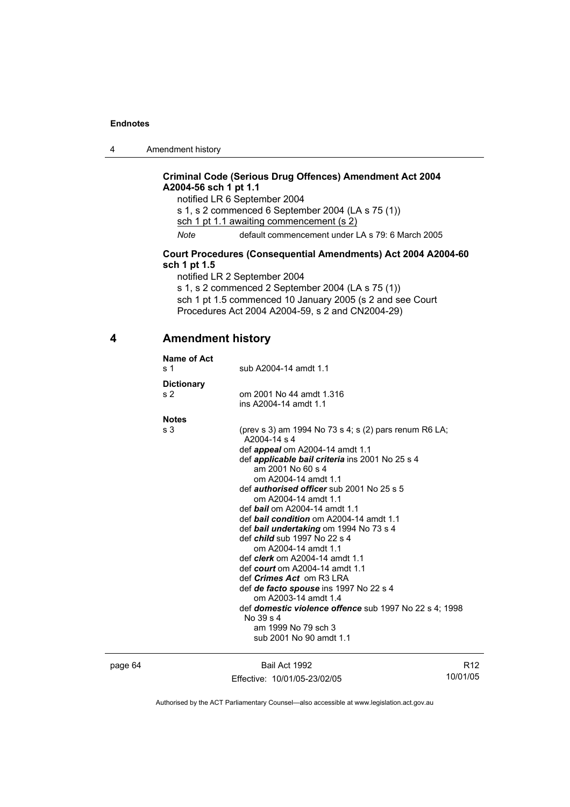4 Amendment history

## **Criminal Code (Serious Drug Offences) Amendment Act 2004 A2004-56 sch 1 pt 1.1**

notified LR 6 September 2004 s 1, s 2 commenced 6 September 2004 (LA s 75 (1)) sch 1 pt 1.1 awaiting commencement (s 2) *Note* default commencement under LA s 79: 6 March 2005

### **Court Procedures (Consequential Amendments) Act 2004 A2004-60 sch 1 pt 1.5**

notified LR 2 September 2004 s 1, s 2 commenced 2 September 2004 (LA s 75 (1)) sch 1 pt 1.5 commenced 10 January 2005 (s 2 and see Court Procedures Act 2004 A2004-59, s 2 and CN2004-29)

### **4 Amendment history**

| Name of Act<br>s <sub>1</sub> | sub A2004-14 amdt 1.1                                                                                                                                                                                                                                                                                                                                                                                                                                                                                                                                                                                                                                                                                                                                                                                    |
|-------------------------------|----------------------------------------------------------------------------------------------------------------------------------------------------------------------------------------------------------------------------------------------------------------------------------------------------------------------------------------------------------------------------------------------------------------------------------------------------------------------------------------------------------------------------------------------------------------------------------------------------------------------------------------------------------------------------------------------------------------------------------------------------------------------------------------------------------|
| <b>Dictionary</b><br>s 2      | om 2001 No 44 amdt 1.316<br>ins A2004-14 amdt 1.1                                                                                                                                                                                                                                                                                                                                                                                                                                                                                                                                                                                                                                                                                                                                                        |
| <b>Notes</b>                  |                                                                                                                                                                                                                                                                                                                                                                                                                                                                                                                                                                                                                                                                                                                                                                                                          |
| s <sub>3</sub>                | (prev s 3) am 1994 No 73 s 4; s (2) pars renum R6 LA;<br>A2004-14 s 4<br>def <b>appeal</b> om A2004-14 amdt 1.1<br>def applicable bail criteria ins 2001 No 25 s 4<br>am 2001 No 60 s 4<br>om A2004-14 amdt 1.1<br>def <i>authorised officer</i> sub 2001 No 25 s 5<br>om A2004-14 amdt 1.1<br>def bail om A2004-14 amdt 1.1<br>def <b>bail condition</b> om A2004-14 amdt 1.1<br>def bail undertaking om 1994 No 73 s 4<br>def <i>child</i> sub 1997 No 22 s 4<br>om A2004-14 amdt 1.1<br>def <i>clerk</i> om A2004-14 amdt 1.1<br>def court om A2004-14 amdt 1.1<br>def <i>Crimes Act</i> om R3 LRA<br>def de facto spouse ins 1997 No 22 s 4<br>om A2003-14 amdt 1.4<br>def <b>domestic violence offence</b> sub 1997 No 22 s 4: 1998<br>No $39s$ 4<br>am 1999 No 79 sch 3<br>sub 2001 No 90 amdt 1.1 |

page 64 Bail Act 1992 Effective: 10/01/05-23/02/05

R12 10/01/05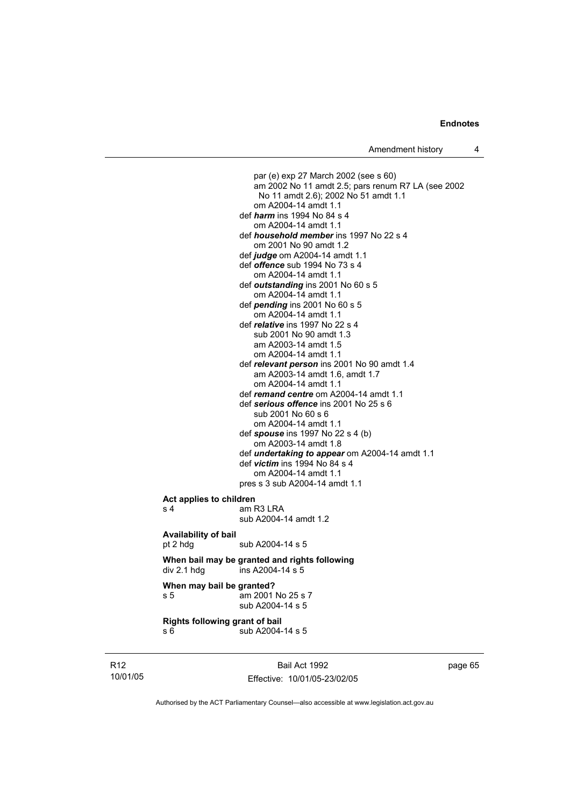Amendment history 4

 par (e) exp 27 March 2002 (see s 60) am 2002 No 11 amdt 2.5; pars renum R7 LA (see 2002 No 11 amdt 2.6); 2002 No 51 amdt 1.1 om A2004-14 amdt 1.1 def *harm* ins 1994 No 84 s 4 om A2004-14 amdt 1.1 def *household member* ins 1997 No 22 s 4 om 2001 No 90 amdt 1.2 def *judge* om A2004-14 amdt 1.1 def *offence* sub 1994 No 73 s 4 om A2004-14 amdt 1.1 def *outstanding* ins 2001 No 60 s 5 om A2004-14 amdt 1.1 def *pending* ins 2001 No 60 s 5 om A2004-14 amdt 1.1 def *relative* ins 1997 No 22 s 4 sub 2001 No 90 amdt 1.3 am A2003-14 amdt 1.5 om A2004-14 amdt 1.1 def *relevant person* ins 2001 No 90 amdt 1.4 am A2003-14 amdt 1.6, amdt 1.7 om A2004-14 amdt 1.1 def *remand centre* om A2004-14 amdt 1.1 def *serious offence* ins 2001 No 25 s 6 sub 2001 No 60 s 6 om A2004-14 amdt 1.1 def *spouse* ins 1997 No 22 s 4 (b) om A2003-14 amdt 1.8 def *undertaking to appear* om A2004-14 amdt 1.1 def *victim* ins 1994 No 84 s 4 om A2004-14 amdt 1.1 pres s 3 sub A2004-14 amdt 1.1 **Act applies to children**  s 4 am R3 LRA sub A2004-14 amdt 1.2 **Availability of bail**  pt 2 hdg sub A2004-14 s 5 **When bail may be granted and rights following**  div 2.1 hdg ins A2004-14 s 5 **When may bail be granted?**  s 5 am 2001 No 25 s 7 sub A2004-14 s 5

**Rights following grant of bail**  s 6 sub A2004-14 s 5

R12 10/01/05

Bail Act 1992 Effective: 10/01/05-23/02/05 page 65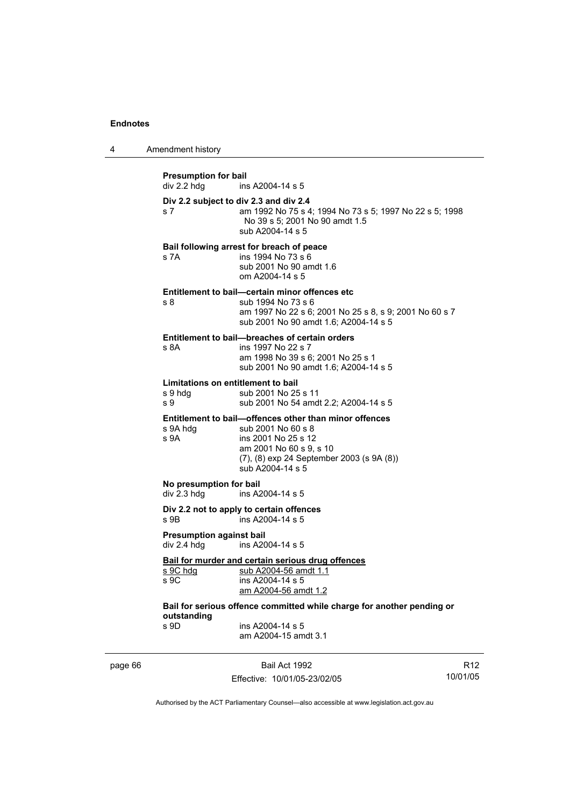| 4 | Amendment history                                                  |                                                                                                                                                                                                 |  |
|---|--------------------------------------------------------------------|-------------------------------------------------------------------------------------------------------------------------------------------------------------------------------------------------|--|
|   | <b>Presumption for bail</b><br>div 2.2 hdg                         | ins A2004-14 s 5                                                                                                                                                                                |  |
|   | Div 2.2 subject to div 2.3 and div 2.4<br>s 7                      | am 1992 No 75 s 4; 1994 No 73 s 5; 1997 No 22 s 5; 1998<br>No 39 s 5; 2001 No 90 amdt 1.5<br>sub A2004-14 s 5                                                                                   |  |
|   | s 7A                                                               | Bail following arrest for breach of peace<br>ins 1994 No 73 s 6<br>sub 2001 No 90 amdt 1.6<br>om A2004-14 s 5                                                                                   |  |
|   | s 8                                                                | Entitlement to bail—certain minor offences etc<br>sub 1994 No 73 s 6<br>am 1997 No 22 s 6; 2001 No 25 s 8, s 9; 2001 No 60 s 7<br>sub 2001 No 90 amdt 1.6; A2004-14 s 5                         |  |
|   | s 8A                                                               | Entitlement to bail-breaches of certain orders<br>ins 1997 No 22 s 7<br>am 1998 No 39 s 6; 2001 No 25 s 1<br>sub 2001 No 90 amdt 1.6; A2004-14 s 5                                              |  |
|   | Limitations on entitlement to bail<br>s 9 hdg<br>s 9               | sub 2001 No 25 s 11<br>sub 2001 No 54 amdt 2.2; A2004-14 s 5                                                                                                                                    |  |
|   | s 9A hdg<br>s 9A                                                   | Entitlement to bail-offences other than minor offences<br>sub 2001 No 60 s 8<br>ins 2001 No 25 s 12<br>am 2001 No 60 s 9, s 10<br>(7), (8) exp 24 September 2003 (s 9A (8))<br>sub A2004-14 s 5 |  |
|   | No presumption for bail<br>div 2.3 hdg                             | ins A2004-14 s 5                                                                                                                                                                                |  |
|   | s 9B                                                               | Div 2.2 not to apply to certain offences<br>ins A2004-14 s 5                                                                                                                                    |  |
|   | <b>Presumption against bail</b><br>div 2.4 hdg<br>ins A2004-14 s 5 |                                                                                                                                                                                                 |  |
|   | s 9C hdg<br>s 9C                                                   | Bail for murder and certain serious drug offences<br>sub A2004-56 amdt 1.1<br>ins A2004-14 s 5<br>am A2004-56 amdt 1.2                                                                          |  |
|   | outstanding<br>s 9D                                                | Bail for serious offence committed while charge for another pending or<br>ins A2004-14 s 5<br>am A2004-15 amdt 3.1                                                                              |  |

page 66 Bail Act 1992

Effective: 10/01/05-23/02/05

R12 10/01/05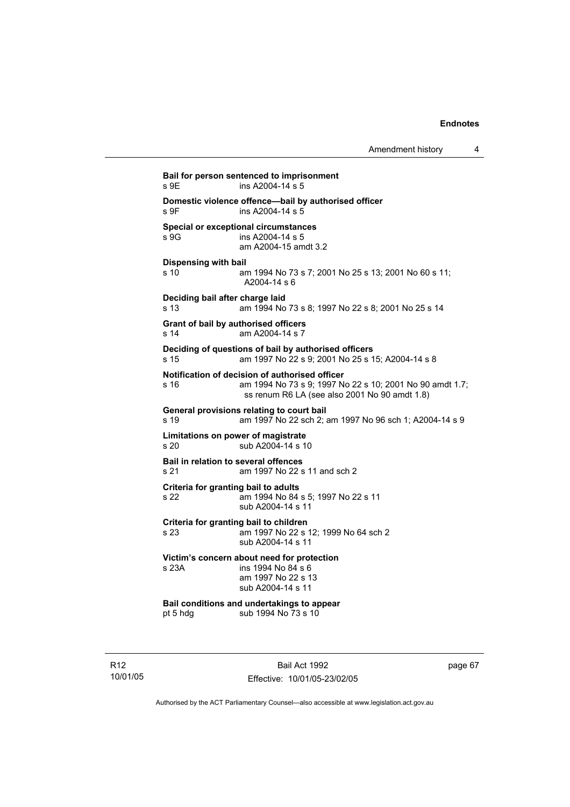**Bail for person sentenced to imprisonment**   $ins$  A2004-14 s 5 **Domestic violence offence—bail by authorised officer**  s 9F ins A2004-14 s 5 **Special or exceptional circumstances**  ins A2004-14 s 5 am A2004-15 amdt 3.2 **Dispensing with bail** s 10 am 1994 No 73 s 7; 2001 No 25 s 13; 2001 No 60 s 11; A2004-14 s 6 **Deciding bail after charge laid** s 13 am 1994 No 73 s 8; 1997 No 22 s 8; 2001 No 25 s 14 **Grant of bail by authorised officers**  s 14 am A2004-14 s 7 **Deciding of questions of bail by authorised officers** s 15 am 1997 No 22 s 9; 2001 No 25 s 15; A2004-14 s 8 **Notification of decision of authorised officer** s 16 am 1994 No 73 s 9; 1997 No 22 s 10; 2001 No 90 amdt 1.7; ss renum R6 LA (see also 2001 No 90 amdt 1.8) **General provisions relating to court bail** s 19 am 1997 No 22 sch 2; am 1997 No 96 sch 1; A2004-14 s 9 **Limitations on power of magistrate**  s 20 sub A2004-14 s 10 **Bail in relation to several offences** s 21 am 1997 No 22 s 11 and sch 2 **Criteria for granting bail to adults** s 22 am 1994 No 84 s 5; 1997 No 22 s 11 sub A2004-14 s 11 **Criteria for granting bail to children** s 23 am 1997 No 22 s 12; 1999 No 64 sch 2 sub A2004-14 s 11 **Victim's concern about need for protection** s 23A ins 1994 No 84 s 6 am 1997 No 22 s 13 sub A2004-14 s 11 **Bail conditions and undertakings to appear**<br>pt 5 hdg sub 1994 No 73 s 10 sub 1994 No 73 s 10

R12 10/01/05

Bail Act 1992 Effective: 10/01/05-23/02/05 page 67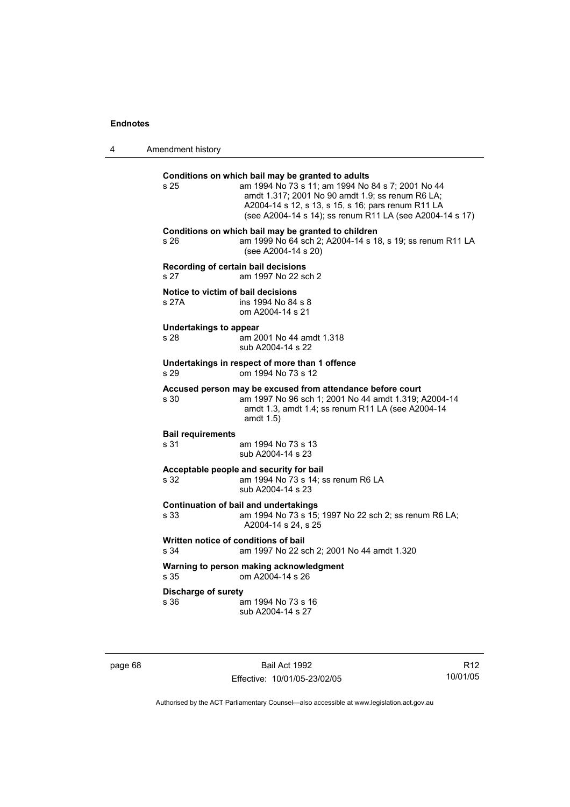4 Amendment history

| s 25                                                                                       | Conditions on which bail may be granted to adults<br>am 1994 No 73 s 11; am 1994 No 84 s 7; 2001 No 44<br>amdt 1.317; 2001 No 90 amdt 1.9; ss renum R6 LA;<br>A2004-14 s 12, s 13, s 15, s 16; pars renum R11 LA<br>(see A2004-14 s 14); ss renum R11 LA (see A2004-14 s 17) |
|--------------------------------------------------------------------------------------------|------------------------------------------------------------------------------------------------------------------------------------------------------------------------------------------------------------------------------------------------------------------------------|
| s 26                                                                                       | Conditions on which bail may be granted to children<br>am 1999 No 64 sch 2; A2004-14 s 18, s 19; ss renum R11 LA<br>(see A2004-14 s 20)                                                                                                                                      |
| Recording of certain bail decisions<br>s 27                                                | am 1997 No 22 sch 2                                                                                                                                                                                                                                                          |
| Notice to victim of bail decisions<br>s 27A                                                | ins 1994 No 84 s 8<br>om A2004-14 s 21                                                                                                                                                                                                                                       |
| <b>Undertakings to appear</b><br>s 28                                                      | am 2001 No 44 amdt 1.318<br>sub A2004-14 s 22                                                                                                                                                                                                                                |
| s 29                                                                                       | Undertakings in respect of more than 1 offence<br>om 1994 No 73 s 12                                                                                                                                                                                                         |
| s 30                                                                                       | Accused person may be excused from attendance before court<br>am 1997 No 96 sch 1; 2001 No 44 amdt 1.319; A2004-14<br>amdt 1.3, amdt 1.4; ss renum R11 LA (see A2004-14<br>amdt $1.5$ )                                                                                      |
| <b>Bail requirements</b><br>s 31                                                           | am 1994 No 73 s 13<br>sub A2004-14 s 23                                                                                                                                                                                                                                      |
| s 32                                                                                       | Acceptable people and security for bail<br>am 1994 No 73 s 14; ss renum R6 LA<br>sub A2004-14 s 23                                                                                                                                                                           |
| s 33                                                                                       | <b>Continuation of bail and undertakings</b><br>am 1994 No 73 s 15; 1997 No 22 sch 2; ss renum R6 LA;<br>A2004-14 s 24, s 25                                                                                                                                                 |
| Written notice of conditions of bail<br>s 34<br>am 1997 No 22 sch 2; 2001 No 44 amdt 1.320 |                                                                                                                                                                                                                                                                              |
| s 35                                                                                       | Warning to person making acknowledgment<br>om A2004-14 s 26                                                                                                                                                                                                                  |
| <b>Discharge of surety</b><br>s 36                                                         | am 1994 No 73 s 16<br>sub A2004-14 s 27                                                                                                                                                                                                                                      |
|                                                                                            |                                                                                                                                                                                                                                                                              |

page 68 Bail Act 1992 Effective: 10/01/05-23/02/05

R12 10/01/05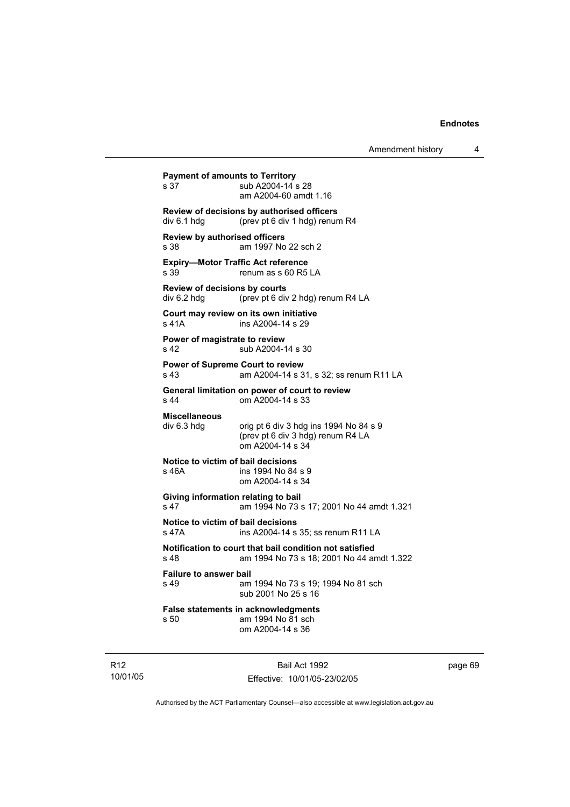```
Payment of amounts to Territory<br>s 37 sub A2004-14 s
                 sub A2004-14 s 28
                  am A2004-60 amdt 1.16 
Review of decisions by authorised officers 
div 6.1 hdg (prev pt 6 div 1 hdg) renum R4 
Review by authorised officers
s 38 am 1997 No 22 sch 2 
Expiry—Motor Traffic Act reference 
s 39 renum as s 60 R5 LA 
Review of decisions by courts 
div 6.2 hdg (prev pt 6 div 2 hdg) renum R4 LA 
Court may review on its own initiative
s 41A ins A2004-14 s 29
Power of magistrate to review
s 42 sub A2004-14 s 30
Power of Supreme Court to review
s 43 am A2004-14 s 31, s 32; ss renum R11 LA 
General limitation on power of court to review
s 44 om A2004-14 s 33 
Miscellaneous 
                 orig pt 6 div 3 hdg ins 1994 No 84 s 9
                  (prev pt 6 div 3 hdg) renum R4 LA 
                  om A2004-14 s 34 
Notice to victim of bail decisions
s 46A ins 1994 No 84 s 9 
                  om A2004-14 s 34 
Giving information relating to bail
s 47 am 1994 No 73 s 17; 2001 No 44 amdt 1.321 
Notice to victim of bail decisions
s 47A ins A2004-14 s 35; ss renum R11 LA 
Notification to court that bail condition not satisfied
s 48 am 1994 No 73 s 18; 2001 No 44 amdt 1.322 
Failure to answer bail
s 49 am 1994 No 73 s 19; 1994 No 81 sch 
                  sub 2001 No 25 s 16 
False statements in acknowledgments
s 50 am 1994 No 81 sch 
                  om A2004-14 s 36
```
R12 10/01/05

Bail Act 1992 Effective: 10/01/05-23/02/05 page 69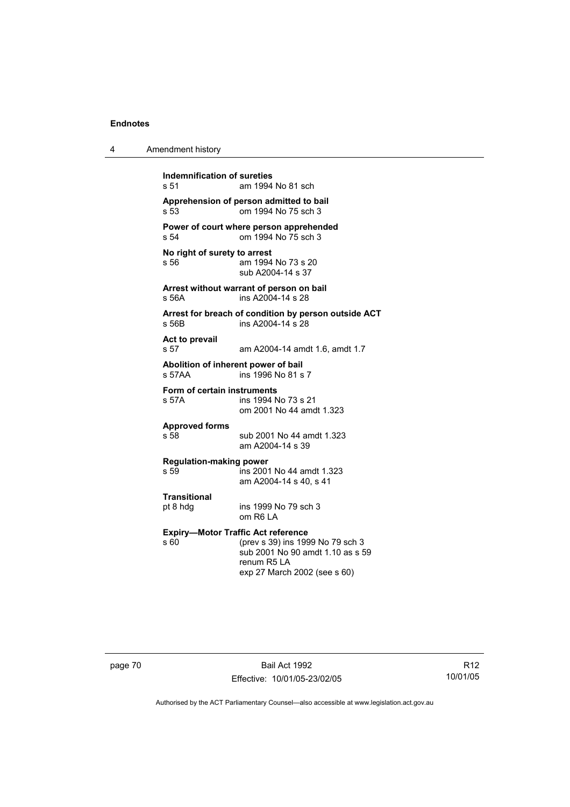| 4 | Amendment history                                                                                                                                                        |
|---|--------------------------------------------------------------------------------------------------------------------------------------------------------------------------|
|   | Indemnification of sureties<br>s <sub>51</sub><br>am 1994 No 81 sch                                                                                                      |
|   | Apprehension of person admitted to bail<br>om 1994 No 75 sch 3<br>s 53                                                                                                   |
|   | Power of court where person apprehended<br>om 1994 No 75 sch 3<br>s 54                                                                                                   |
|   | No right of surety to arrest<br>s 56<br>am 1994 No 73 s 20<br>sub A2004-14 s 37                                                                                          |
|   | Arrest without warrant of person on bail<br>ins A2004-14 s 28<br>s 56A                                                                                                   |
|   | Arrest for breach of condition by person outside ACT<br>ins A2004-14 s 28<br>s 56B                                                                                       |
|   | Act to prevail<br>s 57<br>am A2004-14 amdt 1.6, amdt 1.7                                                                                                                 |
|   | Abolition of inherent power of bail<br>s 57AA<br>ins 1996 No 81 s 7                                                                                                      |
|   | Form of certain instruments<br>ins 1994 No 73 s 21<br>s 57A<br>om 2001 No 44 amdt 1.323                                                                                  |
|   | <b>Approved forms</b><br>s 58<br>sub 2001 No 44 amdt 1.323<br>am A2004-14 s 39                                                                                           |
|   | <b>Regulation-making power</b><br>s 59<br>ins 2001 No 44 amdt 1.323<br>am A2004-14 s 40, s 41                                                                            |
|   | <b>Transitional</b><br>ins 1999 No 79 sch 3<br>pt 8 hdg<br>om R6 LA                                                                                                      |
|   | <b>Expiry-Motor Traffic Act reference</b><br>s 60<br>(prev s 39) ins 1999 No 79 sch 3<br>sub 2001 No 90 amdt 1.10 as s 59<br>renum R5 LA<br>exp 27 March 2002 (see s 60) |

page 70 Bail Act 1992 Effective: 10/01/05-23/02/05

R12 10/01/05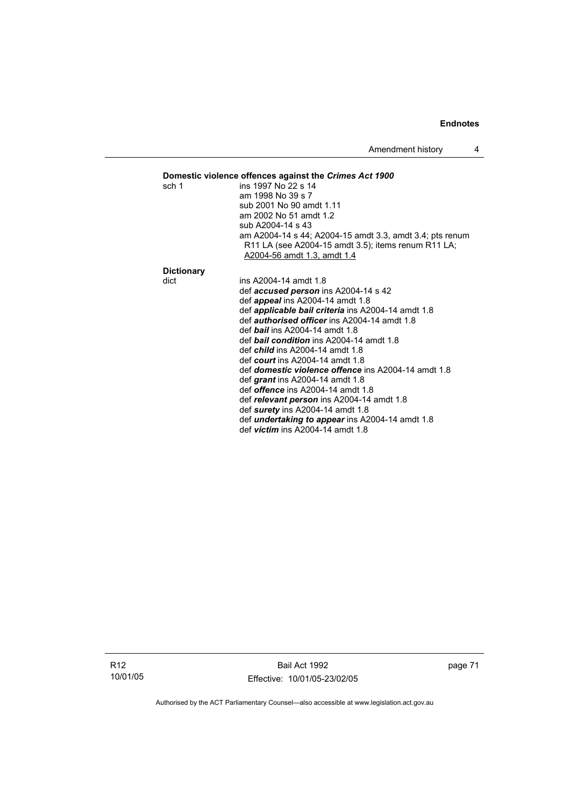Amendment history 4

def *victim* ins A2004-14 amdt 1.8

| Domestic violence offences against the Crimes Act 1900 |                                                                                                                 |  |  |  |
|--------------------------------------------------------|-----------------------------------------------------------------------------------------------------------------|--|--|--|
| sch 1                                                  | ins 1997 No 22 s 14                                                                                             |  |  |  |
|                                                        | am 1998 No 39 s 7                                                                                               |  |  |  |
|                                                        | sub 2001 No 90 amdt 1.11                                                                                        |  |  |  |
|                                                        | am 2002 No 51 amdt 1.2                                                                                          |  |  |  |
|                                                        | sub A2004-14 s 43                                                                                               |  |  |  |
|                                                        | am A2004-14 s 44; A2004-15 amdt 3.3, amdt 3.4; pts renum<br>R11 LA (see A2004-15 amdt 3.5); items renum R11 LA; |  |  |  |
|                                                        | A2004-56 amdt 1.3, amdt 1.4                                                                                     |  |  |  |
| <b>Dictionary</b>                                      |                                                                                                                 |  |  |  |
| dict                                                   | ins A2004-14 amdt 1.8                                                                                           |  |  |  |
|                                                        | def <b>accused person</b> ins A2004-14 s 42                                                                     |  |  |  |
|                                                        | def <i>appeal</i> ins A2004-14 amdt 1.8                                                                         |  |  |  |
|                                                        | def <i>applicable bail criteria</i> ins A2004-14 amdt 1.8                                                       |  |  |  |
|                                                        | def <i>authorised officer</i> ins A2004-14 amdt 1.8                                                             |  |  |  |
|                                                        | def <b>bail</b> ins A2004-14 amdt 1.8                                                                           |  |  |  |
|                                                        | def <b>bail condition</b> ins A2004-14 amdt 1.8                                                                 |  |  |  |
|                                                        | def <i>child</i> ins A2004-14 amdt 1.8                                                                          |  |  |  |
|                                                        | def court ins $A2004-14$ amdt 1.8                                                                               |  |  |  |
|                                                        | def <i>domestic violence offence</i> ins A2004-14 amdt 1.8                                                      |  |  |  |
|                                                        | def <i>grant</i> ins $A2004-14$ amdt 1.8                                                                        |  |  |  |
|                                                        | def <i>offence</i> ins A2004-14 amdt 1.8                                                                        |  |  |  |
|                                                        | def relevant person ins A2004-14 amdt 1.8                                                                       |  |  |  |
|                                                        | def surety ins A2004-14 amdt 1.8                                                                                |  |  |  |
|                                                        | def <i>undertaking to appear</i> ins A2004-14 amdt 1.8                                                          |  |  |  |

R12 10/01/05

Bail Act 1992 Effective: 10/01/05-23/02/05 page 71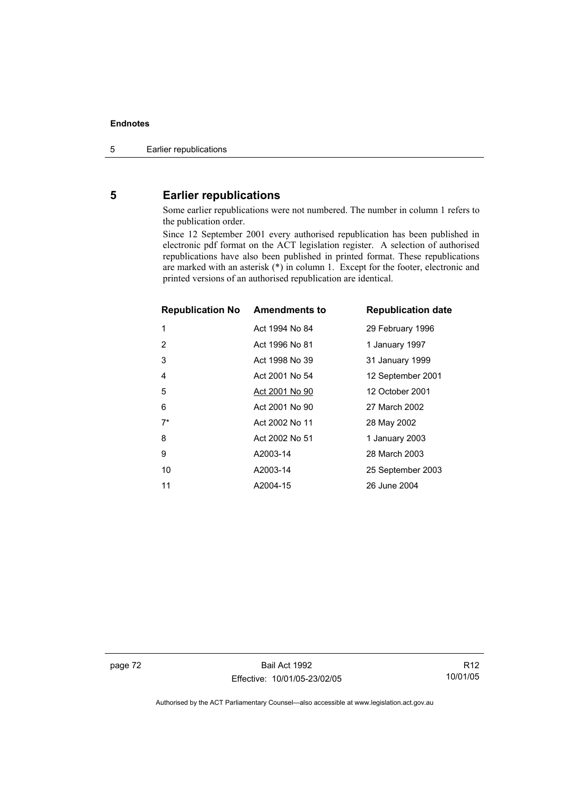# **5 Earlier republications**

Some earlier republications were not numbered. The number in column 1 refers to the publication order.

Since 12 September 2001 every authorised republication has been published in electronic pdf format on the ACT legislation register. A selection of authorised republications have also been published in printed format. These republications are marked with an asterisk (\*) in column 1. Except for the footer, electronic and printed versions of an authorised republication are identical.

| <b>Republication No Amendments to</b> |                | <b>Republication date</b> |
|---------------------------------------|----------------|---------------------------|
| 1                                     | Act 1994 No 84 | 29 February 1996          |
| 2                                     | Act 1996 No 81 | 1 January 1997            |
| 3                                     | Act 1998 No 39 | 31 January 1999           |
| $\overline{4}$                        | Act 2001 No 54 | 12 September 2001         |
| 5                                     | Act 2001 No 90 | 12 October 2001           |
| 6                                     | Act 2001 No 90 | 27 March 2002             |
| $7^*$                                 | Act 2002 No 11 | 28 May 2002               |
| 8                                     | Act 2002 No 51 | 1 January 2003            |
| 9                                     | A2003-14       | 28 March 2003             |
| 10                                    | A2003-14       | 25 September 2003         |
| 11                                    | A2004-15       | 26 June 2004              |

page 72 Bail Act 1992 Effective: 10/01/05-23/02/05

R12 10/01/05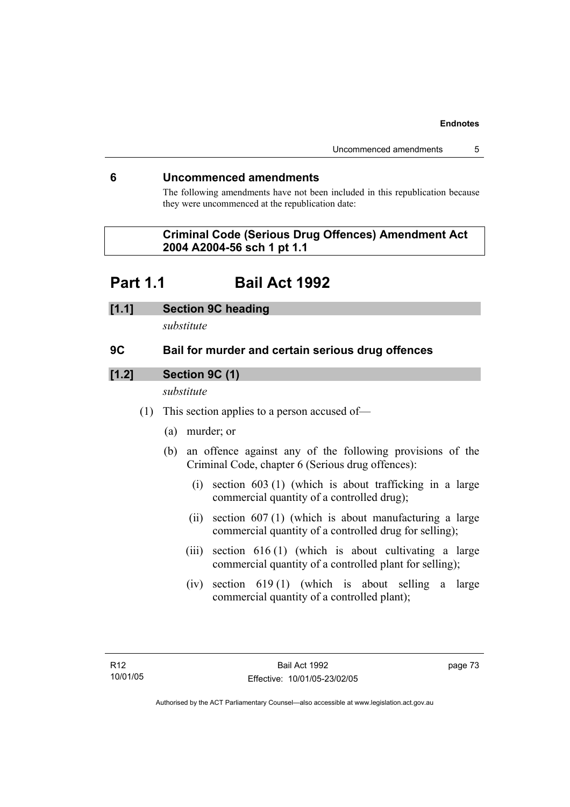### **6 Uncommenced amendments**

The following amendments have not been included in this republication because they were uncommenced at the republication date:

# **Criminal Code (Serious Drug Offences) Amendment Act 2004 A2004-56 sch 1 pt 1.1**

# **Part 1.1 Bail Act 1992**

#### **[1.1] Section 9C heading**

*substitute* 

# **9C Bail for murder and certain serious drug offences**

# **[1.2] Section 9C (1)**

*substitute* 

- (1) This section applies to a person accused of—
	- (a) murder; or
	- (b) an offence against any of the following provisions of the Criminal Code, chapter 6 (Serious drug offences):
		- (i) section 603 (1) (which is about trafficking in a large commercial quantity of a controlled drug);
		- (ii) section 607 (1) (which is about manufacturing a large commercial quantity of a controlled drug for selling);
		- (iii) section 616 (1) (which is about cultivating a large commercial quantity of a controlled plant for selling);
		- (iv) section 619 (1) (which is about selling a large commercial quantity of a controlled plant);

page 73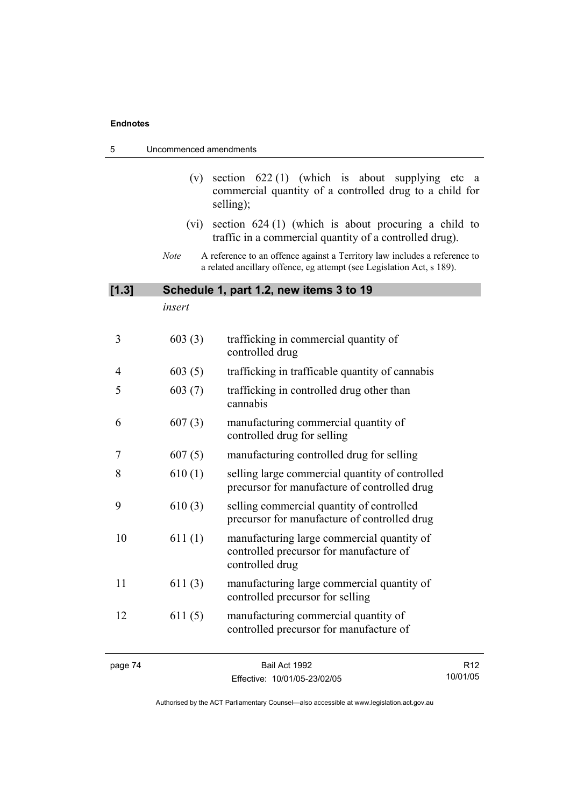| 5<br>Uncommenced amendments |             |                                                                                                                                                    |                 |
|-----------------------------|-------------|----------------------------------------------------------------------------------------------------------------------------------------------------|-----------------|
|                             | (v)         | section $622(1)$ (which is about supplying etc<br>commercial quantity of a controlled drug to a child for<br>selling);                             | a a             |
|                             | (vi)        | section $624(1)$ (which is about procuring a child to<br>traffic in a commercial quantity of a controlled drug).                                   |                 |
|                             | <b>Note</b> | A reference to an offence against a Territory law includes a reference to<br>a related ancillary offence, eg attempt (see Legislation Act, s 189). |                 |
| [1.3]                       |             | Schedule 1, part 1.2, new items 3 to 19                                                                                                            |                 |
|                             | insert      |                                                                                                                                                    |                 |
| 3                           | 603(3)      | trafficking in commercial quantity of<br>controlled drug                                                                                           |                 |
| 4                           | 603(5)      | trafficking in trafficable quantity of cannabis                                                                                                    |                 |
| 5                           | 603(7)      | trafficking in controlled drug other than<br>cannabis                                                                                              |                 |
| 6                           | 607(3)      | manufacturing commercial quantity of<br>controlled drug for selling                                                                                |                 |
| 7                           | 607(5)      | manufacturing controlled drug for selling                                                                                                          |                 |
| 8                           | 610(1)      | selling large commercial quantity of controlled<br>precursor for manufacture of controlled drug                                                    |                 |
| 9                           | 610(3)      | selling commercial quantity of controlled<br>precursor for manufacture of controlled drug                                                          |                 |
| 10                          | 611(1)      | manufacturing large commercial quantity of<br>controlled precursor for manufacture of<br>controlled drug                                           |                 |
| 11                          | 611(3)      | manufacturing large commercial quantity of<br>controlled precursor for selling                                                                     |                 |
| 12                          | 611(5)      | manufacturing commercial quantity of<br>controlled precursor for manufacture of                                                                    |                 |
| page 74                     |             | Bail Act 1992                                                                                                                                      | R <sub>12</sub> |

Effective: 10/01/05-23/02/05

R12 10/01/05